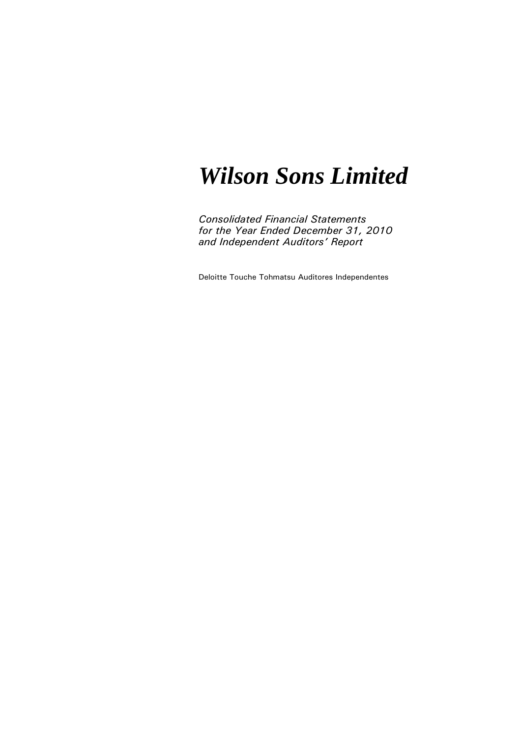# *Wilson Sons Limited*

**Consolidated Financial Statements** for the Year Ended December 31, 2010 and Independent Auditors' Report

Deloitte Touche Tohmatsu Auditores Independentes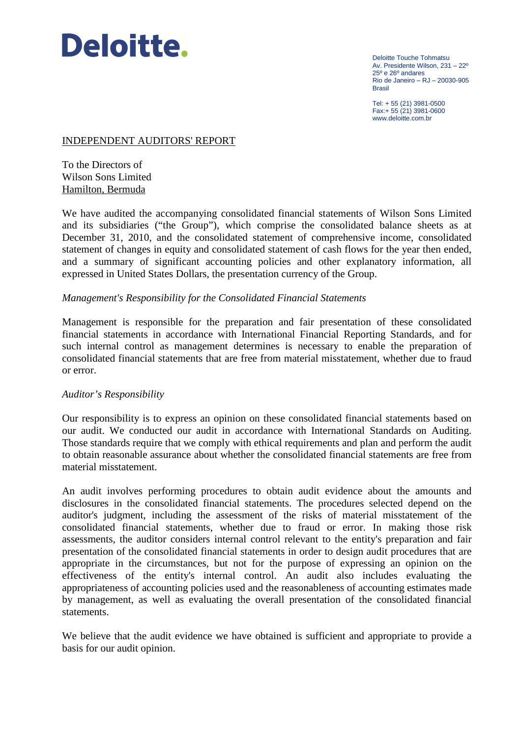

Deloitte Touche Tohmatsu Av. Presidente Wilson, 231 – 22º 25º e 26º andares Rio de Janeiro – RJ – 20030-905 Brasil

Tel: + 55 (21) 3981-0500 Fax:+ 55 (21) 3981-0600 www.deloitte.com.br

# INDEPENDENT AUDITORS' REPORT

To the Directors of Wilson Sons Limited Hamilton, Bermuda

We have audited the accompanying consolidated financial statements of Wilson Sons Limited and its subsidiaries ("the Group"), which comprise the consolidated balance sheets as at December 31, 2010, and the consolidated statement of comprehensive income, consolidated statement of changes in equity and consolidated statement of cash flows for the year then ended, and a summary of significant accounting policies and other explanatory information, all expressed in United States Dollars, the presentation currency of the Group.

# *Management's Responsibility for the Consolidated Financial Statements*

Management is responsible for the preparation and fair presentation of these consolidated financial statements in accordance with International Financial Reporting Standards, and for such internal control as management determines is necessary to enable the preparation of consolidated financial statements that are free from material misstatement, whether due to fraud or error.

# *Auditor's Responsibility*

Our responsibility is to express an opinion on these consolidated financial statements based on our audit. We conducted our audit in accordance with International Standards on Auditing. Those standards require that we comply with ethical requirements and plan and perform the audit to obtain reasonable assurance about whether the consolidated financial statements are free from material misstatement.

An audit involves performing procedures to obtain audit evidence about the amounts and disclosures in the consolidated financial statements. The procedures selected depend on the auditor's judgment, including the assessment of the risks of material misstatement of the consolidated financial statements, whether due to fraud or error. In making those risk assessments, the auditor considers internal control relevant to the entity's preparation and fair presentation of the consolidated financial statements in order to design audit procedures that are appropriate in the circumstances, but not for the purpose of expressing an opinion on the effectiveness of the entity's internal control. An audit also includes evaluating the appropriateness of accounting policies used and the reasonableness of accounting estimates made by management, as well as evaluating the overall presentation of the consolidated financial statements.

We believe that the audit evidence we have obtained is sufficient and appropriate to provide a basis for our audit opinion.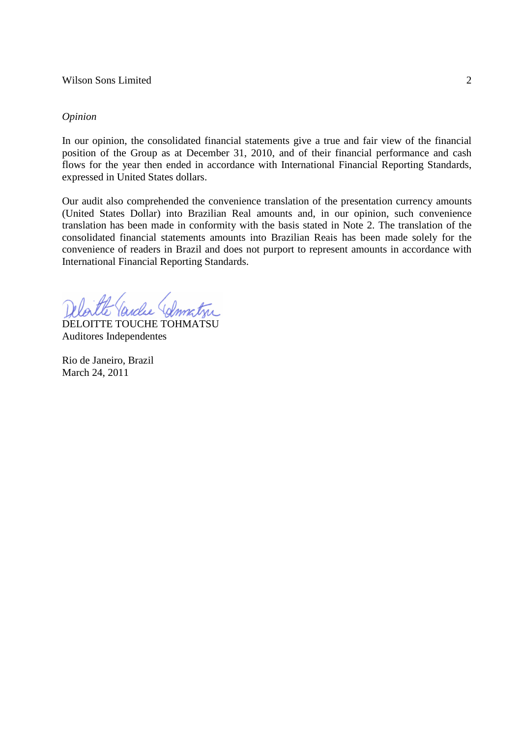#### Wilson Sons Limited 2

#### *Opinion*

In our opinion, the consolidated financial statements give a true and fair view of the financial position of the Group as at December 31, 2010, and of their financial performance and cash flows for the year then ended in accordance with International Financial Reporting Standards, expressed in United States dollars.

Our audit also comprehended the convenience translation of the presentation currency amounts (United States Dollar) into Brazilian Real amounts and, in our opinion, such convenience translation has been made in conformity with the basis stated in Note 2. The translation of the consolidated financial statements amounts into Brazilian Reais has been made solely for the convenience of readers in Brazil and does not purport to represent amounts in accordance with International Financial Reporting Standards.

Delaitte Vardue Columnation

DELOITTE TOUCHE TOHMATSU Auditores Independentes

Rio de Janeiro, Brazil March 24, 2011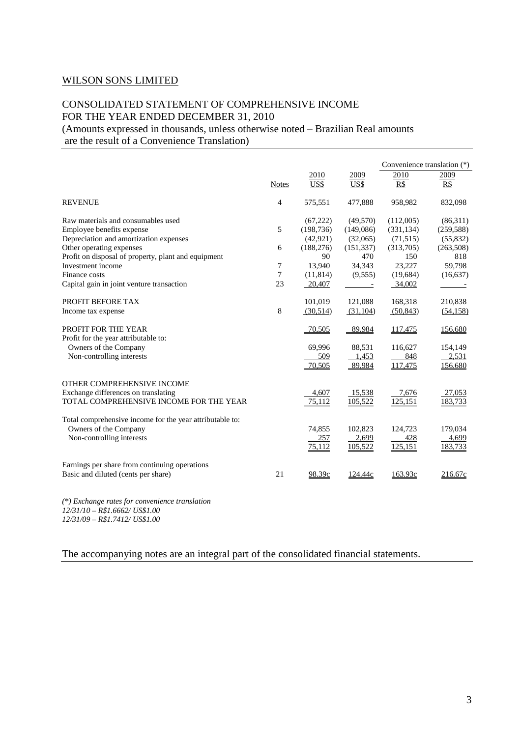# CONSOLIDATED STATEMENT OF COMPREHENSIVE INCOME FOR THE YEAR ENDED DECEMBER 31, 2010

(Amounts expressed in thousands, unless otherwise noted – Brazilian Real amounts are the result of a Convenience Translation)

|                                                          |              |               |            | Convenience translation (*) |                |
|----------------------------------------------------------|--------------|---------------|------------|-----------------------------|----------------|
|                                                          |              | 2010          | 2009       | 2010                        | 2009           |
|                                                          | <b>Notes</b> | US\$          | US\$       | R\$                         | R\$            |
|                                                          |              |               |            |                             |                |
| <b>REVENUE</b>                                           | 4            | 575,551       | 477,888    | 958,982                     | 832,098        |
| Raw materials and consumables used                       |              | (67, 222)     | (49,570)   | (112,005)                   | (86,311)       |
| Employee benefits expense                                | 5            | (198, 736)    | (149,086)  | (331, 134)                  | (259, 588)     |
| Depreciation and amortization expenses                   |              | (42, 921)     | (32,065)   | (71, 515)                   | (55,832)       |
| Other operating expenses                                 | 6            | (188, 276)    | (151, 337) | (313,705)                   | (263,508)      |
| Profit on disposal of property, plant and equipment      |              | 90            | 470        | 150                         | 818            |
| Investment income                                        | 7            | 13,940        | 34,343     | 23,227                      | 59,798         |
| Finance costs                                            | 7            | (11, 814)     | (9,555)    | (19,684)                    | (16, 637)      |
| Capital gain in joint venture transaction                | 23           | 20,407        | $\sim$ $-$ | 34,002                      |                |
| PROFIT BEFORE TAX                                        |              | 101,019       | 121,088    | 168,318                     | 210,838        |
| Income tax expense                                       | 8            | (30,514)      | (31,104)   | (50, 843)                   | (54, 158)      |
| PROFIT FOR THE YEAR                                      |              | 70,505        | 89,984     | 117,475                     | 156,680        |
| Profit for the year attributable to:                     |              |               |            |                             |                |
| Owners of the Company                                    |              | 69,996        | 88,531     | 116,627                     | 154,149        |
| Non-controlling interests                                |              | <u>509</u>    | 1,453      | 848                         | 2,531          |
|                                                          |              | $-70,505$     | 89,984     | 117,475                     | <u>156.680</u> |
| OTHER COMPREHENSIVE INCOME                               |              |               |            |                             |                |
| Exchange differences on translating                      |              | 4,607         | 15,538     | 7,676                       | 27,053         |
| TOTAL COMPREHENSIVE INCOME FOR THE YEAR                  |              | 75,112        | 105,522    | <u>125,151</u>              | 183,733        |
| Total comprehensive income for the year attributable to: |              |               |            |                             |                |
| Owners of the Company                                    |              | 74,855        | 102,823    | 124,723                     | 179,034        |
|                                                          |              | 257           |            | 428                         |                |
| Non-controlling interests                                |              |               | 2,699      |                             | 4,699          |
|                                                          |              | <u>75,112</u> | 105,522    | <u>125,151</u>              | 183,733        |
| Earnings per share from continuing operations            |              |               |            |                             |                |
| Basic and diluted (cents per share)                      | 21           | 98.39c        | 124.44c    | 163.93c                     | 216.67c        |

*(\*) Exchange rates for convenience translation 12/31/10 – R\$1.6662/ US\$1.00 12/31/09 – R\$1.7412/ US\$1.00* 

#### The accompanying notes are an integral part of the consolidated financial statements.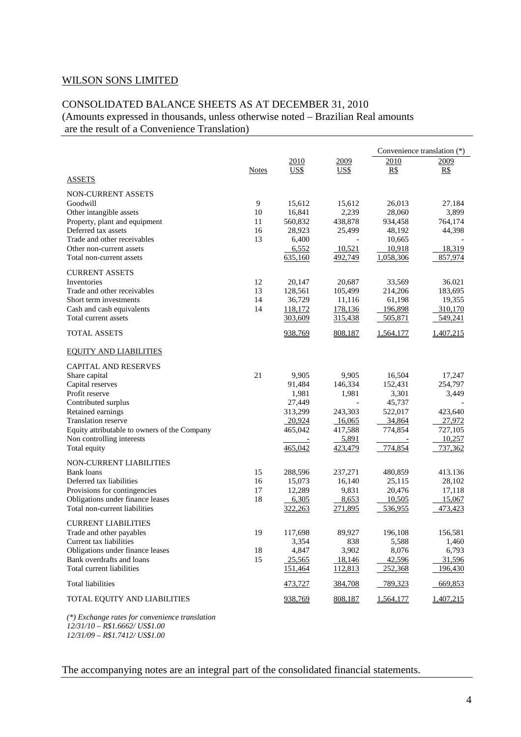# CONSOLIDATED BALANCE SHEETS AS AT DECEMBER 31, 2010 (Amounts expressed in thousands, unless otherwise noted – Brazilian Real amounts are the result of a Convenience Translation)

|                                                               |          |                   |                          | Convenience translation (*) |                   |  |
|---------------------------------------------------------------|----------|-------------------|--------------------------|-----------------------------|-------------------|--|
|                                                               |          | 2010              | 2009                     | 2010                        | 2009              |  |
|                                                               | Notes    | US\$              | US\$                     | $R\$                        | R\$               |  |
| <b>ASSETS</b>                                                 |          |                   |                          |                             |                   |  |
| NON-CURRENT ASSETS                                            |          |                   |                          |                             |                   |  |
| Goodwill                                                      | 9        | 15,612            | 15,612                   | 26,013                      | 27.184            |  |
| Other intangible assets                                       | 10       | 16,841            | 2,239                    | 28,060                      | 3,899             |  |
| Property, plant and equipment                                 | 11       | 560,832           | 438,878                  | 934,458                     | 764,174           |  |
| Deferred tax assets<br>Trade and other receivables            | 16<br>13 | 28,923<br>6,400   | 25,499<br>$\blacksquare$ | 48,192<br>10,665            | 44,398            |  |
| Other non-current assets                                      |          | 6,552             | 10,521                   | 10,918                      | 18,319            |  |
| Total non-current assets                                      |          | 635,160           | 492,749                  | 1,058,306                   | 857,974           |  |
|                                                               |          |                   |                          |                             |                   |  |
| <b>CURRENT ASSETS</b>                                         |          |                   |                          |                             |                   |  |
| Inventories<br>Trade and other receivables                    | 12<br>13 | 20,147            | 20,687                   | 33,569                      | 36.021            |  |
| Short term investments                                        | 14       | 128,561<br>36,729 | 105,499<br>11,116        | 214,206<br>61,198           | 183,695<br>19,355 |  |
| Cash and cash equivalents                                     | 14       | 118,172           | 178,136                  | 196,898                     | 310,170           |  |
| Total current assets                                          |          | 303,609           | 315,438                  | 505,871                     | 549,241           |  |
| <b>TOTAL ASSETS</b>                                           |          | 938,769           | 808,187                  | 1,564,177                   | 1,407,215         |  |
| <b>EQUITY AND LIABILITIES</b>                                 |          |                   |                          |                             |                   |  |
|                                                               |          |                   |                          |                             |                   |  |
| <b>CAPITAL AND RESERVES</b>                                   | 21       | 9,905             | 9,905                    | 16,504                      | 17,247            |  |
| Share capital<br>Capital reserves                             |          | 91,484            | 146,334                  | 152,431                     | 254,797           |  |
| Profit reserve                                                |          | 1,981             | 1,981                    | 3,301                       | 3,449             |  |
| Contributed surplus                                           |          | 27,449            |                          | 45,737                      |                   |  |
| Retained earnings                                             |          | 313,299           | 243,303                  | 522,017                     | 423,640           |  |
| <b>Translation reserve</b>                                    |          | 20,924            | 16,065                   | 34,864                      | 27,972            |  |
| Equity attributable to owners of the Company                  |          | 465,042           | 417,588                  | 774,854                     | 727,105           |  |
| Non controlling interests                                     |          |                   | 5,891                    |                             | 10,257            |  |
| Total equity                                                  |          | 465,042           | 423,479                  | 774,854                     | 737,362           |  |
| NON-CURRENT LIABILITIES                                       |          |                   |                          |                             |                   |  |
| <b>Bank</b> loans                                             | 15       | 288,596           | 237,271                  | 480,859                     | 413.136           |  |
| Deferred tax liabilities                                      | 16       | 15,073            | 16,140                   | 25,115                      | 28,102            |  |
| Provisions for contingencies                                  | 17       | 12,289            | 9,831                    | 20,476                      | 17,118            |  |
| Obligations under finance leases                              | 18       | 6,305             | 8,653                    | 10,505                      | 15,067            |  |
| Total non-current liabilities                                 |          | 322,263           | 271,895                  | 536,955                     | 473,423           |  |
| <b>CURRENT LIABILITIES</b>                                    |          |                   |                          |                             |                   |  |
| Trade and other payables                                      | 19       | 117,698           | 89,927                   | 196,108                     | 156,581           |  |
| Current tax liabilities                                       |          | 3,354             | 838                      | 5,588                       | 1,460             |  |
| Obligations under finance leases<br>Bank overdrafts and loans | 18       | 4,847             | 3,902                    | 8,076                       | 6,793             |  |
| Total current liabilities                                     | 15       | 25,565<br>151,464 | 18,146<br>112,813        | 42,596<br>252,368           | 31,596<br>196,430 |  |
|                                                               |          |                   |                          |                             |                   |  |
| <b>Total liabilities</b>                                      |          | 473,727           | 384,708                  | <u>789,323</u>              | 669,853           |  |
| TOTAL EQUITY AND LIABILITIES                                  |          | 938,769           | 808,187                  | 1,564,177                   | 1,407,215         |  |

*(\*)* Exchange rates for convenience translation *12/31/10 – R\$1.6662/ US\$1.00 12/31/09 – R\$1.7412/ US\$1.00* 

The accompanying notes are an integral part of the consolidated financial statements.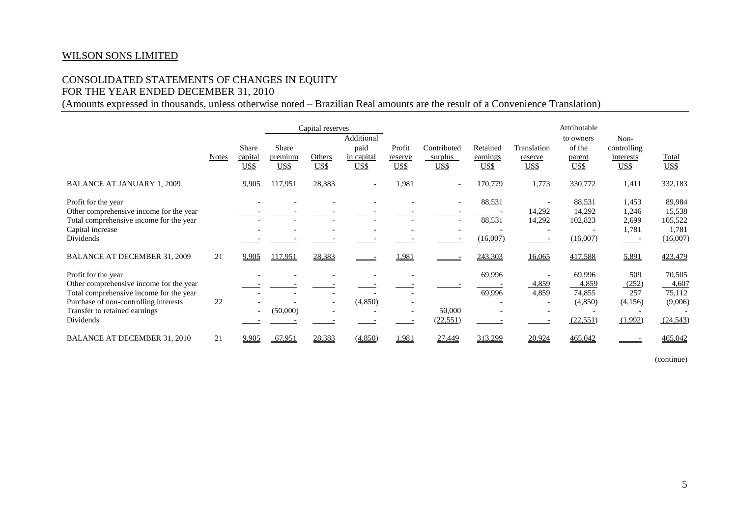# CONSOLIDATED STATEMENTS OF CHANGES IN EQUITY FOR THE YEAR ENDED DECEMBER 31, 2010

(Amounts expressed in thousands, unless otherwise noted – Brazilian Real amounts are the result of a Convenience Translation)

|                                                                                                                                                                                                  |              |                                 | Capital reserves                |                       |                                                 |                           | Attributable                   |                              |                                |                                                   |                                                 |                                                   |
|--------------------------------------------------------------------------------------------------------------------------------------------------------------------------------------------------|--------------|---------------------------------|---------------------------------|-----------------------|-------------------------------------------------|---------------------------|--------------------------------|------------------------------|--------------------------------|---------------------------------------------------|-------------------------------------------------|---------------------------------------------------|
|                                                                                                                                                                                                  | <b>Notes</b> | Share<br>capital<br><u>US\$</u> | Share<br>premium<br><b>US\$</b> | Others<br><u>US\$</u> | Additional<br>paid<br>in capital<br><b>US\$</b> | Profit<br>reserve<br>US\$ | Contributed<br>surplus<br>US\$ | Retained<br>earnings<br>US\$ | Translation<br>reserve<br>US\$ | to owners<br>of the<br>parent<br>US\$             | Non-<br>controlling<br>interests<br><u>US\$</u> | <b>Total</b><br>US\$                              |
| <b>BALANCE AT JANUARY 1, 2009</b>                                                                                                                                                                |              | 9,905                           | 117,951                         | 28,383                |                                                 | 1,981                     |                                | 170,779                      | 1,773                          | 330,772                                           | 1,411                                           | 332,183                                           |
| Profit for the year<br>Other comprehensive income for the year<br>Total comprehensive income for the year<br>Capital increase<br>Dividends                                                       |              |                                 |                                 |                       |                                                 |                           |                                | 88,531<br>88,531<br>(16,007) | 14,292<br>14,292               | 88,531<br>14,292<br>102,823<br>(16,007)           | 1,453<br>1,246<br>2,699<br>1,781                | 89,984<br>15,538<br>105,522<br>1,781<br>(16,007)  |
| BALANCE AT DECEMBER 31, 2009                                                                                                                                                                     | 21           | 9,905                           | 117,951                         | 28,383                |                                                 | 1,981                     |                                | 243,303                      | 16,065                         | 417,588                                           | 5,891                                           | 423,479                                           |
| Profit for the year<br>Other comprehensive income for the year<br>Total comprehensive income for the year<br>Purchase of non-controlling interests<br>Transfer to retained earnings<br>Dividends | 22           |                                 | (50,000)                        |                       | (4, 850)                                        |                           | 50,000<br>(22, 551)            | 69,996<br>69,996             | 4,859<br>4,859                 | 69,996<br>4,859<br>74,855<br>(4,850)<br>(22, 551) | 509<br>(252)<br>257<br>(4,156)<br>(1,992)       | 70,505<br>4,607<br>75,112<br>(9,006)<br>(24, 543) |
| <b>BALANCE AT DECEMBER 31, 2010</b>                                                                                                                                                              | 21           | 9,905                           | 67,951                          | 28,383                | (4,850)                                         | 1,981                     | 27,449                         | 313,299                      | 20,924                         | 465,042                                           |                                                 | 465,042                                           |

(continue)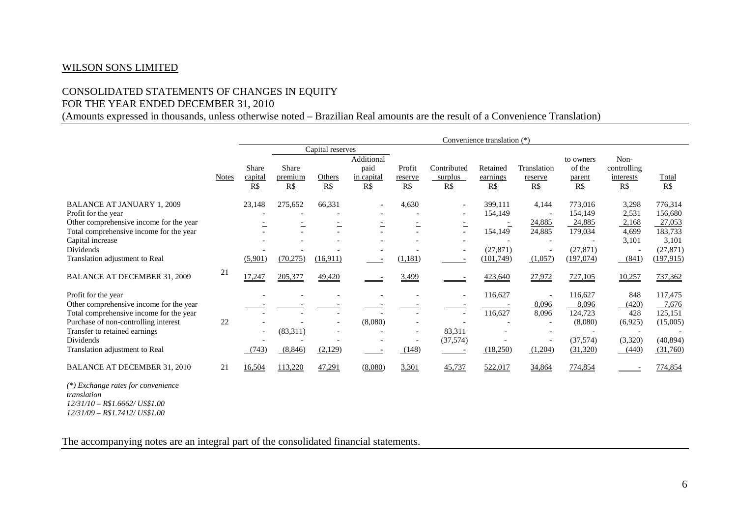# CONSOLIDATED STATEMENTS OF CHANGES IN EQUITY FOR THE YEAR ENDED DECEMBER 31, 2010

(Amounts expressed in thousands, unless otherwise noted – Brazilian Real amounts are the result of a Convenience Translation)

|                                                                                                                          |              | Convenience translation (*) |                         |                  |                                                    |                                                      |                                |                             |                                                                 |                                      |                                         |                                  |
|--------------------------------------------------------------------------------------------------------------------------|--------------|-----------------------------|-------------------------|------------------|----------------------------------------------------|------------------------------------------------------|--------------------------------|-----------------------------|-----------------------------------------------------------------|--------------------------------------|-----------------------------------------|----------------------------------|
|                                                                                                                          |              |                             |                         | Capital reserves |                                                    |                                                      |                                |                             |                                                                 |                                      |                                         |                                  |
|                                                                                                                          | <b>Notes</b> | Share<br>capital<br>$R\$    | Share<br>premium<br>R\$ | Others<br>R\$    | Additional<br>paid<br>in capital<br>R <sub>2</sub> | Profit<br>reserve<br>$R\$                            | Contributed<br>surplus<br>$R\$ | Retained<br>earnings<br>R\$ | Translation<br>reserve<br>$R\$                                  | to owners<br>of the<br>parent<br>R\$ | Non-<br>controlling<br>interests<br>R\$ | <b>Total</b><br>R <sub>3</sub>   |
| <b>BALANCE AT JANUARY 1, 2009</b><br>Profit for the year                                                                 |              | 23,148                      | 275,652                 | 66,331           |                                                    | 4,630                                                |                                | 399.111<br>154,149          | 4,144<br>$\overline{\phantom{a}}$                               | 773,016<br>154,149                   | 3,298<br>2,531                          | 776,314<br>156,680               |
| Other comprehensive income for the year<br>Total comprehensive income for the year                                       |              |                             |                         | $\equiv$         |                                                    | ÷,                                                   |                                | 154,149                     | 24,885<br>24,885                                                | 24,885<br>179,034                    | 2,168<br>4,699                          | 27,053<br>183,733                |
| Capital increase<br>Dividends<br>Translation adjustment to Real                                                          |              | (5,901)                     | (70, 275)               | (16,911)         |                                                    | (1, 181)                                             |                                | (27, 871)<br>(101, 749)     | $\overline{\phantom{a}}$<br>$\overline{\phantom{a}}$<br>(1,057) | (27, 871)<br>(197,074)               | 3,101<br>(841)                          | 3,101<br>(27, 871)<br>(197, 915) |
| <b>BALANCE AT DECEMBER 31, 2009</b>                                                                                      | 21           | 17,247                      | 205,377                 | 49,420           |                                                    | 3,499                                                |                                | 423,640                     | 27,972                                                          | 727,105                              | 10,257                                  | 737,362                          |
| Profit for the year<br>Other comprehensive income for the year                                                           |              |                             |                         |                  |                                                    |                                                      |                                | 116,627                     | 8,096                                                           | 116,627<br>8,096                     | 848<br>(420)                            | 117,475<br>7,676                 |
| Total comprehensive income for the year<br>Purchase of non-controlling interest                                          | 22           |                             |                         |                  | (8,080)                                            |                                                      |                                | 116,627                     | 8,096<br>$\overline{\phantom{a}}$                               | 124,723<br>(8,080)                   | 428<br>(6,925)                          | 125,151<br>(15,005)              |
| Transfer to retained earnings<br>Dividends                                                                               |              |                             | (83,311)                |                  |                                                    | $\overline{\phantom{a}}$<br>$\overline{\phantom{a}}$ | 83,311<br>(37,574)             |                             | $\blacksquare$                                                  | (37,574)                             | (3,320)                                 | (40, 894)                        |
| Translation adjustment to Real                                                                                           |              | (743)                       | (8,846)                 | (2,129)          |                                                    | (148)                                                |                                | (18,250)                    | (1,204)                                                         | (31, 320)                            | (440)                                   | (31,760)                         |
| <b>BALANCE AT DECEMBER 31, 2010</b><br>(*) Exchange rates for convenience<br>translation<br>$12/21/10$ Del 6662/11561.00 | 21           | 16,504                      | 113,220                 | 47,291           | (8,080)                                            | 3,301                                                | 45,737                         | 522,017                     | 34,864                                                          | 774,854                              |                                         | 774,854                          |

*12/31/10 – R\$1.6662/ US\$1.00* 

*12/31/09 – R\$1.7412/ US\$1.00* 

The accompanying notes are an integral part of the consolidated financial statements.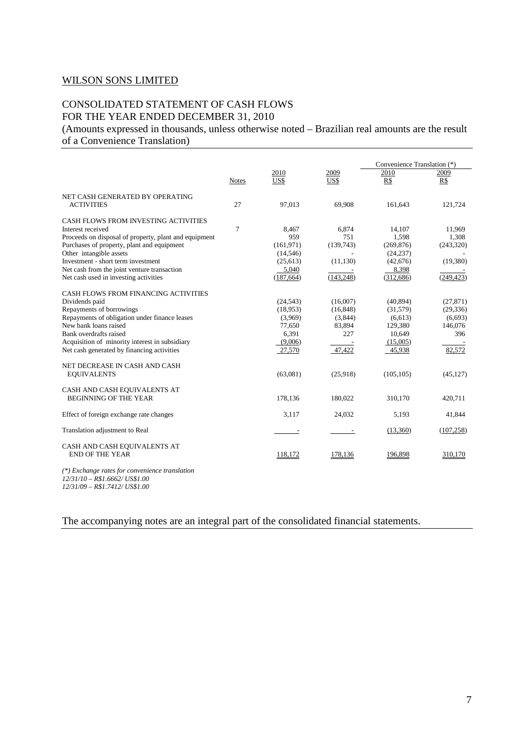# CONSOLIDATED STATEMENT OF CASH FLOWS FOR THE YEAR ENDED DECEMBER 31, 2010

(Amounts expressed in thousands, unless otherwise noted – Brazilian real amounts are the result of a Convenience Translation)

|                                                       |              |              |              | Convenience Translation (*) |             |  |
|-------------------------------------------------------|--------------|--------------|--------------|-----------------------------|-------------|--|
|                                                       | <b>Notes</b> | 2010<br>US\$ | 2009<br>US\$ | 2010<br>R\$                 | 2009<br>R\$ |  |
| NET CASH GENERATED BY OPERATING                       |              |              |              |                             |             |  |
| <b>ACTIVITIES</b>                                     | 27           | 97.013       | 69,908       | 161,643                     | 121,724     |  |
| CASH FLOWS FROM INVESTING ACTIVITIES                  |              |              |              |                             |             |  |
| Interest received                                     | 7            | 8,467        | 6,874        | 14,107                      | 11,969      |  |
| Proceeds on disposal of property, plant and equipment |              | 959          | 751          | 1,598                       | 1,308       |  |
| Purchases of property, plant and equipment            |              | (161, 971)   | (139, 743)   | (269, 876)                  | (243, 320)  |  |
| Other intangible assets                               |              | (14, 546)    |              | (24, 237)                   |             |  |
| Investment - short term investment                    |              | (25, 613)    | (11, 130)    | (42,676)                    | (19,380)    |  |
| Net cash from the joint venture transaction           |              | 5,040        |              | 8,398                       |             |  |
| Net cash used in investing activities                 |              | (187, 664)   | (143, 248)   | (312, 686)                  | (249, 423)  |  |
|                                                       |              |              |              |                             |             |  |
| CASH FLOWS FROM FINANCING ACTIVITIES                  |              |              |              |                             |             |  |
| Dividends paid                                        |              | (24, 543)    | (16,007)     | (40, 894)                   | (27, 871)   |  |
| Repayments of borrowings                              |              | (18,953)     | (16, 848)    | (31,579)                    | (29, 336)   |  |
| Repayments of obligation under finance leases         |              | (3,969)      | (3,844)      | (6,613)                     | (6,693)     |  |
| New bank loans raised                                 |              | 77,650       | 83,894       | 129,380                     | 146,076     |  |
| Bank overdrafts raised                                |              | 6,391        | 227          | 10,649                      | 396         |  |
| Acquisition of minority interest in subsidiary        |              | (9,006)      |              | (15,005)                    |             |  |
| Net cash generated by financing activities            |              | 27,570       | 47,422       | 45,938                      | 82,572      |  |
|                                                       |              |              |              |                             |             |  |
| NET DECREASE IN CASH AND CASH                         |              |              |              |                             |             |  |
| <b>EQUIVALENTS</b>                                    |              | (63,081)     | (25,918)     | (105, 105)                  | (45, 127)   |  |
|                                                       |              |              |              |                             |             |  |
| CASH AND CASH EQUIVALENTS AT                          |              |              |              |                             |             |  |
| <b>BEGINNING OF THE YEAR</b>                          |              | 178,136      | 180,022      | 310,170                     | 420,711     |  |
|                                                       |              |              |              |                             |             |  |
| Effect of foreign exchange rate changes               |              | 3,117        | 24,032       | 5,193                       | 41,844      |  |
|                                                       |              |              |              |                             |             |  |
| Translation adjustment to Real                        |              |              |              | (13,360)                    | (107, 258)  |  |
|                                                       |              |              |              |                             |             |  |
| CASH AND CASH EQUIVALENTS AT                          |              |              |              |                             |             |  |
| <b>END OF THE YEAR</b>                                |              | 118,172      | 178,136      | 196,898                     | 310,170     |  |
|                                                       |              |              |              |                             |             |  |
| $(*)$ Exchange rates for convenience translation      |              |              |              |                             |             |  |
| $12/31/10 - R$1.6662/US$1.00$                         |              |              |              |                             |             |  |

*12/31/09 – R\$1.7412/ US\$1.00* 

The accompanying notes are an integral part of the consolidated financial statements.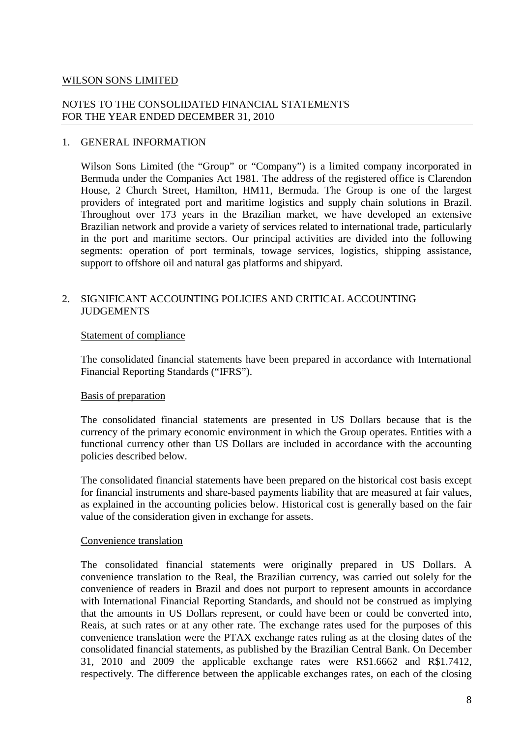# NOTES TO THE CONSOLIDATED FINANCIAL STATEMENTS FOR THE YEAR ENDED DECEMBER 31, 2010

#### 1. GENERAL INFORMATION

Wilson Sons Limited (the "Group" or "Company") is a limited company incorporated in Bermuda under the Companies Act 1981. The address of the registered office is Clarendon House, 2 Church Street, Hamilton, HM11, Bermuda. The Group is one of the largest providers of integrated port and maritime logistics and supply chain solutions in Brazil. Throughout over 173 years in the Brazilian market, we have developed an extensive Brazilian network and provide a variety of services related to international trade, particularly in the port and maritime sectors. Our principal activities are divided into the following segments: operation of port terminals, towage services, logistics, shipping assistance, support to offshore oil and natural gas platforms and shipyard.

# 2. SIGNIFICANT ACCOUNTING POLICIES AND CRITICAL ACCOUNTING JUDGEMENTS

#### Statement of compliance

The consolidated financial statements have been prepared in accordance with International Financial Reporting Standards ("IFRS").

#### Basis of preparation

The consolidated financial statements are presented in US Dollars because that is the currency of the primary economic environment in which the Group operates. Entities with a functional currency other than US Dollars are included in accordance with the accounting policies described below.

The consolidated financial statements have been prepared on the historical cost basis except for financial instruments and share-based payments liability that are measured at fair values, as explained in the accounting policies below. Historical cost is generally based on the fair value of the consideration given in exchange for assets.

#### Convenience translation

The consolidated financial statements were originally prepared in US Dollars. A convenience translation to the Real, the Brazilian currency, was carried out solely for the convenience of readers in Brazil and does not purport to represent amounts in accordance with International Financial Reporting Standards, and should not be construed as implying that the amounts in US Dollars represent, or could have been or could be converted into, Reais, at such rates or at any other rate. The exchange rates used for the purposes of this convenience translation were the PTAX exchange rates ruling as at the closing dates of the consolidated financial statements, as published by the Brazilian Central Bank. On December 31, 2010 and 2009 the applicable exchange rates were R\$1.6662 and R\$1.7412, respectively. The difference between the applicable exchanges rates, on each of the closing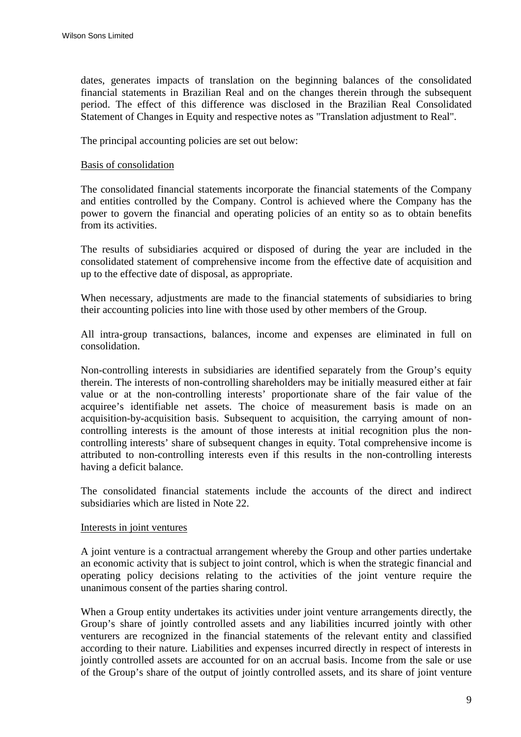dates, generates impacts of translation on the beginning balances of the consolidated financial statements in Brazilian Real and on the changes therein through the subsequent period. The effect of this difference was disclosed in the Brazilian Real Consolidated Statement of Changes in Equity and respective notes as "Translation adjustment to Real".

The principal accounting policies are set out below:

# Basis of consolidation

The consolidated financial statements incorporate the financial statements of the Company and entities controlled by the Company. Control is achieved where the Company has the power to govern the financial and operating policies of an entity so as to obtain benefits from its activities.

The results of subsidiaries acquired or disposed of during the year are included in the consolidated statement of comprehensive income from the effective date of acquisition and up to the effective date of disposal, as appropriate.

When necessary, adjustments are made to the financial statements of subsidiaries to bring their accounting policies into line with those used by other members of the Group.

All intra-group transactions, balances, income and expenses are eliminated in full on consolidation.

Non-controlling interests in subsidiaries are identified separately from the Group's equity therein. The interests of non-controlling shareholders may be initially measured either at fair value or at the non-controlling interests' proportionate share of the fair value of the acquiree's identifiable net assets. The choice of measurement basis is made on an acquisition-by-acquisition basis. Subsequent to acquisition, the carrying amount of noncontrolling interests is the amount of those interests at initial recognition plus the noncontrolling interests' share of subsequent changes in equity. Total comprehensive income is attributed to non-controlling interests even if this results in the non-controlling interests having a deficit balance.

The consolidated financial statements include the accounts of the direct and indirect subsidiaries which are listed in Note 22.

# Interests in joint ventures

A joint venture is a contractual arrangement whereby the Group and other parties undertake an economic activity that is subject to joint control, which is when the strategic financial and operating policy decisions relating to the activities of the joint venture require the unanimous consent of the parties sharing control.

When a Group entity undertakes its activities under joint venture arrangements directly, the Group's share of jointly controlled assets and any liabilities incurred jointly with other venturers are recognized in the financial statements of the relevant entity and classified according to their nature. Liabilities and expenses incurred directly in respect of interests in jointly controlled assets are accounted for on an accrual basis. Income from the sale or use of the Group's share of the output of jointly controlled assets, and its share of joint venture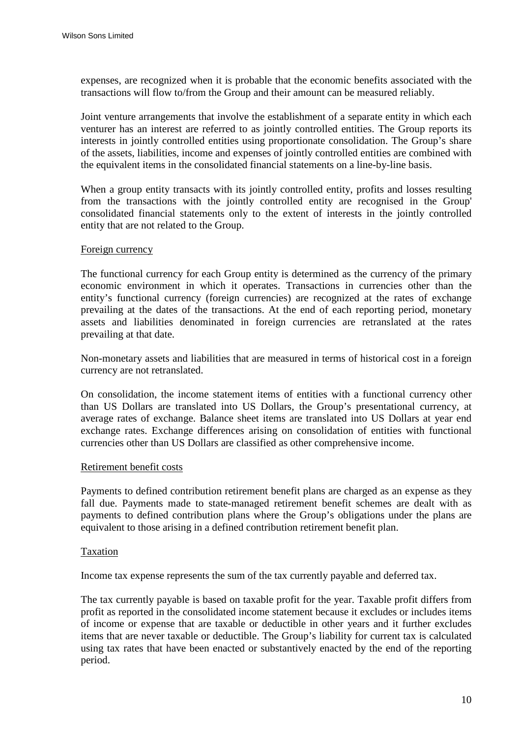expenses, are recognized when it is probable that the economic benefits associated with the transactions will flow to/from the Group and their amount can be measured reliably.

Joint venture arrangements that involve the establishment of a separate entity in which each venturer has an interest are referred to as jointly controlled entities. The Group reports its interests in jointly controlled entities using proportionate consolidation. The Group's share of the assets, liabilities, income and expenses of jointly controlled entities are combined with the equivalent items in the consolidated financial statements on a line-by-line basis.

When a group entity transacts with its jointly controlled entity, profits and losses resulting from the transactions with the jointly controlled entity are recognised in the Group' consolidated financial statements only to the extent of interests in the jointly controlled entity that are not related to the Group.

#### Foreign currency

The functional currency for each Group entity is determined as the currency of the primary economic environment in which it operates. Transactions in currencies other than the entity's functional currency (foreign currencies) are recognized at the rates of exchange prevailing at the dates of the transactions. At the end of each reporting period, monetary assets and liabilities denominated in foreign currencies are retranslated at the rates prevailing at that date.

Non-monetary assets and liabilities that are measured in terms of historical cost in a foreign currency are not retranslated.

On consolidation, the income statement items of entities with a functional currency other than US Dollars are translated into US Dollars, the Group's presentational currency, at average rates of exchange. Balance sheet items are translated into US Dollars at year end exchange rates. Exchange differences arising on consolidation of entities with functional currencies other than US Dollars are classified as other comprehensive income.

#### Retirement benefit costs

Payments to defined contribution retirement benefit plans are charged as an expense as they fall due. Payments made to state-managed retirement benefit schemes are dealt with as payments to defined contribution plans where the Group's obligations under the plans are equivalent to those arising in a defined contribution retirement benefit plan.

# Taxation

Income tax expense represents the sum of the tax currently payable and deferred tax.

The tax currently payable is based on taxable profit for the year. Taxable profit differs from profit as reported in the consolidated income statement because it excludes or includes items of income or expense that are taxable or deductible in other years and it further excludes items that are never taxable or deductible. The Group's liability for current tax is calculated using tax rates that have been enacted or substantively enacted by the end of the reporting period.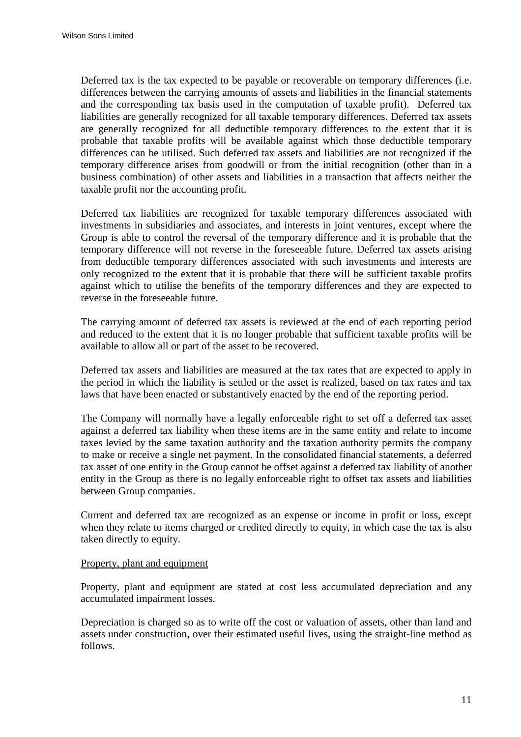Deferred tax is the tax expected to be payable or recoverable on temporary differences (i.e. differences between the carrying amounts of assets and liabilities in the financial statements and the corresponding tax basis used in the computation of taxable profit). Deferred tax liabilities are generally recognized for all taxable temporary differences. Deferred tax assets are generally recognized for all deductible temporary differences to the extent that it is probable that taxable profits will be available against which those deductible temporary differences can be utilised. Such deferred tax assets and liabilities are not recognized if the temporary difference arises from goodwill or from the initial recognition (other than in a business combination) of other assets and liabilities in a transaction that affects neither the taxable profit nor the accounting profit.

Deferred tax liabilities are recognized for taxable temporary differences associated with investments in subsidiaries and associates, and interests in joint ventures, except where the Group is able to control the reversal of the temporary difference and it is probable that the temporary difference will not reverse in the foreseeable future. Deferred tax assets arising from deductible temporary differences associated with such investments and interests are only recognized to the extent that it is probable that there will be sufficient taxable profits against which to utilise the benefits of the temporary differences and they are expected to reverse in the foreseeable future.

The carrying amount of deferred tax assets is reviewed at the end of each reporting period and reduced to the extent that it is no longer probable that sufficient taxable profits will be available to allow all or part of the asset to be recovered.

Deferred tax assets and liabilities are measured at the tax rates that are expected to apply in the period in which the liability is settled or the asset is realized, based on tax rates and tax laws that have been enacted or substantively enacted by the end of the reporting period.

The Company will normally have a legally enforceable right to set off a deferred tax asset against a deferred tax liability when these items are in the same entity and relate to income taxes levied by the same taxation authority and the taxation authority permits the company to make or receive a single net payment. In the consolidated financial statements, a deferred tax asset of one entity in the Group cannot be offset against a deferred tax liability of another entity in the Group as there is no legally enforceable right to offset tax assets and liabilities between Group companies.

Current and deferred tax are recognized as an expense or income in profit or loss, except when they relate to items charged or credited directly to equity, in which case the tax is also taken directly to equity.

#### Property, plant and equipment

Property, plant and equipment are stated at cost less accumulated depreciation and any accumulated impairment losses.

Depreciation is charged so as to write off the cost or valuation of assets, other than land and assets under construction, over their estimated useful lives, using the straight-line method as follows.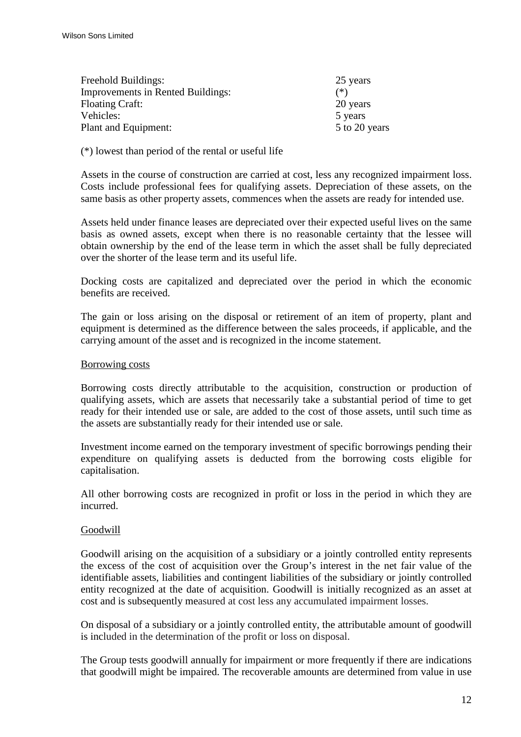| <b>Freehold Buildings:</b>               | 25 years      |
|------------------------------------------|---------------|
| <b>Improvements in Rented Buildings:</b> | $(*)$         |
| <b>Floating Craft:</b>                   | 20 years      |
| Vehicles:                                | 5 years       |
| Plant and Equipment:                     | 5 to 20 years |

(\*) lowest than period of the rental or useful life

Assets in the course of construction are carried at cost, less any recognized impairment loss. Costs include professional fees for qualifying assets. Depreciation of these assets, on the same basis as other property assets, commences when the assets are ready for intended use.

Assets held under finance leases are depreciated over their expected useful lives on the same basis as owned assets, except when there is no reasonable certainty that the lessee will obtain ownership by the end of the lease term in which the asset shall be fully depreciated over the shorter of the lease term and its useful life.

Docking costs are capitalized and depreciated over the period in which the economic benefits are received.

The gain or loss arising on the disposal or retirement of an item of property, plant and equipment is determined as the difference between the sales proceeds, if applicable, and the carrying amount of the asset and is recognized in the income statement.

#### Borrowing costs

Borrowing costs directly attributable to the acquisition, construction or production of qualifying assets, which are assets that necessarily take a substantial period of time to get ready for their intended use or sale, are added to the cost of those assets, until such time as the assets are substantially ready for their intended use or sale.

Investment income earned on the temporary investment of specific borrowings pending their expenditure on qualifying assets is deducted from the borrowing costs eligible for capitalisation.

All other borrowing costs are recognized in profit or loss in the period in which they are incurred.

# Goodwill

Goodwill arising on the acquisition of a subsidiary or a jointly controlled entity represents the excess of the cost of acquisition over the Group's interest in the net fair value of the identifiable assets, liabilities and contingent liabilities of the subsidiary or jointly controlled entity recognized at the date of acquisition. Goodwill is initially recognized as an asset at cost and is subsequently measured at cost less any accumulated impairment losses.

On disposal of a subsidiary or a jointly controlled entity, the attributable amount of goodwill is included in the determination of the profit or loss on disposal.

The Group tests goodwill annually for impairment or more frequently if there are indications that goodwill might be impaired. The recoverable amounts are determined from value in use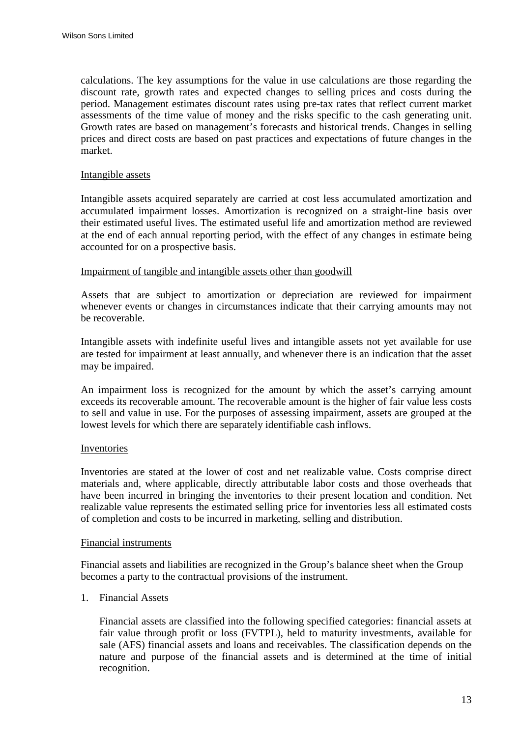calculations. The key assumptions for the value in use calculations are those regarding the discount rate, growth rates and expected changes to selling prices and costs during the period. Management estimates discount rates using pre-tax rates that reflect current market assessments of the time value of money and the risks specific to the cash generating unit. Growth rates are based on management's forecasts and historical trends. Changes in selling prices and direct costs are based on past practices and expectations of future changes in the market.

#### Intangible assets

Intangible assets acquired separately are carried at cost less accumulated amortization and accumulated impairment losses. Amortization is recognized on a straight-line basis over their estimated useful lives. The estimated useful life and amortization method are reviewed at the end of each annual reporting period, with the effect of any changes in estimate being accounted for on a prospective basis.

#### Impairment of tangible and intangible assets other than goodwill

Assets that are subject to amortization or depreciation are reviewed for impairment whenever events or changes in circumstances indicate that their carrying amounts may not be recoverable.

Intangible assets with indefinite useful lives and intangible assets not yet available for use are tested for impairment at least annually, and whenever there is an indication that the asset may be impaired.

An impairment loss is recognized for the amount by which the asset's carrying amount exceeds its recoverable amount. The recoverable amount is the higher of fair value less costs to sell and value in use. For the purposes of assessing impairment, assets are grouped at the lowest levels for which there are separately identifiable cash inflows.

# Inventories

Inventories are stated at the lower of cost and net realizable value. Costs comprise direct materials and, where applicable, directly attributable labor costs and those overheads that have been incurred in bringing the inventories to their present location and condition. Net realizable value represents the estimated selling price for inventories less all estimated costs of completion and costs to be incurred in marketing, selling and distribution.

#### Financial instruments

Financial assets and liabilities are recognized in the Group's balance sheet when the Group becomes a party to the contractual provisions of the instrument.

#### 1. Financial Assets

Financial assets are classified into the following specified categories: financial assets at fair value through profit or loss (FVTPL), held to maturity investments, available for sale (AFS) financial assets and loans and receivables. The classification depends on the nature and purpose of the financial assets and is determined at the time of initial recognition.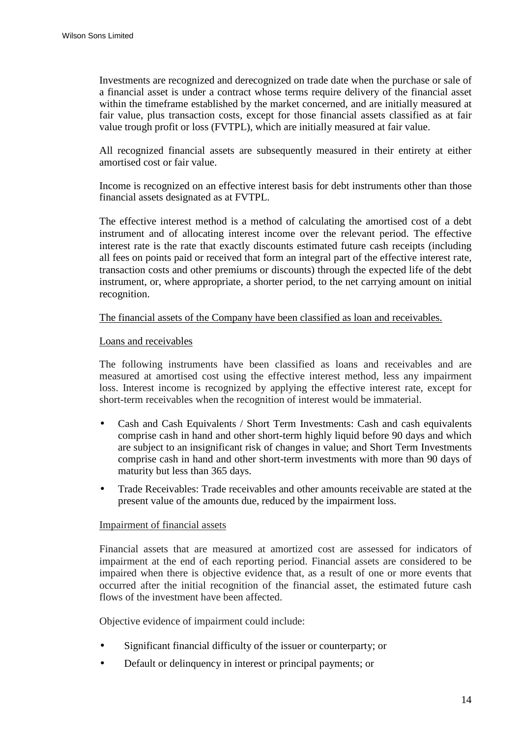Investments are recognized and derecognized on trade date when the purchase or sale of a financial asset is under a contract whose terms require delivery of the financial asset within the timeframe established by the market concerned, and are initially measured at fair value, plus transaction costs, except for those financial assets classified as at fair value trough profit or loss (FVTPL), which are initially measured at fair value.

All recognized financial assets are subsequently measured in their entirety at either amortised cost or fair value.

Income is recognized on an effective interest basis for debt instruments other than those financial assets designated as at FVTPL.

The effective interest method is a method of calculating the amortised cost of a debt instrument and of allocating interest income over the relevant period. The effective interest rate is the rate that exactly discounts estimated future cash receipts (including all fees on points paid or received that form an integral part of the effective interest rate, transaction costs and other premiums or discounts) through the expected life of the debt instrument, or, where appropriate, a shorter period, to the net carrying amount on initial recognition.

The financial assets of the Company have been classified as loan and receivables.

#### Loans and receivables

The following instruments have been classified as loans and receivables and are measured at amortised cost using the effective interest method, less any impairment loss. Interest income is recognized by applying the effective interest rate, except for short-term receivables when the recognition of interest would be immaterial.

- Cash and Cash Equivalents / Short Term Investments: Cash and cash equivalents comprise cash in hand and other short-term highly liquid before 90 days and which are subject to an insignificant risk of changes in value; and Short Term Investments comprise cash in hand and other short-term investments with more than 90 days of maturity but less than 365 days.
- Trade Receivables: Trade receivables and other amounts receivable are stated at the present value of the amounts due, reduced by the impairment loss.

#### Impairment of financial assets

Financial assets that are measured at amortized cost are assessed for indicators of impairment at the end of each reporting period. Financial assets are considered to be impaired when there is objective evidence that, as a result of one or more events that occurred after the initial recognition of the financial asset, the estimated future cash flows of the investment have been affected.

Objective evidence of impairment could include:

- Significant financial difficulty of the issuer or counterparty; or
- Default or delinquency in interest or principal payments; or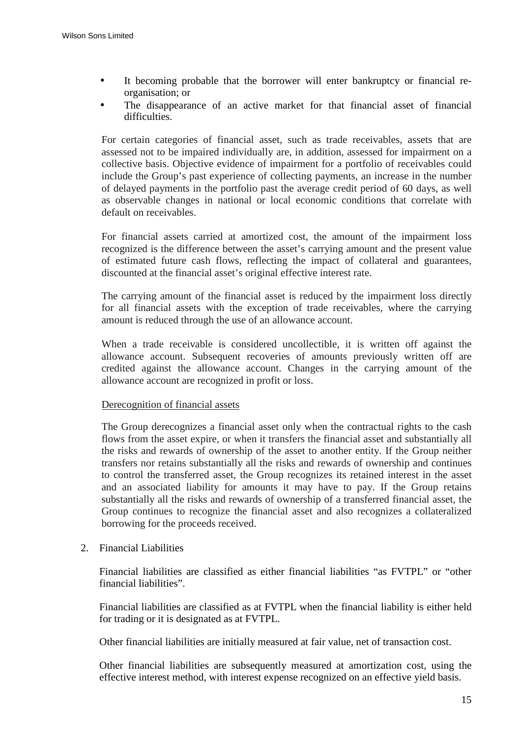- It becoming probable that the borrower will enter bankruptcy or financial reorganisation; or
- The disappearance of an active market for that financial asset of financial difficulties.

For certain categories of financial asset, such as trade receivables, assets that are assessed not to be impaired individually are, in addition, assessed for impairment on a collective basis. Objective evidence of impairment for a portfolio of receivables could include the Group's past experience of collecting payments, an increase in the number of delayed payments in the portfolio past the average credit period of 60 days, as well as observable changes in national or local economic conditions that correlate with default on receivables.

For financial assets carried at amortized cost, the amount of the impairment loss recognized is the difference between the asset's carrying amount and the present value of estimated future cash flows, reflecting the impact of collateral and guarantees, discounted at the financial asset's original effective interest rate.

The carrying amount of the financial asset is reduced by the impairment loss directly for all financial assets with the exception of trade receivables, where the carrying amount is reduced through the use of an allowance account.

When a trade receivable is considered uncollectible, it is written off against the allowance account. Subsequent recoveries of amounts previously written off are credited against the allowance account. Changes in the carrying amount of the allowance account are recognized in profit or loss.

#### Derecognition of financial assets

The Group derecognizes a financial asset only when the contractual rights to the cash flows from the asset expire, or when it transfers the financial asset and substantially all the risks and rewards of ownership of the asset to another entity. If the Group neither transfers nor retains substantially all the risks and rewards of ownership and continues to control the transferred asset, the Group recognizes its retained interest in the asset and an associated liability for amounts it may have to pay. If the Group retains substantially all the risks and rewards of ownership of a transferred financial asset, the Group continues to recognize the financial asset and also recognizes a collateralized borrowing for the proceeds received.

# 2. Financial Liabilities

Financial liabilities are classified as either financial liabilities "as FVTPL" or "other financial liabilities".

Financial liabilities are classified as at FVTPL when the financial liability is either held for trading or it is designated as at FVTPL.

Other financial liabilities are initially measured at fair value, net of transaction cost.

Other financial liabilities are subsequently measured at amortization cost, using the effective interest method, with interest expense recognized on an effective yield basis.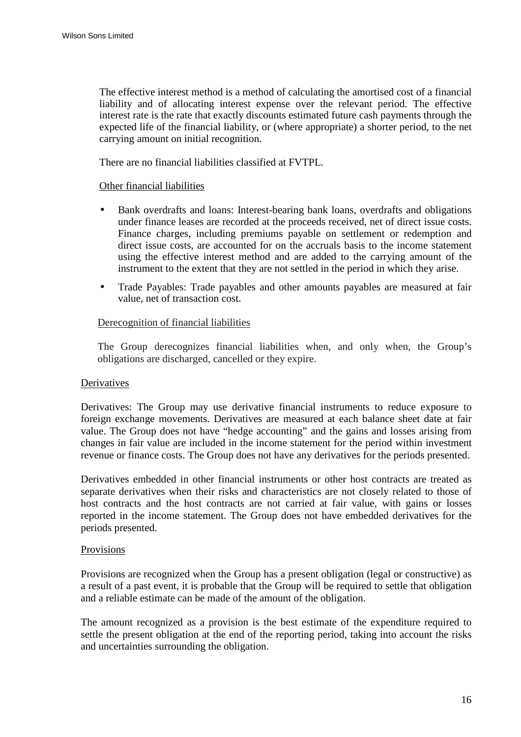The effective interest method is a method of calculating the amortised cost of a financial liability and of allocating interest expense over the relevant period. The effective interest rate is the rate that exactly discounts estimated future cash payments through the expected life of the financial liability, or (where appropriate) a shorter period, to the net carrying amount on initial recognition.

There are no financial liabilities classified at FVTPL.

#### Other financial liabilities

- Bank overdrafts and loans: Interest-bearing bank loans, overdrafts and obligations under finance leases are recorded at the proceeds received, net of direct issue costs. Finance charges, including premiums payable on settlement or redemption and direct issue costs, are accounted for on the accruals basis to the income statement using the effective interest method and are added to the carrying amount of the instrument to the extent that they are not settled in the period in which they arise.
- Trade Payables: Trade payables and other amounts payables are measured at fair value, net of transaction cost.

#### Derecognition of financial liabilities

The Group derecognizes financial liabilities when, and only when, the Group's obligations are discharged, cancelled or they expire.

# Derivatives

Derivatives: The Group may use derivative financial instruments to reduce exposure to foreign exchange movements. Derivatives are measured at each balance sheet date at fair value. The Group does not have "hedge accounting" and the gains and losses arising from changes in fair value are included in the income statement for the period within investment revenue or finance costs. The Group does not have any derivatives for the periods presented.

Derivatives embedded in other financial instruments or other host contracts are treated as separate derivatives when their risks and characteristics are not closely related to those of host contracts and the host contracts are not carried at fair value, with gains or losses reported in the income statement. The Group does not have embedded derivatives for the periods presented.

#### Provisions

Provisions are recognized when the Group has a present obligation (legal or constructive) as a result of a past event, it is probable that the Group will be required to settle that obligation and a reliable estimate can be made of the amount of the obligation.

The amount recognized as a provision is the best estimate of the expenditure required to settle the present obligation at the end of the reporting period, taking into account the risks and uncertainties surrounding the obligation.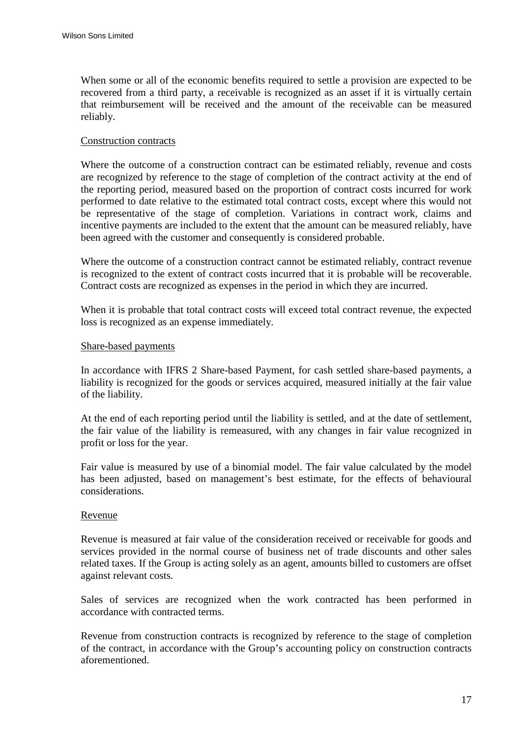When some or all of the economic benefits required to settle a provision are expected to be recovered from a third party, a receivable is recognized as an asset if it is virtually certain that reimbursement will be received and the amount of the receivable can be measured reliably.

# Construction contracts

Where the outcome of a construction contract can be estimated reliably, revenue and costs are recognized by reference to the stage of completion of the contract activity at the end of the reporting period, measured based on the proportion of contract costs incurred for work performed to date relative to the estimated total contract costs, except where this would not be representative of the stage of completion. Variations in contract work, claims and incentive payments are included to the extent that the amount can be measured reliably, have been agreed with the customer and consequently is considered probable.

Where the outcome of a construction contract cannot be estimated reliably, contract revenue is recognized to the extent of contract costs incurred that it is probable will be recoverable. Contract costs are recognized as expenses in the period in which they are incurred.

When it is probable that total contract costs will exceed total contract revenue, the expected loss is recognized as an expense immediately.

# Share-based payments

In accordance with IFRS 2 Share-based Payment, for cash settled share-based payments, a liability is recognized for the goods or services acquired, measured initially at the fair value of the liability.

At the end of each reporting period until the liability is settled, and at the date of settlement, the fair value of the liability is remeasured, with any changes in fair value recognized in profit or loss for the year.

Fair value is measured by use of a binomial model. The fair value calculated by the model has been adjusted, based on management's best estimate, for the effects of behavioural considerations.

# Revenue

Revenue is measured at fair value of the consideration received or receivable for goods and services provided in the normal course of business net of trade discounts and other sales related taxes. If the Group is acting solely as an agent, amounts billed to customers are offset against relevant costs.

Sales of services are recognized when the work contracted has been performed in accordance with contracted terms.

Revenue from construction contracts is recognized by reference to the stage of completion of the contract, in accordance with the Group's accounting policy on construction contracts aforementioned.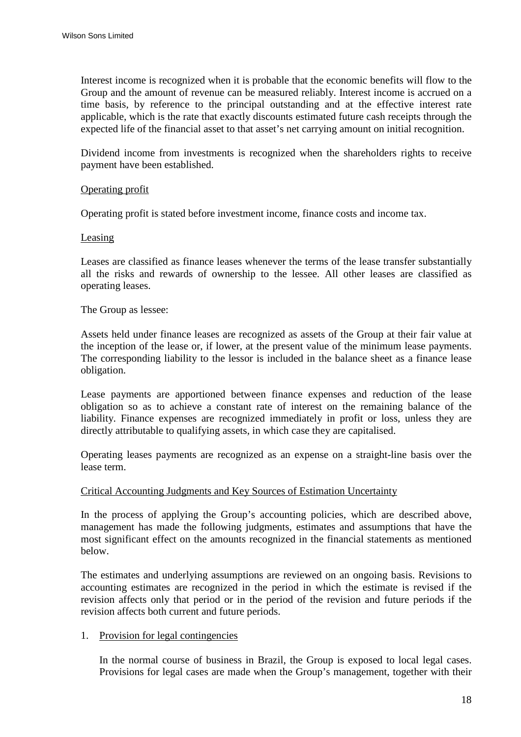Interest income is recognized when it is probable that the economic benefits will flow to the Group and the amount of revenue can be measured reliably. Interest income is accrued on a time basis, by reference to the principal outstanding and at the effective interest rate applicable, which is the rate that exactly discounts estimated future cash receipts through the expected life of the financial asset to that asset's net carrying amount on initial recognition.

Dividend income from investments is recognized when the shareholders rights to receive payment have been established.

# Operating profit

Operating profit is stated before investment income, finance costs and income tax.

# Leasing

Leases are classified as finance leases whenever the terms of the lease transfer substantially all the risks and rewards of ownership to the lessee. All other leases are classified as operating leases.

#### The Group as lessee:

Assets held under finance leases are recognized as assets of the Group at their fair value at the inception of the lease or, if lower, at the present value of the minimum lease payments. The corresponding liability to the lessor is included in the balance sheet as a finance lease obligation.

Lease payments are apportioned between finance expenses and reduction of the lease obligation so as to achieve a constant rate of interest on the remaining balance of the liability. Finance expenses are recognized immediately in profit or loss, unless they are directly attributable to qualifying assets, in which case they are capitalised.

Operating leases payments are recognized as an expense on a straight-line basis over the lease term.

# Critical Accounting Judgments and Key Sources of Estimation Uncertainty

In the process of applying the Group's accounting policies, which are described above, management has made the following judgments, estimates and assumptions that have the most significant effect on the amounts recognized in the financial statements as mentioned below.

The estimates and underlying assumptions are reviewed on an ongoing basis. Revisions to accounting estimates are recognized in the period in which the estimate is revised if the revision affects only that period or in the period of the revision and future periods if the revision affects both current and future periods.

# 1. Provision for legal contingencies

In the normal course of business in Brazil, the Group is exposed to local legal cases. Provisions for legal cases are made when the Group's management, together with their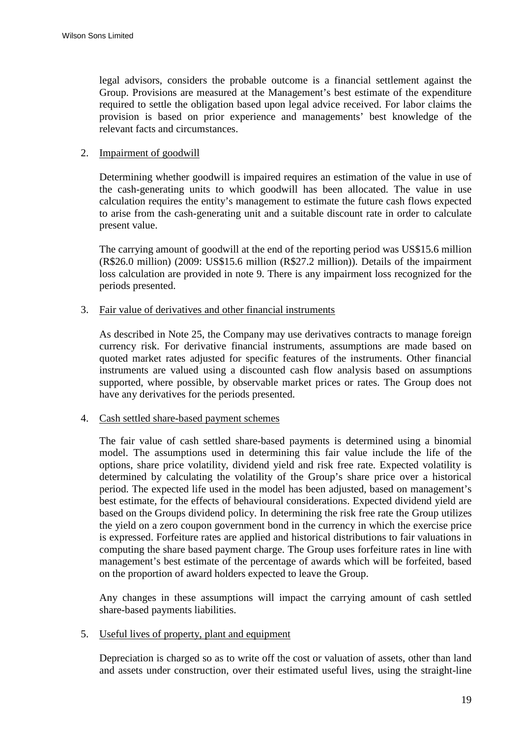legal advisors, considers the probable outcome is a financial settlement against the Group. Provisions are measured at the Management's best estimate of the expenditure required to settle the obligation based upon legal advice received. For labor claims the provision is based on prior experience and managements' best knowledge of the relevant facts and circumstances.

# 2. Impairment of goodwill

Determining whether goodwill is impaired requires an estimation of the value in use of the cash-generating units to which goodwill has been allocated. The value in use calculation requires the entity's management to estimate the future cash flows expected to arise from the cash-generating unit and a suitable discount rate in order to calculate present value.

The carrying amount of goodwill at the end of the reporting period was US\$15.6 million (R\$26.0 million) (2009: US\$15.6 million (R\$27.2 million)). Details of the impairment loss calculation are provided in note 9. There is any impairment loss recognized for the periods presented.

# 3. Fair value of derivatives and other financial instruments

As described in Note 25, the Company may use derivatives contracts to manage foreign currency risk. For derivative financial instruments, assumptions are made based on quoted market rates adjusted for specific features of the instruments. Other financial instruments are valued using a discounted cash flow analysis based on assumptions supported, where possible, by observable market prices or rates. The Group does not have any derivatives for the periods presented.

# 4. Cash settled share-based payment schemes

The fair value of cash settled share-based payments is determined using a binomial model. The assumptions used in determining this fair value include the life of the options, share price volatility, dividend yield and risk free rate. Expected volatility is determined by calculating the volatility of the Group's share price over a historical period. The expected life used in the model has been adjusted, based on management's best estimate, for the effects of behavioural considerations. Expected dividend yield are based on the Groups dividend policy. In determining the risk free rate the Group utilizes the yield on a zero coupon government bond in the currency in which the exercise price is expressed. Forfeiture rates are applied and historical distributions to fair valuations in computing the share based payment charge. The Group uses forfeiture rates in line with management's best estimate of the percentage of awards which will be forfeited, based on the proportion of award holders expected to leave the Group.

Any changes in these assumptions will impact the carrying amount of cash settled share-based payments liabilities.

# 5. Useful lives of property, plant and equipment

Depreciation is charged so as to write off the cost or valuation of assets, other than land and assets under construction, over their estimated useful lives, using the straight-line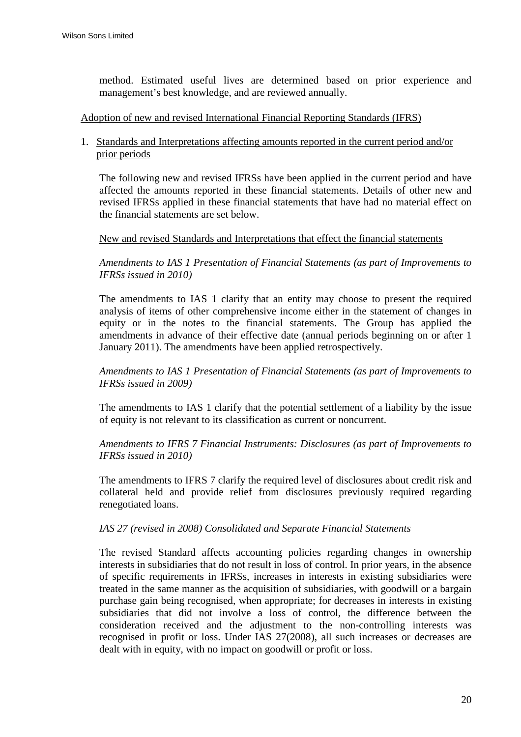method. Estimated useful lives are determined based on prior experience and management's best knowledge, and are reviewed annually.

# Adoption of new and revised International Financial Reporting Standards (IFRS)

# 1. Standards and Interpretations affecting amounts reported in the current period and/or prior periods

The following new and revised IFRSs have been applied in the current period and have affected the amounts reported in these financial statements. Details of other new and revised IFRSs applied in these financial statements that have had no material effect on the financial statements are set below.

# New and revised Standards and Interpretations that effect the financial statements

*Amendments to IAS 1 Presentation of Financial Statements (as part of Improvements to IFRSs issued in 2010)* 

The amendments to IAS 1 clarify that an entity may choose to present the required analysis of items of other comprehensive income either in the statement of changes in equity or in the notes to the financial statements. The Group has applied the amendments in advance of their effective date (annual periods beginning on or after 1 January 2011). The amendments have been applied retrospectively.

*Amendments to IAS 1 Presentation of Financial Statements (as part of Improvements to IFRSs issued in 2009)* 

The amendments to IAS 1 clarify that the potential settlement of a liability by the issue of equity is not relevant to its classification as current or noncurrent.

*Amendments to IFRS 7 Financial Instruments: Disclosures (as part of Improvements to IFRSs issued in 2010)* 

The amendments to IFRS 7 clarify the required level of disclosures about credit risk and collateral held and provide relief from disclosures previously required regarding renegotiated loans.

# *IAS 27 (revised in 2008) Consolidated and Separate Financial Statements*

The revised Standard affects accounting policies regarding changes in ownership interests in subsidiaries that do not result in loss of control. In prior years, in the absence of specific requirements in IFRSs, increases in interests in existing subsidiaries were treated in the same manner as the acquisition of subsidiaries, with goodwill or a bargain purchase gain being recognised, when appropriate; for decreases in interests in existing subsidiaries that did not involve a loss of control, the difference between the consideration received and the adjustment to the non-controlling interests was recognised in profit or loss. Under IAS 27(2008), all such increases or decreases are dealt with in equity, with no impact on goodwill or profit or loss.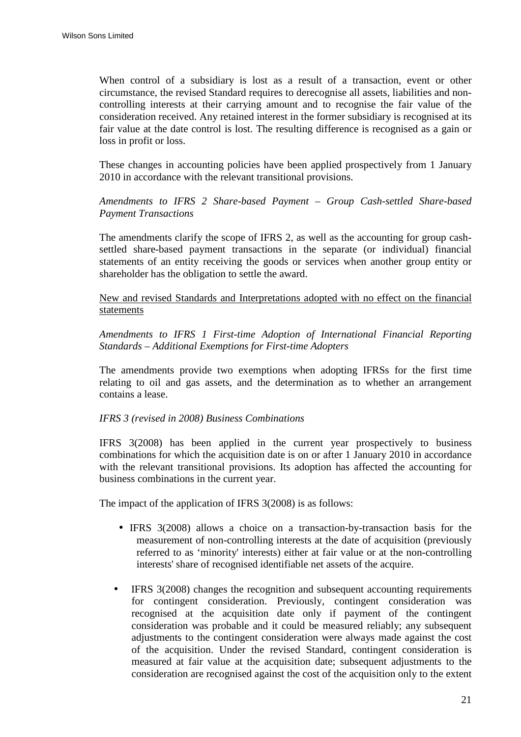When control of a subsidiary is lost as a result of a transaction, event or other circumstance, the revised Standard requires to derecognise all assets, liabilities and noncontrolling interests at their carrying amount and to recognise the fair value of the consideration received. Any retained interest in the former subsidiary is recognised at its fair value at the date control is lost. The resulting difference is recognised as a gain or loss in profit or loss.

These changes in accounting policies have been applied prospectively from 1 January 2010 in accordance with the relevant transitional provisions.

*Amendments to IFRS 2 Share-based Payment – Group Cash-settled Share-based Payment Transactions* 

The amendments clarify the scope of IFRS 2, as well as the accounting for group cashsettled share-based payment transactions in the separate (or individual) financial statements of an entity receiving the goods or services when another group entity or shareholder has the obligation to settle the award.

New and revised Standards and Interpretations adopted with no effect on the financial statements

*Amendments to IFRS 1 First-time Adoption of International Financial Reporting Standards – Additional Exemptions for First-time Adopters* 

The amendments provide two exemptions when adopting IFRSs for the first time relating to oil and gas assets, and the determination as to whether an arrangement contains a lease.

# *IFRS 3 (revised in 2008) Business Combinations*

IFRS 3(2008) has been applied in the current year prospectively to business combinations for which the acquisition date is on or after 1 January 2010 in accordance with the relevant transitional provisions. Its adoption has affected the accounting for business combinations in the current year.

The impact of the application of IFRS 3(2008) is as follows:

- IFRS 3(2008) allows a choice on a transaction-by-transaction basis for the measurement of non-controlling interests at the date of acquisition (previously referred to as 'minority' interests) either at fair value or at the non-controlling interests' share of recognised identifiable net assets of the acquire.
- IFRS 3(2008) changes the recognition and subsequent accounting requirements for contingent consideration. Previously, contingent consideration was recognised at the acquisition date only if payment of the contingent consideration was probable and it could be measured reliably; any subsequent adjustments to the contingent consideration were always made against the cost of the acquisition. Under the revised Standard, contingent consideration is measured at fair value at the acquisition date; subsequent adjustments to the consideration are recognised against the cost of the acquisition only to the extent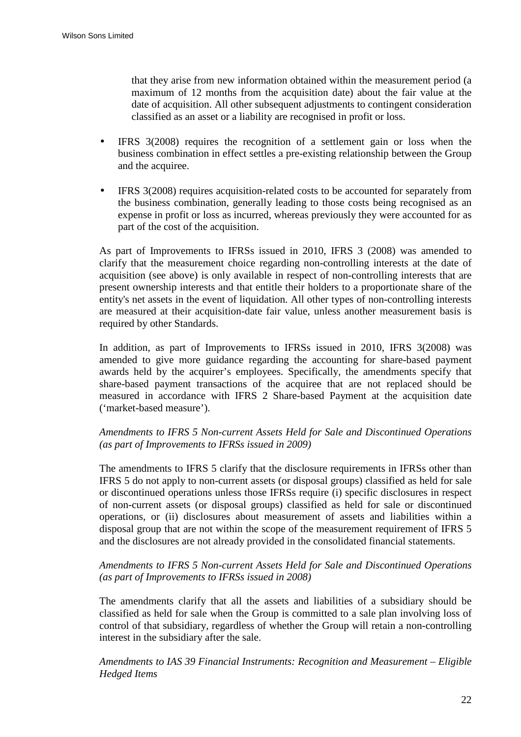that they arise from new information obtained within the measurement period (a maximum of 12 months from the acquisition date) about the fair value at the date of acquisition. All other subsequent adjustments to contingent consideration classified as an asset or a liability are recognised in profit or loss.

- IFRS 3(2008) requires the recognition of a settlement gain or loss when the business combination in effect settles a pre-existing relationship between the Group and the acquiree.
- IFRS 3(2008) requires acquisition-related costs to be accounted for separately from the business combination, generally leading to those costs being recognised as an expense in profit or loss as incurred, whereas previously they were accounted for as part of the cost of the acquisition.

As part of Improvements to IFRSs issued in 2010, IFRS 3 (2008) was amended to clarify that the measurement choice regarding non-controlling interests at the date of acquisition (see above) is only available in respect of non-controlling interests that are present ownership interests and that entitle their holders to a proportionate share of the entity's net assets in the event of liquidation. All other types of non-controlling interests are measured at their acquisition-date fair value, unless another measurement basis is required by other Standards.

In addition, as part of Improvements to IFRSs issued in 2010, IFRS 3(2008) was amended to give more guidance regarding the accounting for share-based payment awards held by the acquirer's employees. Specifically, the amendments specify that share-based payment transactions of the acquiree that are not replaced should be measured in accordance with IFRS 2 Share-based Payment at the acquisition date ('market-based measure').

# *Amendments to IFRS 5 Non-current Assets Held for Sale and Discontinued Operations (as part of Improvements to IFRSs issued in 2009)*

The amendments to IFRS 5 clarify that the disclosure requirements in IFRSs other than IFRS 5 do not apply to non-current assets (or disposal groups) classified as held for sale or discontinued operations unless those IFRSs require (i) specific disclosures in respect of non-current assets (or disposal groups) classified as held for sale or discontinued operations, or (ii) disclosures about measurement of assets and liabilities within a disposal group that are not within the scope of the measurement requirement of IFRS 5 and the disclosures are not already provided in the consolidated financial statements.

# *Amendments to IFRS 5 Non-current Assets Held for Sale and Discontinued Operations (as part of Improvements to IFRSs issued in 2008)*

The amendments clarify that all the assets and liabilities of a subsidiary should be classified as held for sale when the Group is committed to a sale plan involving loss of control of that subsidiary, regardless of whether the Group will retain a non-controlling interest in the subsidiary after the sale.

*Amendments to IAS 39 Financial Instruments: Recognition and Measurement – Eligible Hedged Items*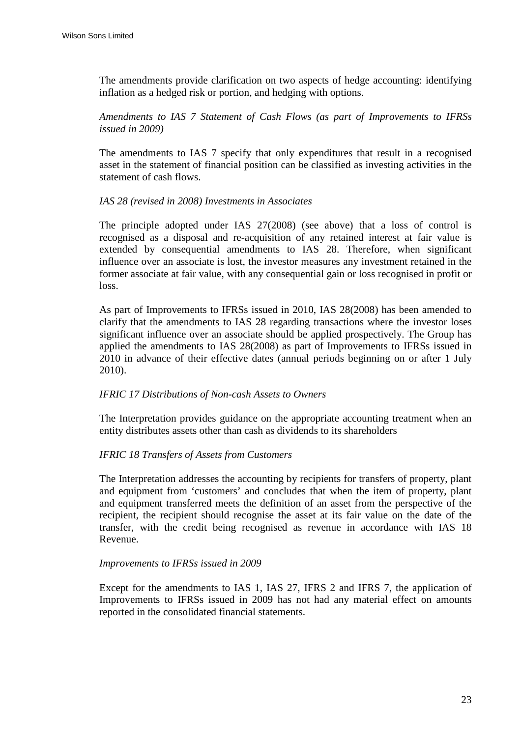The amendments provide clarification on two aspects of hedge accounting: identifying inflation as a hedged risk or portion, and hedging with options.

*Amendments to IAS 7 Statement of Cash Flows (as part of Improvements to IFRSs issued in 2009)* 

The amendments to IAS 7 specify that only expenditures that result in a recognised asset in the statement of financial position can be classified as investing activities in the statement of cash flows.

#### *IAS 28 (revised in 2008) Investments in Associates*

The principle adopted under IAS 27(2008) (see above) that a loss of control is recognised as a disposal and re-acquisition of any retained interest at fair value is extended by consequential amendments to IAS 28. Therefore, when significant influence over an associate is lost, the investor measures any investment retained in the former associate at fair value, with any consequential gain or loss recognised in profit or loss.

As part of Improvements to IFRSs issued in 2010, IAS 28(2008) has been amended to clarify that the amendments to IAS 28 regarding transactions where the investor loses significant influence over an associate should be applied prospectively. The Group has applied the amendments to IAS 28(2008) as part of Improvements to IFRSs issued in 2010 in advance of their effective dates (annual periods beginning on or after 1 July 2010).

#### *IFRIC 17 Distributions of Non-cash Assets to Owners*

The Interpretation provides guidance on the appropriate accounting treatment when an entity distributes assets other than cash as dividends to its shareholders

#### *IFRIC 18 Transfers of Assets from Customers*

The Interpretation addresses the accounting by recipients for transfers of property, plant and equipment from 'customers' and concludes that when the item of property, plant and equipment transferred meets the definition of an asset from the perspective of the recipient, the recipient should recognise the asset at its fair value on the date of the transfer, with the credit being recognised as revenue in accordance with IAS 18 Revenue.

#### *Improvements to IFRSs issued in 2009*

Except for the amendments to IAS 1, IAS 27, IFRS 2 and IFRS 7, the application of Improvements to IFRSs issued in 2009 has not had any material effect on amounts reported in the consolidated financial statements.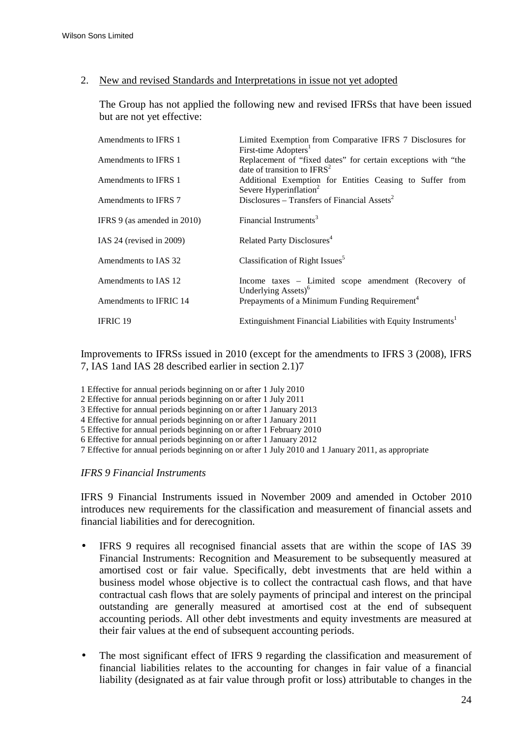#### 2. New and revised Standards and Interpretations in issue not yet adopted

The Group has not applied the following new and revised IFRSs that have been issued but are not yet effective:

| Amendments to IFRS 1        | Limited Exemption from Comparative IFRS 7 Disclosures for<br>First-time Adopters <sup>1</sup>  |  |  |  |  |  |  |  |
|-----------------------------|------------------------------------------------------------------------------------------------|--|--|--|--|--|--|--|
| Amendments to IFRS 1        | Replacement of "fixed dates" for certain exceptions with "the<br>date of transition to $IFRS2$ |  |  |  |  |  |  |  |
| Amendments to IFRS 1        | Additional Exemption for Entities Ceasing to Suffer from<br>Severe Hyperinflation <sup>2</sup> |  |  |  |  |  |  |  |
| Amendments to IFRS 7        | Disclosures – Transfers of Financial Assets <sup>2</sup>                                       |  |  |  |  |  |  |  |
| IFRS 9 (as amended in 2010) | Financial Instruments <sup>3</sup>                                                             |  |  |  |  |  |  |  |
| IAS 24 (revised in 2009)    | Related Party Disclosures <sup>4</sup>                                                         |  |  |  |  |  |  |  |
| Amendments to IAS 32        | Classification of Right Issues <sup>5</sup>                                                    |  |  |  |  |  |  |  |
| Amendments to IAS 12        | Income taxes - Limited scope amendment (Recovery of<br>Underlying Assets) <sup>6</sup>         |  |  |  |  |  |  |  |
| Amendments to IFRIC 14      | Prepayments of a Minimum Funding Requirement <sup>4</sup>                                      |  |  |  |  |  |  |  |
| <b>IFRIC 19</b>             | Extinguishment Financial Liabilities with Equity Instruments <sup>1</sup>                      |  |  |  |  |  |  |  |

Improvements to IFRSs issued in 2010 (except for the amendments to IFRS 3 (2008), IFRS 7, IAS 1and IAS 28 described earlier in section 2.1)7

1 Effective for annual periods beginning on or after 1 July 2010

2 Effective for annual periods beginning on or after 1 July 2011

3 Effective for annual periods beginning on or after 1 January 2013

4 Effective for annual periods beginning on or after 1 January 2011

5 Effective for annual periods beginning on or after 1 February 2010

6 Effective for annual periods beginning on or after 1 January 2012

7 Effective for annual periods beginning on or after 1 July 2010 and 1 January 2011, as appropriate

*IFRS 9 Financial Instruments* 

IFRS 9 Financial Instruments issued in November 2009 and amended in October 2010 introduces new requirements for the classification and measurement of financial assets and financial liabilities and for derecognition.

- IFRS 9 requires all recognised financial assets that are within the scope of IAS 39 Financial Instruments: Recognition and Measurement to be subsequently measured at amortised cost or fair value. Specifically, debt investments that are held within a business model whose objective is to collect the contractual cash flows, and that have contractual cash flows that are solely payments of principal and interest on the principal outstanding are generally measured at amortised cost at the end of subsequent accounting periods. All other debt investments and equity investments are measured at their fair values at the end of subsequent accounting periods.
- The most significant effect of IFRS 9 regarding the classification and measurement of financial liabilities relates to the accounting for changes in fair value of a financial liability (designated as at fair value through profit or loss) attributable to changes in the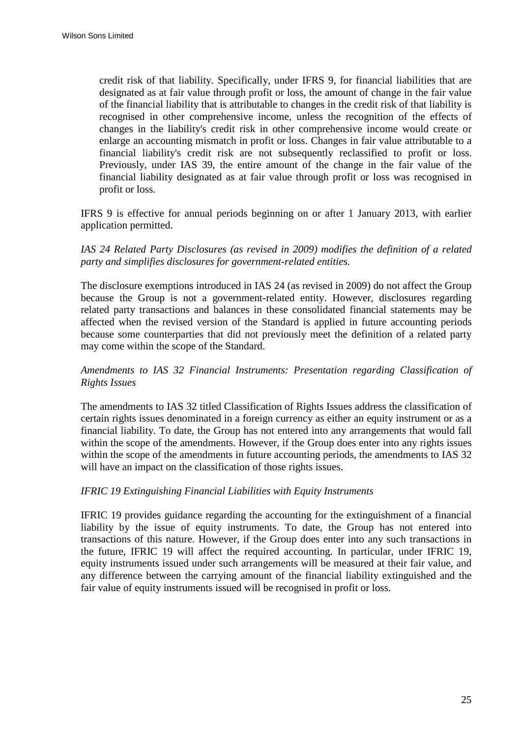credit risk of that liability. Specifically, under IFRS 9, for financial liabilities that are designated as at fair value through profit or loss, the amount of change in the fair value of the financial liability that is attributable to changes in the credit risk of that liability is recognised in other comprehensive income, unless the recognition of the effects of changes in the liability's credit risk in other comprehensive income would create or enlarge an accounting mismatch in profit or loss. Changes in fair value attributable to a financial liability's credit risk are not subsequently reclassified to profit or loss. Previously, under IAS 39, the entire amount of the change in the fair value of the financial liability designated as at fair value through profit or loss was recognised in profit or loss.

IFRS 9 is effective for annual periods beginning on or after 1 January 2013, with earlier application permitted.

*IAS 24 Related Party Disclosures (as revised in 2009) modifies the definition of a related party and simplifies disclosures for government-related entities.* 

The disclosure exemptions introduced in IAS 24 (as revised in 2009) do not affect the Group because the Group is not a government-related entity. However, disclosures regarding related party transactions and balances in these consolidated financial statements may be affected when the revised version of the Standard is applied in future accounting periods because some counterparties that did not previously meet the definition of a related party may come within the scope of the Standard.

*Amendments to IAS 32 Financial Instruments: Presentation regarding Classification of Rights Issues* 

The amendments to IAS 32 titled Classification of Rights Issues address the classification of certain rights issues denominated in a foreign currency as either an equity instrument or as a financial liability. To date, the Group has not entered into any arrangements that would fall within the scope of the amendments. However, if the Group does enter into any rights issues within the scope of the amendments in future accounting periods, the amendments to IAS 32 will have an impact on the classification of those rights issues.

# *IFRIC 19 Extinguishing Financial Liabilities with Equity Instruments*

IFRIC 19 provides guidance regarding the accounting for the extinguishment of a financial liability by the issue of equity instruments. To date, the Group has not entered into transactions of this nature. However, if the Group does enter into any such transactions in the future, IFRIC 19 will affect the required accounting. In particular, under IFRIC 19, equity instruments issued under such arrangements will be measured at their fair value, and any difference between the carrying amount of the financial liability extinguished and the fair value of equity instruments issued will be recognised in profit or loss.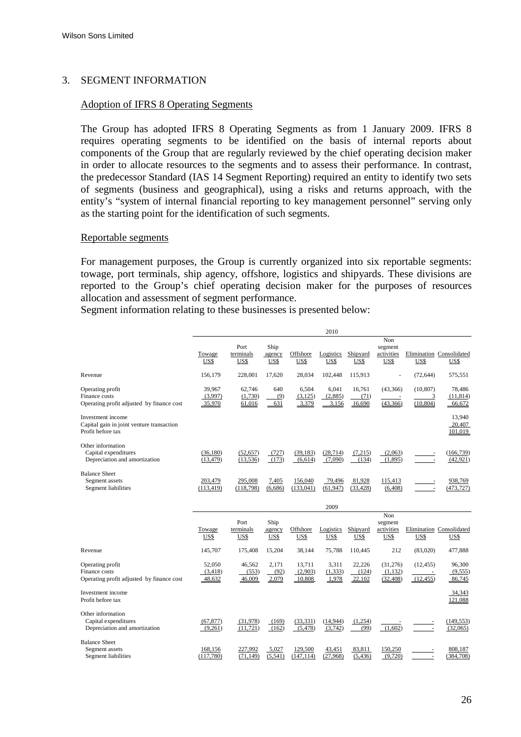# 3. SEGMENT INFORMATION

#### Adoption of IFRS 8 Operating Segments

The Group has adopted IFRS 8 Operating Segments as from 1 January 2009. IFRS 8 requires operating segments to be identified on the basis of internal reports about components of the Group that are regularly reviewed by the chief operating decision maker in order to allocate resources to the segments and to assess their performance. In contrast, the predecessor Standard (IAS 14 Segment Reporting) required an entity to identify two sets of segments (business and geographical), using a risks and returns approach, with the entity's "system of internal financial reporting to key management personnel" serving only as the starting point for the identification of such segments.

#### Reportable segments

For management purposes, the Group is currently organized into six reportable segments: towage, port terminals, ship agency, offshore, logistics and shipyards. These divisions are reported to the Group's chief operating decision maker for the purposes of resources allocation and assessment of segment performance.

Segment information relating to these businesses is presented below:

|                                                                                     |                             |                             |                        |                             | 2010                       |                           |                                      |                            |                                  |
|-------------------------------------------------------------------------------------|-----------------------------|-----------------------------|------------------------|-----------------------------|----------------------------|---------------------------|--------------------------------------|----------------------------|----------------------------------|
|                                                                                     | Towage<br>US\$              | Port<br>terminals<br>US\$   | Ship<br>agency<br>US\$ | Offshore<br>US\$            | Logistics<br>US\$          | Shipyard<br>US\$          | Non<br>segment<br>activities<br>US\$ | US\$                       | Elimination Consolidated<br>US\$ |
| Revenue                                                                             | 156,179                     | 228,001                     | 17.620                 | 28.034                      | 102,448                    | 115.913                   |                                      | (72, 644)                  | 575.551                          |
| Operating profit<br>Finance costs<br>Operating profit adjusted by finance cost      | 39,967<br>(3,997)<br>35,970 | 62.746<br>(1,730)<br>61,016 | 640<br>(9)<br>631      | 6,504<br>(3,125)<br>3,379   | 6,041<br>(2,885)<br>3.156  | 16.761<br>(71)<br>16.690  | (43,366)<br>(43, 366)                | (10, 807)<br>3<br>(10.804) | 78,486<br>(11, 814)<br>66,672    |
| Investment income<br>Capital gain in joint venture transaction<br>Profit before tax |                             |                             |                        |                             |                            |                           |                                      |                            | 13,940<br>20,407<br>101,019      |
| Other information<br>Capital expenditures<br>Depreciation and amortization          | (36.180)<br>(13, 479)       | (52.657)<br>(13, 536)       | (727)<br>(173)         | (39.183)<br>(6,614)         | (28.714)<br>(7.090)        | (7.215)<br>(134)          | (2,063)<br>(1, 895)                  | $\overline{\phantom{a}}$   | (166, 739)<br>(42, 921)          |
| <b>Balance Sheet</b><br>Segment assets<br>Segment liabilities                       | 203,479<br>(113, 419)       | 295,008<br>(118,798)        | 7,405<br>(6,686)       | 156,040<br>(133,041)        | 79,496<br>(61, 947)        | 81,928<br>(33, 428)       | 115,413<br>(6, 408)                  |                            | 938,769<br>(473, 727)            |
|                                                                                     |                             |                             |                        |                             | 2009                       |                           |                                      |                            |                                  |
|                                                                                     | Towage<br>US\$              | Port<br>terminals<br>US\$   | Ship<br>agency<br>US\$ | Offshore<br>US\$            | Logistics<br>US\$          | Shipyard<br>US\$          | Non<br>segment<br>activities<br>US\$ | US\$                       | Elimination Consolidated<br>US\$ |
| Revenue                                                                             | 145,707                     | 175.408                     | 15,204                 | 38,144                      | 75,788                     | 110,445                   | 212                                  | (83,020)                   | 477,888                          |
| Operating profit<br>Finance costs<br>Operating profit adjusted by finance cost      | 52,050<br>(3,418)<br>48,632 | 46.562<br>(553)<br>46,009   | 2.171<br>(92)<br>2,079 | 13,711<br>(2,903)<br>10,808 | 3,311<br>(1, 333)<br>1,978 | 22,226<br>(124)<br>22,102 | (31,276)<br>(1,132)<br>(32, 408)     | (12, 455)<br>(12, 455)     | 96,300<br>(9, 555)<br>86,745     |
| Investment income<br>Profit before tax                                              |                             |                             |                        |                             |                            |                           |                                      |                            | 34,343<br>121,088                |
| Other information<br>Capital expenditures<br>Depreciation and amortization          | (67, 877)<br>(9,261)        | (31,978)<br>(11, 721)       | (169)<br>(162)         | (33, 331)<br>(5.478)        | (14, 944)<br>(3.742)       | (1,254)<br>(99)           | (1.602)                              | $\overline{\phantom{a}}$   | (149, 553)<br>(32.065)           |
| <b>Balance Sheet</b><br>Segment assets<br>Segment liabilities                       | 168,156                     | 227,992                     | 5,027                  | 129,500                     | 43,451                     | 83,811                    | 150,250                              |                            | 808,187                          |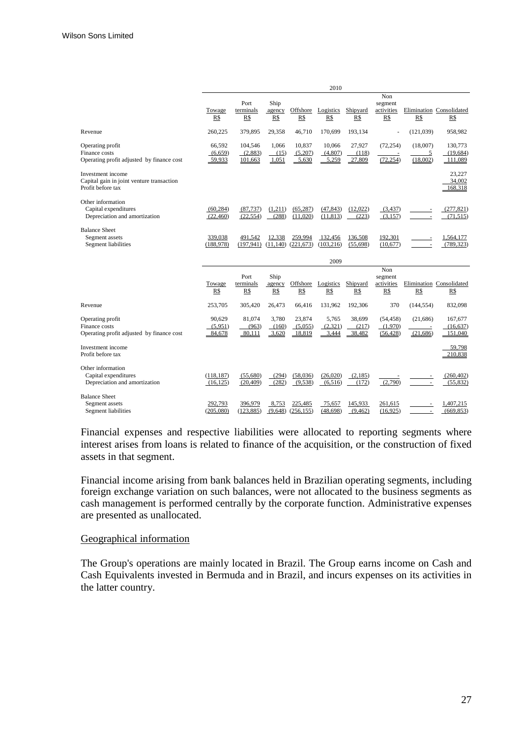|                                                                                     |                             |                               |                         |                                  | 2010                       |                           |                                     |                           |                                 |
|-------------------------------------------------------------------------------------|-----------------------------|-------------------------------|-------------------------|----------------------------------|----------------------------|---------------------------|-------------------------------------|---------------------------|---------------------------------|
|                                                                                     | Towage<br>R\$               | Port<br>terminals<br>R\$      | Ship<br>agency<br>R\$   | Offshore<br>R\$                  | Logistics<br>R\$           | Shipyard<br>R\$           | Non<br>segment<br>activities<br>R\$ | R\$                       | Elimination Consolidated<br>R\$ |
| Revenue                                                                             | 260.225                     | 379,895                       | 29.358                  | 46.710                           | 170.699                    | 193.134                   |                                     | (121, 039)                | 958,982                         |
| Operating profit<br>Finance costs<br>Operating profit adjusted by finance cost      | 66,592<br>(6,659)<br>59,933 | 104,546<br>(2,883)<br>101,663 | 1,066<br>(15)<br>1,051  | 10,837<br>(5,207)<br>5,630       | 10,066<br>(4,807)<br>5,259 | 27,927<br>(118)<br>27,809 | (72, 254)<br>(72, 254)              | (18,007)<br>5<br>(18,002) | 130,773<br>(19,684)<br>111,089  |
| Investment income<br>Capital gain in joint venture transaction<br>Profit before tax |                             |                               |                         |                                  |                            |                           |                                     |                           | 23.227<br>34,002<br>168,318     |
| Other information<br>Capital expenditures<br>Depreciation and amortization          | (60.284)<br>(22, 460)       | (87, 737)<br>(22, 554)        | (1.211)<br>(288)        | (65, 287)<br>(11,020)            | (47, 843)<br>(11, 813)     | (12.022)<br>(223)         | (3, 437)<br>(3,157)                 | ÷                         | (277.821)<br>(71, 515)          |
| <b>Balance Sheet</b><br>Segment assets<br>Segment liabilities                       | 339,038<br>(188, 978)       | 491,542<br>(197.941)          | 12,338<br>(11, 140)     | 259,994<br>(221, 673)            | 132,456<br>(103, 216)      | 136,508<br>(55,698)       | 192,301<br>(10,677)                 | ÷,<br>÷,                  | 1,564,177<br>(789, 323)         |
|                                                                                     |                             |                               |                         |                                  | 2009                       |                           |                                     |                           |                                 |
|                                                                                     | Towage<br>R\$               | Port<br>terminals<br>R\$      | Ship<br>agency<br>R\$   | Offshore<br>R\$                  | Logistics<br>R\$           | Shipyard<br>R\$           | Non<br>segment<br>activities<br>R\$ | R\$                       | Elimination Consolidated<br>R\$ |
| Revenue                                                                             | 253,705                     | 305,420                       | 26.473                  | 66,416                           | 131,962                    | 192,306                   | 370                                 | (144, 554)                | 832,098                         |
| Operating profit<br>Finance costs<br>Operating profit adjusted by finance cost      | 90.629<br>(5,951)<br>84,678 | 81,074<br>(963)<br>80.111     | 3,780<br>(160)<br>3.620 | 23,874<br>(5,055)<br>18.819      | 5,765<br>(2,321)<br>3.444  | 38,699<br>(217)<br>38.482 | (54, 458)<br>(1,970)<br>(56, 428)   | (21,686)<br>(21.686)      | 167,677<br>(16, 637)<br>151.040 |
| Investment income<br>Profit before tax                                              |                             |                               |                         |                                  |                            |                           |                                     |                           | 59,798<br>210,838               |
| Other information<br>Capital expenditures<br>Depreciation and amortization          | (118, 187)<br>(16, 125)     | (55,680)<br>(20, 409)         | (294)<br>(282)          | (58,036)<br>(9,538)              | (26,020)<br>(6,516)        | (2,185)<br>(172)          | (2,790)                             | ä,                        | (260, 402)<br>(55, 832)         |
| <b>Balance Sheet</b><br>Segment assets<br>Segment liabilities                       | 292.793<br>(205.080)        | 396,979<br>(123, 885)         | 8,753                   | 225,485<br>$(9,648)$ $(256,155)$ | 75.657<br>(48, 698)        | 145,933<br>(9, 462)       | 261.615<br>(16, 925)                | ٠<br>÷,                   | 1.407.215<br>(669, 853)         |

Financial expenses and respective liabilities were allocated to reporting segments where interest arises from loans is related to finance of the acquisition, or the construction of fixed assets in that segment.

Financial income arising from bank balances held in Brazilian operating segments, including foreign exchange variation on such balances, were not allocated to the business segments as cash management is performed centrally by the corporate function. Administrative expenses are presented as unallocated.

#### Geographical information

The Group's operations are mainly located in Brazil. The Group earns income on Cash and Cash Equivalents invested in Bermuda and in Brazil, and incurs expenses on its activities in the latter country.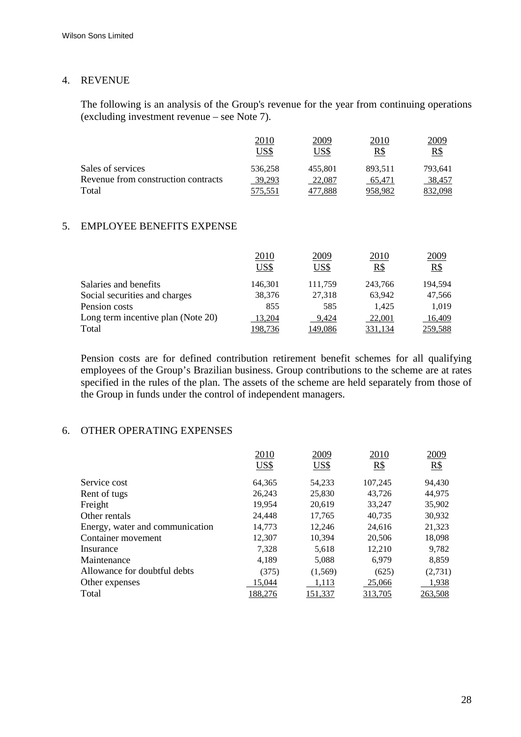# 4. REVENUE

The following is an analysis of the Group's revenue for the year from continuing operations (excluding investment revenue – see Note 7).

|                                     | 2010<br>US\$ | 2009<br>US\$ | 2010<br>$R\$ | 2009<br>R\$ |
|-------------------------------------|--------------|--------------|--------------|-------------|
| Sales of services                   | 536.258      | 455.801      | 893.511      | 793,641     |
| Revenue from construction contracts | 39.293       | 22.087       | 65.471       | 38.457      |
| Total                               | 575.551      | 477.888      | 958.982      | 832.098     |

# 5. EMPLOYEE BENEFITS EXPENSE

|                                    | 2010    | 2009    | 2010    | 2009       |
|------------------------------------|---------|---------|---------|------------|
|                                    | US\$    | US\$    | $R\$    | <u>R\$</u> |
| Salaries and benefits              | 146,301 | 111,759 | 243,766 | 194,594    |
| Social securities and charges      | 38,376  | 27,318  | 63,942  | 47,566     |
| Pension costs                      | 855     | 585     | 1.425   | 1.019      |
| Long term incentive plan (Note 20) | 13.204  | 9.424   | 22,001  | 16,409     |
| Total                              | 198,736 | 149,086 | 331,134 | 259,588    |

Pension costs are for defined contribution retirement benefit schemes for all qualifying employees of the Group's Brazilian business. Group contributions to the scheme are at rates specified in the rules of the plan. The assets of the scheme are held separately from those of the Group in funds under the control of independent managers.

# 6. OTHER OPERATING EXPENSES

|                                 | 2010    | 2009    | 2010    | 2009    |
|---------------------------------|---------|---------|---------|---------|
|                                 | US\$    | US\$    | R\$     | R\$     |
| Service cost                    | 64,365  | 54,233  | 107,245 | 94,430  |
| Rent of tugs                    | 26,243  | 25,830  | 43,726  | 44,975  |
| Freight                         | 19,954  | 20,619  | 33,247  | 35,902  |
| Other rentals                   | 24.448  | 17.765  | 40,735  | 30,932  |
| Energy, water and communication | 14,773  | 12,246  | 24,616  | 21,323  |
| Container movement              | 12,307  | 10,394  | 20,506  | 18,098  |
| Insurance                       | 7,328   | 5,618   | 12,210  | 9,782   |
| Maintenance                     | 4,189   | 5,088   | 6,979   | 8,859   |
| Allowance for doubtful debts    | (375)   | (1,569) | (625)   | (2,731) |
| Other expenses                  | 15,044  | 1,113   | 25,066  | 1,938   |
| Total                           | 188,276 | 151,337 | 313,705 | 263,508 |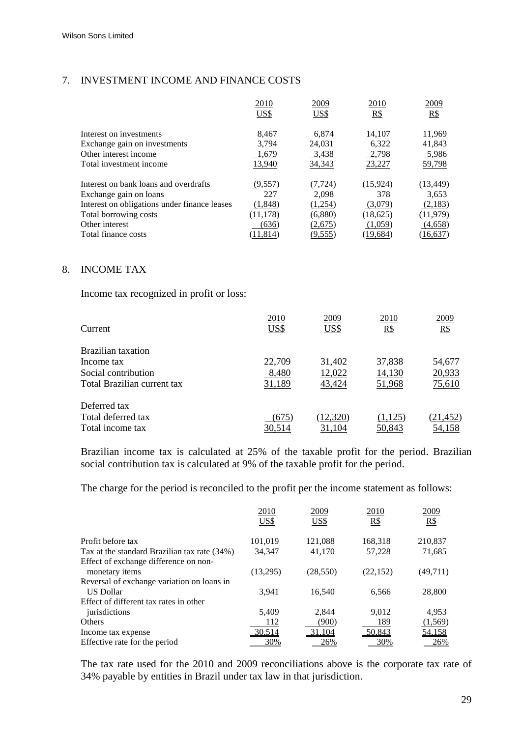# 7. INVESTMENT INCOME AND FINANCE COSTS

|                                              | <b>2010</b> | <u>2009</u> | <u>2010</u> | <u>2009</u> |
|----------------------------------------------|-------------|-------------|-------------|-------------|
|                                              | US\$        | US\$        | R\$         | $R\$        |
|                                              |             |             |             |             |
| Interest on investments                      | 8,467       | 6,874       | 14,107      | 11,969      |
| Exchange gain on investments                 | 3,794       | 24,031      | 6,322       | 41,843      |
| Other interest income                        | 1,679       | 3,438       | 2,798       | 5,986       |
| Total investment income                      | 13,940      | 34,343      | 23,227      | 59,798      |
|                                              |             |             |             |             |
| Interest on bank loans and overdrafts        | (9, 557)    | (7, 724)    | (15,924)    | (13, 449)   |
| Exchange gain on loans                       | 227         | 2.098       | 378         | 3,653       |
| Interest on obligations under finance leases | (1, 848)    | (1,254)     | (3,079)     | (2,183)     |
| Total borrowing costs                        | (11, 178)   | (6,880)     | (18,625)    | (11, 979)   |
| Other interest                               | (636)       | (2,675)     | (1,059)     | (4,658)     |
| Total finance costs                          | (11.814)    | (9, 555)    | (19.684     | (16, 637)   |

# 8. INCOME TAX

Income tax recognized in profit or loss:

| Current                     | <u>2010</u><br>US\$ | 2009<br>US\$ | <u>2010</u><br>$R\$ | 2009<br>$R\$  |
|-----------------------------|---------------------|--------------|---------------------|---------------|
| <b>Brazilian taxation</b>   |                     |              |                     |               |
| Income tax                  | 22,709              | 31,402       | 37,838              | 54,677        |
| Social contribution         | 8,480               | 12,022       | 14,130              | 20,933        |
| Total Brazilian current tax | 31,189              | 43,424       | 51,968              | 75,610        |
| Deferred tax                |                     |              |                     |               |
| Total deferred tax          | (675)               | 12,320       | (1,125)             | (21, 452)     |
| Total income tax            | 30,514              | 31,104       | 50,843              | <u>54,158</u> |

Brazilian income tax is calculated at 25% of the taxable profit for the period. Brazilian social contribution tax is calculated at 9% of the taxable profit for the period.

The charge for the period is reconciled to the profit per the income statement as follows:

|                                              | <u>2010</u> | 2009      | <u>2010</u> | <u> 2009</u> |
|----------------------------------------------|-------------|-----------|-------------|--------------|
|                                              | US\$        | US\$      | R\$         | R\$          |
| Profit before tax                            | 101,019     | 121,088   | 168,318     | 210,837      |
| Tax at the standard Brazilian tax rate (34%) | 34,347      | 41,170    | 57,228      | 71,685       |
| Effect of exchange difference on non-        |             |           |             |              |
| monetary <i>items</i>                        | (13,295)    | (28, 550) | (22, 152)   | (49, 711)    |
| Reversal of exchange variation on loans in   |             |           |             |              |
| <b>US Dollar</b>                             | 3,941       | 16.540    | 6,566       | 28,800       |
| Effect of different tax rates in other       |             |           |             |              |
| jurisdictions                                | 5.409       | 2.844     | 9.012       | 4,953        |
| <b>Others</b>                                | 112         | (900)     | 189         | (1,569)      |
| Income tax expense                           | 30.514      | 31.104    | 50,843      | 54,158       |
| Effective rate for the period                | 30%         | 26%       |             | 26%          |

The tax rate used for the 2010 and 2009 reconciliations above is the corporate tax rate of 34% payable by entities in Brazil under tax law in that jurisdiction.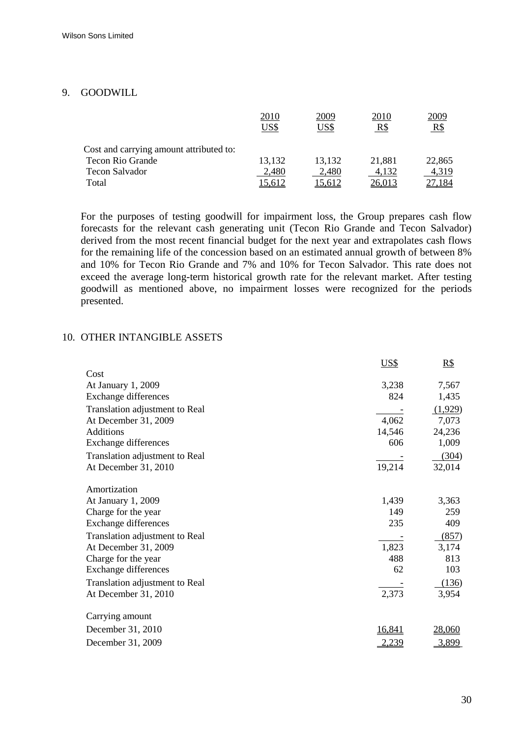# 9. GOODWILL

|                                         | 2010<br>US\$ | 2009<br>US\$ | 2010<br>$R\$ | 2009<br>R\$ |
|-----------------------------------------|--------------|--------------|--------------|-------------|
| Cost and carrying amount attributed to: |              |              |              |             |
| <b>Tecon Rio Grande</b>                 | 13,132       | 13,132       | 21,881       | 22,865      |
| <b>Tecon Salvador</b>                   | 2,480        | 2,480        | 4,132        | 4,319       |
| Total                                   |              | 15.612       | 26.013       | 184         |

For the purposes of testing goodwill for impairment loss, the Group prepares cash flow forecasts for the relevant cash generating unit (Tecon Rio Grande and Tecon Salvador) derived from the most recent financial budget for the next year and extrapolates cash flows for the remaining life of the concession based on an estimated annual growth of between 8% and 10% for Tecon Rio Grande and 7% and 10% for Tecon Salvador. This rate does not exceed the average long-term historical growth rate for the relevant market. After testing goodwill as mentioned above, no impairment losses were recognized for the periods presented.

#### 10. OTHER INTANGIBLE ASSETS

|                                | <u>US\$</u> | $R\$    |
|--------------------------------|-------------|---------|
| Cost                           |             |         |
| At January 1, 2009             | 3,238       | 7,567   |
| <b>Exchange differences</b>    | 824         | 1,435   |
| Translation adjustment to Real |             | (1,929) |
| At December 31, 2009           | 4,062       | 7,073   |
| <b>Additions</b>               | 14,546      | 24,236  |
| <b>Exchange differences</b>    | 606         | 1,009   |
| Translation adjustment to Real |             | (304)   |
| At December 31, 2010           | 19,214      | 32,014  |
| Amortization                   |             |         |
| At January 1, 2009             | 1,439       | 3,363   |
| Charge for the year            | 149         | 259     |
| <b>Exchange differences</b>    | 235         | 409     |
| Translation adjustment to Real |             | (857)   |
| At December 31, 2009           | 1,823       | 3,174   |
| Charge for the year            | 488         | 813     |
| <b>Exchange differences</b>    | 62          | 103     |
| Translation adjustment to Real |             | (136)   |
| At December 31, 2010           | 2,373       | 3,954   |
| Carrying amount                |             |         |
| December 31, 2010              | 16,841      | 28,060  |
| December 31, 2009              | 2,239       | 3,899   |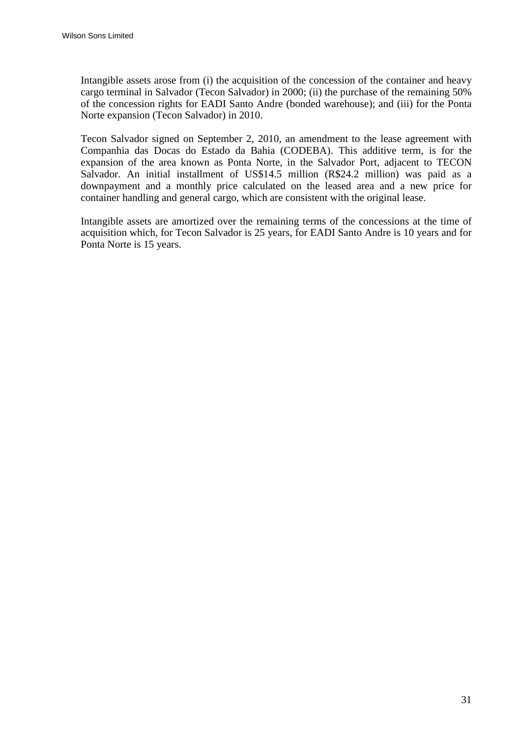Intangible assets arose from (i) the acquisition of the concession of the container and heavy cargo terminal in Salvador (Tecon Salvador) in 2000; (ii) the purchase of the remaining 50% of the concession rights for EADI Santo Andre (bonded warehouse); and (iii) for the Ponta Norte expansion (Tecon Salvador) in 2010.

Tecon Salvador signed on September 2, 2010, an amendment to the lease agreement with Companhia das Docas do Estado da Bahia (CODEBA). This additive term, is for the expansion of the area known as Ponta Norte, in the Salvador Port, adjacent to TECON Salvador. An initial installment of US\$14.5 million (R\$24.2 million) was paid as a downpayment and a monthly price calculated on the leased area and a new price for container handling and general cargo, which are consistent with the original lease.

Intangible assets are amortized over the remaining terms of the concessions at the time of acquisition which, for Tecon Salvador is 25 years, for EADI Santo Andre is 10 years and for Ponta Norte is 15 years.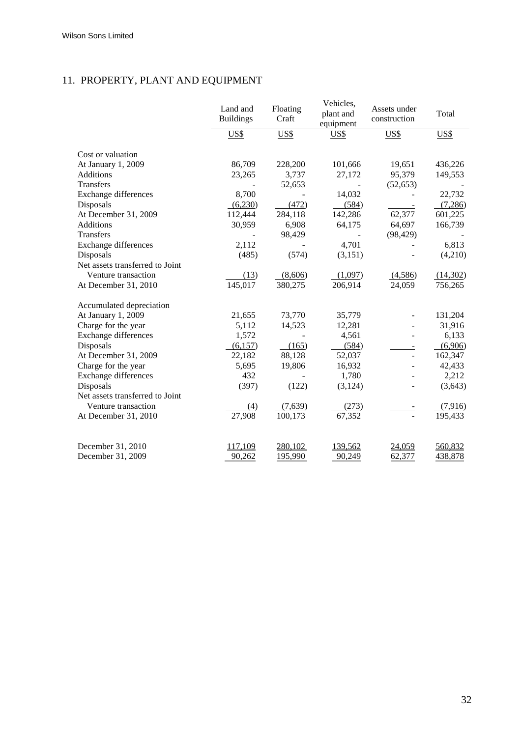# 11. PROPERTY, PLANT AND EQUIPMENT

|                                 | Land and<br><b>Buildings</b> | Floating<br>Craft | Vehicles,<br>plant and<br>equipment | Assets under<br>construction | Total       |
|---------------------------------|------------------------------|-------------------|-------------------------------------|------------------------------|-------------|
|                                 | US\$                         | US\$              | US\$                                | US\$                         | <b>US\$</b> |
| Cost or valuation               |                              |                   |                                     |                              |             |
| At January 1, 2009              | 86,709                       | 228,200           | 101,666                             | 19,651                       | 436,226     |
| <b>Additions</b>                | 23,265                       | 3,737             | 27,172                              | 95,379                       | 149,553     |
| Transfers                       |                              | 52,653            |                                     | (52, 653)                    |             |
| <b>Exchange differences</b>     | 8,700                        |                   | 14,032                              |                              | 22,732      |
| Disposals                       | (6,230)                      | (472)             | (584)                               |                              | (7,286)     |
| At December 31, 2009            | 112,444                      | 284,118           | 142,286                             | 62,377                       | 601,225     |
| <b>Additions</b>                | 30,959                       | 6,908             | 64,175                              | 64,697                       | 166,739     |
| <b>Transfers</b>                |                              | 98,429            |                                     | (98, 429)                    |             |
| <b>Exchange differences</b>     | 2,112                        |                   | 4,701                               |                              | 6,813       |
| Disposals                       | (485)                        | (574)             | (3,151)                             |                              | (4,210)     |
| Net assets transferred to Joint |                              |                   |                                     |                              |             |
| Venture transaction             | (13)                         | (8,606)           | (1,097)                             | (4,586)                      | (14,302)    |
| At December 31, 2010            | 145,017                      | 380,275           | 206,914                             | 24,059                       | 756,265     |
| Accumulated depreciation        |                              |                   |                                     |                              |             |
| At January 1, 2009              | 21,655                       | 73,770            | 35,779                              |                              | 131,204     |
| Charge for the year             | 5,112                        | 14,523            | 12,281                              |                              | 31,916      |
| <b>Exchange differences</b>     | 1,572                        |                   | 4,561                               |                              | 6,133       |
| Disposals                       | (6,157)                      | (165)             | (584)                               |                              | (6,906)     |
| At December 31, 2009            | 22,182                       | 88,128            | 52,037                              |                              | 162,347     |
| Charge for the year             | 5,695                        | 19,806            | 16,932                              |                              | 42,433      |
| <b>Exchange differences</b>     | 432                          |                   | 1,780                               |                              | 2,212       |
| Disposals                       | (397)                        | (122)             | (3, 124)                            |                              | (3,643)     |
| Net assets transferred to Joint |                              |                   |                                     |                              |             |
| Venture transaction             | (4)                          | (7,639)           | (273)                               |                              | (7,916)     |
| At December 31, 2010            | 27,908                       | 100,173           | 67,352                              |                              | 195,433     |
| December 31, 2010               | 117,109                      | 280,102           | 139,562                             | 24,059                       | 560,832     |
| December 31, 2009               | 90,262                       | 195,990           | 90,249                              | 62,377                       | 438,878     |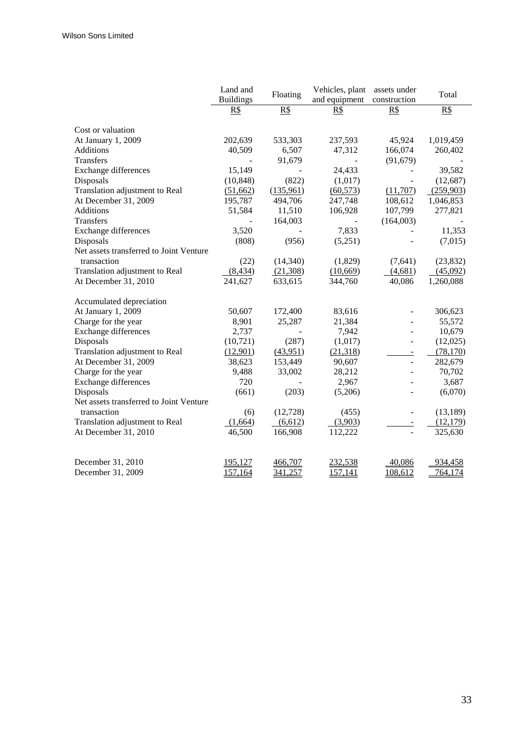|                                         | Land and<br><b>Buildings</b> | Floating  | Vehicles, plant<br>and equipment | assets under<br>construction | Total     |
|-----------------------------------------|------------------------------|-----------|----------------------------------|------------------------------|-----------|
|                                         | R\$                          | R\$       | $R\$                             | R\$                          | R\$       |
| Cost or valuation                       |                              |           |                                  |                              |           |
| At January 1, 2009                      | 202,639                      | 533,303   | 237,593                          | 45,924                       | 1,019,459 |
| Additions                               | 40,509                       | 6,507     | 47,312                           | 166,074                      | 260,402   |
| Transfers                               |                              | 91,679    | $\blacksquare$                   | (91, 679)                    |           |
| <b>Exchange differences</b>             | 15,149                       |           | 24,433                           |                              | 39,582    |
| Disposals                               | (10, 848)                    | (822)     | (1,017)                          |                              | (12, 687) |
| Translation adjustment to Real          | (51,662)                     | (135,961) | (60, 573)                        | (11,707)                     | (259,903) |
| At December 31, 2009                    | 195,787                      | 494,706   | 247,748                          | 108,612                      | 1,046,853 |
| <b>Additions</b>                        | 51,584                       | 11,510    | 106,928                          | 107,799                      | 277,821   |
| Transfers                               |                              | 164,003   |                                  | (164,003)                    |           |
| <b>Exchange differences</b>             | 3,520                        |           | 7,833                            |                              | 11,353    |
| Disposals                               | (808)                        | (956)     | (5,251)                          |                              | (7,015)   |
| Net assets transferred to Joint Venture |                              |           |                                  |                              |           |
| transaction                             | (22)                         | (14, 340) | (1,829)                          | (7,641)                      | (23, 832) |
| Translation adjustment to Real          | (8, 434)                     | (21,308)  | (10,669)                         | (4,681)                      | (45,092)  |
| At December 31, 2010                    | 241,627                      | 633,615   | 344,760                          | 40,086                       | 1,260,088 |
| Accumulated depreciation                |                              |           |                                  |                              |           |
| At January 1, 2009                      | 50,607                       | 172,400   | 83,616                           |                              | 306,623   |
| Charge for the year                     | 8,901                        | 25,287    | 21,384                           |                              | 55,572    |
| <b>Exchange differences</b>             | 2,737                        |           | 7,942                            |                              | 10,679    |
| Disposals                               | (10, 721)                    | (287)     | (1,017)                          | $\overline{a}$               | (12,025)  |
| Translation adjustment to Real          | (12,901)                     | (43,951)  | (21, 318)                        | $\equiv$                     | (78, 170) |
| At December 31, 2009                    | 38,623                       | 153,449   | 90,607                           | $\overline{a}$               | 282,679   |
| Charge for the year                     | 9,488                        | 33,002    | 28,212                           |                              | 70,702    |
| <b>Exchange differences</b>             | 720                          |           | 2,967                            |                              | 3,687     |
| Disposals                               | (661)                        | (203)     | (5,206)                          |                              | (6,070)   |
| Net assets transferred to Joint Venture |                              |           |                                  |                              |           |
| transaction                             | (6)                          | (12,728)  | (455)                            | $\blacksquare$               | (13, 189) |
| Translation adjustment to Real          | (1,664)                      | (6,612)   | (3,903)                          | $\overline{a}$               | (12, 179) |
| At December 31, 2010                    | 46,500                       | 166,908   | 112,222                          |                              | 325,630   |
| December 31, 2010                       | 195,127                      | 466,707   | 232,538                          | 40,086                       | 934,458   |
| December 31, 2009                       | 157,164                      | 341,257   | 157,141                          | 108,612                      | 764,174   |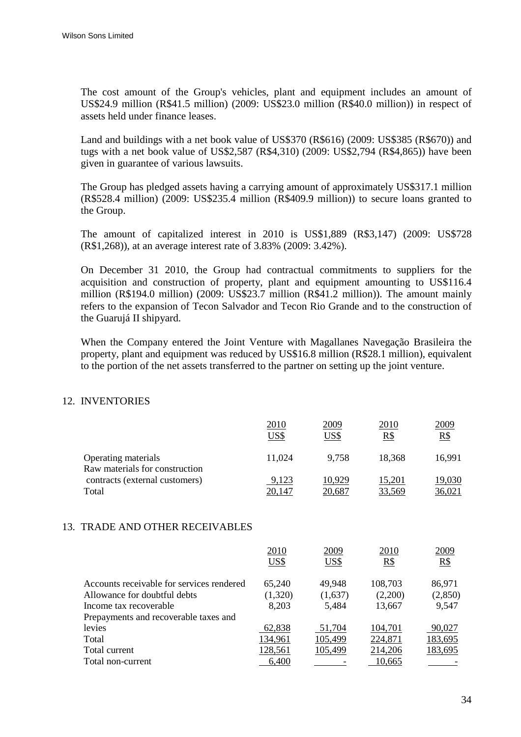The cost amount of the Group's vehicles, plant and equipment includes an amount of US\$24.9 million (R\$41.5 million) (2009: US\$23.0 million (R\$40.0 million)) in respect of assets held under finance leases.

Land and buildings with a net book value of US\$370 (R\$616) (2009: US\$385 (R\$670)) and tugs with a net book value of US\$2,587 (R\$4,310) (2009: US\$2,794 (R\$4,865)) have been given in guarantee of various lawsuits.

The Group has pledged assets having a carrying amount of approximately US\$317.1 million (R\$528.4 million) (2009: US\$235.4 million (R\$409.9 million)) to secure loans granted to the Group.

The amount of capitalized interest in 2010 is US\$1,889 (R\$3,147) (2009: US\$728 (R\$1,268)), at an average interest rate of 3.83% (2009: 3.42%).

On December 31 2010, the Group had contractual commitments to suppliers for the acquisition and construction of property, plant and equipment amounting to US\$116.4 million (R\$194.0 million) (2009: US\$23.7 million (R\$41.2 million)). The amount mainly refers to the expansion of Tecon Salvador and Tecon Rio Grande and to the construction of the Guarujá II shipyard.

When the Company entered the Joint Venture with Magallanes Navegação Brasileira the property, plant and equipment was reduced by US\$16.8 million (R\$28.1 million), equivalent to the portion of the net assets transferred to the partner on setting up the joint venture.

# 12. INVENTORIES

|     |                                                       | 2010<br>US\$    | 2009<br>US\$     | <u>2010</u><br>R\$ | 2009<br><u>R\$</u> |
|-----|-------------------------------------------------------|-----------------|------------------|--------------------|--------------------|
|     | Operating materials<br>Raw materials for construction | 11,024          | 9,758            | 18,368             | 16,991             |
|     | contracts (external customers)<br>Total               | 9,123<br>20,147 | 10,929<br>20,687 | 15,201<br>33,569   | 19,030<br>36,021   |
| 13. | <b>TRADE AND OTHER RECEIVABLES</b>                    |                 |                  |                    |                    |
|     |                                                       | 2010<br>US\$    | 2009<br>US\$     | 2010<br>R\$        | 2009<br>R\$        |
|     | Accounts receivable for services rendered             | 65,240          | 49,948           | 108,703            | 86,971             |
|     | Allowance for doubtful debts                          | (1,320)         | (1,637)          | (2,200)            | (2,850)            |
|     | Income tax recoverable                                | 8,203           | 5,484            | 13,667             | 9,547              |
|     | Prepayments and recoverable taxes and                 |                 |                  |                    |                    |
|     | levies                                                | 62,838          | 51,704           | 104,701            | 90,027             |
|     | Total                                                 | 134,961         | 105,499          | 224,871            | 183,695            |
|     | Total current                                         | 128,561         | 105,499          | 214,206            | 183,695            |
|     | Total non-current                                     | 6,400           |                  | 10,665             |                    |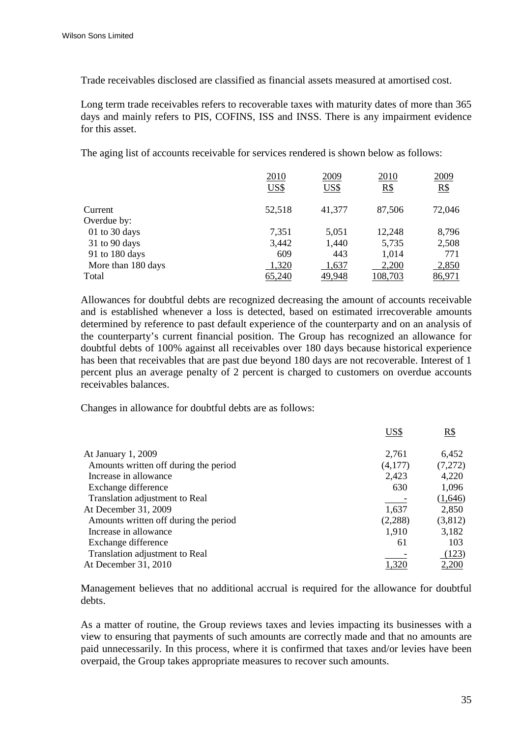Trade receivables disclosed are classified as financial assets measured at amortised cost.

Long term trade receivables refers to recoverable taxes with maturity dates of more than 365 days and mainly refers to PIS, COFINS, ISS and INSS. There is any impairment evidence for this asset.

The aging list of accounts receivable for services rendered is shown below as follows:

|                    | <u>2010</u><br>US\$ | 2009<br><b>US\$</b> | <u>2010</u><br>R\$ | 2009<br>$R\$ |
|--------------------|---------------------|---------------------|--------------------|--------------|
| Current            | 52,518              | 41,377              | 87,506             | 72,046       |
| Overdue by:        |                     |                     |                    |              |
| 01 to 30 days      | 7,351               | 5,051               | 12,248             | 8,796        |
| 31 to 90 days      | 3,442               | 1,440               | 5,735              | 2,508        |
| 91 to 180 days     | 609                 | 443                 | 1,014              | 771          |
| More than 180 days | 1,320               | 1,637               | 2,200              | 2,850        |
| Total              | 65,240              | 49,948              | 108,703            | 86,971       |

Allowances for doubtful debts are recognized decreasing the amount of accounts receivable and is established whenever a loss is detected, based on estimated irrecoverable amounts determined by reference to past default experience of the counterparty and on an analysis of the counterparty's current financial position. The Group has recognized an allowance for doubtful debts of 100% against all receivables over 180 days because historical experience has been that receivables that are past due beyond 180 days are not recoverable. Interest of 1 percent plus an average penalty of 2 percent is charged to customers on overdue accounts receivables balances.

Changes in allowance for doubtful debts are as follows:

|                                       | US\$    | R\$     |
|---------------------------------------|---------|---------|
| At January 1, 2009                    | 2,761   | 6,452   |
| Amounts written off during the period | (4,177) | (7,272) |
| Increase in allowance                 | 2,423   | 4,220   |
| Exchange difference                   | 630     | 1,096   |
| Translation adjustment to Real        |         | (1,646) |
| At December 31, 2009                  | 1,637   | 2,850   |
| Amounts written off during the period | (2,288) | (3,812) |
| Increase in allowance                 | 1,910   | 3,182   |
| Exchange difference                   | 61      | 103     |
| Translation adjustment to Real        |         | (123)   |
| At December 31, 2010                  | 1,320   | 2,200   |
|                                       |         |         |

Management believes that no additional accrual is required for the allowance for doubtful debts.

As a matter of routine, the Group reviews taxes and levies impacting its businesses with a view to ensuring that payments of such amounts are correctly made and that no amounts are paid unnecessarily. In this process, where it is confirmed that taxes and/or levies have been overpaid, the Group takes appropriate measures to recover such amounts.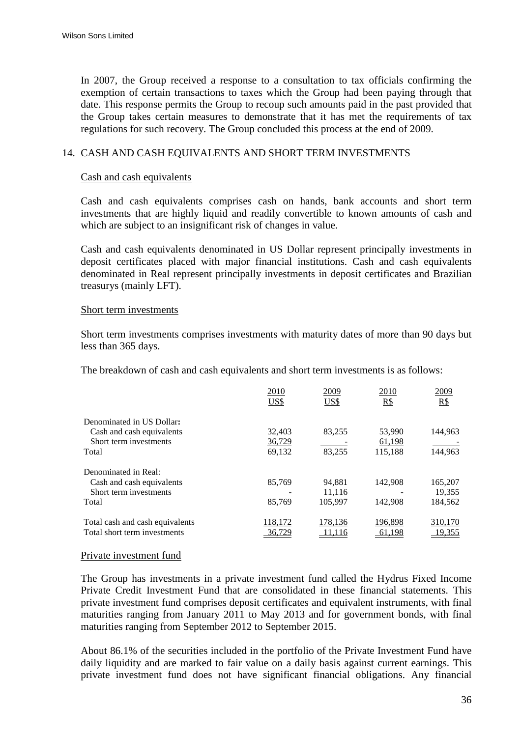In 2007, the Group received a response to a consultation to tax officials confirming the exemption of certain transactions to taxes which the Group had been paying through that date. This response permits the Group to recoup such amounts paid in the past provided that the Group takes certain measures to demonstrate that it has met the requirements of tax regulations for such recovery. The Group concluded this process at the end of 2009.

# 14. CASH AND CASH EQUIVALENTS AND SHORT TERM INVESTMENTS

#### Cash and cash equivalents

Cash and cash equivalents comprises cash on hands, bank accounts and short term investments that are highly liquid and readily convertible to known amounts of cash and which are subject to an insignificant risk of changes in value.

Cash and cash equivalents denominated in US Dollar represent principally investments in deposit certificates placed with major financial institutions. Cash and cash equivalents denominated in Real represent principally investments in deposit certificates and Brazilian treasurys (mainly LFT).

#### Short term investments

Short term investments comprises investments with maturity dates of more than 90 days but less than 365 days.

The breakdown of cash and cash equivalents and short term investments is as follows:

|                                                                                      | <u>2010</u><br>US\$ | 2009<br>US\$                | <u>2010</u><br>R\$ | <u>2009</u><br>R\$           |
|--------------------------------------------------------------------------------------|---------------------|-----------------------------|--------------------|------------------------------|
| Denominated in US Dollar:<br>Cash and cash equivalents                               | 32,403              | 83,255                      | 53,990             | 144,963                      |
| Short term investments<br>Total                                                      | 36,729<br>69,132    | 83,255                      | 61,198<br>115,188  | 144,963                      |
| Denominated in Real:<br>Cash and cash equivalents<br>Short term investments<br>Total | 85,769<br>85,769    | 94,881<br>11,116<br>105.997 | 142,908<br>142,908 | 165,207<br>19,355<br>184,562 |
| Total cash and cash equivalents<br>Total short term investments                      | 18,172              | 178.136                     | 196,898            | 310,170<br>9.355             |

#### Private investment fund

The Group has investments in a private investment fund called the Hydrus Fixed Income Private Credit Investment Fund that are consolidated in these financial statements. This private investment fund comprises deposit certificates and equivalent instruments, with final maturities ranging from January 2011 to May 2013 and for government bonds, with final maturities ranging from September 2012 to September 2015.

About 86.1% of the securities included in the portfolio of the Private Investment Fund have daily liquidity and are marked to fair value on a daily basis against current earnings. This private investment fund does not have significant financial obligations. Any financial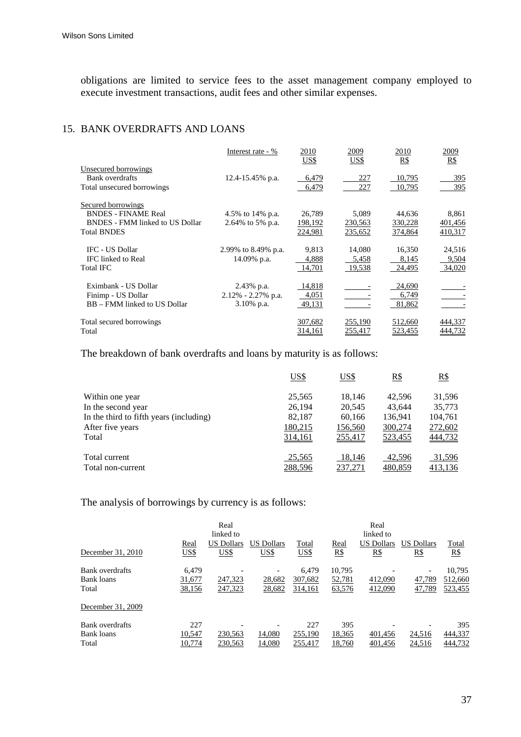obligations are limited to service fees to the asset management company employed to execute investment transactions, audit fees and other similar expenses.

# 15. BANK OVERDRAFTS AND LOANS

|                                        | Interest rate - %   | 2010<br>US\$ | 2009<br>US\$ | 2010<br>R\$    | 2009<br>R\$ |
|----------------------------------------|---------------------|--------------|--------------|----------------|-------------|
| Unsecured borrowings                   |                     |              |              |                |             |
| Bank overdrafts                        | 12.4-15.45% p.a.    | 6,479        | 227          | 10,795         | 395         |
| Total unsecured borrowings             |                     | 6,479        | 227          | 10,795         | 395         |
| Secured borrowings                     |                     |              |              |                |             |
| <b>BNDES - FINAME Real</b>             | 4.5% to 14% p.a.    | 26,789       | 5,089        | 44,636         | 8,861       |
| <b>BNDES - FMM linked to US Dollar</b> | 2.64% to 5% p.a.    | 198,192      | 230,563      | 330,228        | 401,456     |
| <b>Total BNDES</b>                     |                     | 224,981      | 235,652      | 374,864        | 410,317     |
| <b>IFC - US Dollar</b>                 | 2.99% to 8.49% p.a. | 9,813        | 14,080       | 16,350         | 24,516      |
| <b>IFC</b> linked to Real              | 14.09% p.a.         | 4,888        | 5,458        | 8,145          | 9,504       |
| <b>Total IFC</b>                       |                     | 14,701       | 19,538       | 24,495         | 34,020      |
| Eximbank - US Dollar                   | 2.43% p.a.          | 14,818       |              | 24,690         |             |
| Finimp - US Dollar                     | 2.12% - 2.27% p.a.  | 4,051        |              | 6,749          |             |
| BB – FMM linked to US Dollar           | $3.10\%$ p.a.       | 49,131       |              | 81,862         |             |
| Total secured borrowings               |                     | 307,682      | 255,190      | 512,660        | 444,337     |
| Total                                  |                     | 314,161      | 255,417      | <u>523,455</u> | 444,732     |

The breakdown of bank overdrafts and loans by maturity is as follows:

|                                         | US\$    | US\$    | R\$     | R\$     |
|-----------------------------------------|---------|---------|---------|---------|
| Within one year                         | 25,565  | 18,146  | 42.596  | 31,596  |
| In the second year                      | 26,194  | 20.545  | 43.644  | 35,773  |
| In the third to fifth years (including) | 82,187  | 60,166  | 136,941 | 104,761 |
| After five years                        | 180,215 | 156,560 | 300,274 | 272,602 |
| Total                                   | 314,161 | 255,417 | 523,455 | 444,732 |
| Total current                           | 25,565  | 18,146  | 42,596  | 31,596  |
| Total non-current                       | 288,596 | 237,271 | 480,859 | 413,136 |

The analysis of borrowings by currency is as follows:

|                                        |                           | Real<br>linked to         |                           |                             |                            | Real<br>linked to        |                                              |                              |
|----------------------------------------|---------------------------|---------------------------|---------------------------|-----------------------------|----------------------------|--------------------------|----------------------------------------------|------------------------------|
| December 31, 2010                      | Real<br>US\$              | <b>US Dollars</b><br>US\$ | <b>US Dollars</b><br>US\$ | Total<br><u>US\$</u>        | Real<br>R\$                | <b>US Dollars</b><br>R\$ | <b>US Dollars</b><br><u>R\$</u>              | Total<br>$R\$                |
| Bank overdrafts<br>Bank loans<br>Total | 6.479<br>31,677<br>38,156 | 247,323<br>247,323        | 28,682<br>28,682          | 6.479<br>307,682<br>314,161 | 10.795<br>52,781<br>63,576 | 412,090<br>412,090       | $\overline{\phantom{0}}$<br>47,789<br>47,789 | 10.795<br>512,660<br>523,455 |
| December 31, 2009                      |                           |                           |                           |                             |                            |                          |                                              |                              |
| Bank overdrafts<br>Bank loans<br>Total | 227<br>10,547<br>10,774   | 230,563<br>230,563        | 14,080<br>14,080          | 227<br>255,190<br>255,417   | 395<br>18,365<br>18,760    | 401,456<br>401,456       | 24,516<br>24,516                             | 395<br>444,337<br>444,732    |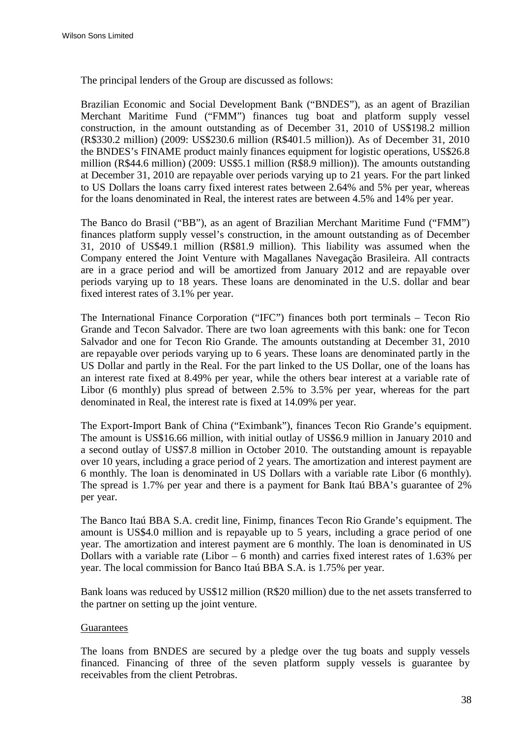The principal lenders of the Group are discussed as follows:

Brazilian Economic and Social Development Bank ("BNDES"), as an agent of Brazilian Merchant Maritime Fund ("FMM") finances tug boat and platform supply vessel construction, in the amount outstanding as of December 31, 2010 of US\$198.2 million (R\$330.2 million) (2009: US\$230.6 million (R\$401.5 million)). As of December 31, 2010 the BNDES's FINAME product mainly finances equipment for logistic operations, US\$26.8 million (R\$44.6 million) (2009: US\$5.1 million (R\$8.9 million)). The amounts outstanding at December 31, 2010 are repayable over periods varying up to 21 years. For the part linked to US Dollars the loans carry fixed interest rates between 2.64% and 5% per year, whereas for the loans denominated in Real, the interest rates are between 4.5% and 14% per year.

The Banco do Brasil ("BB"), as an agent of Brazilian Merchant Maritime Fund ("FMM") finances platform supply vessel's construction, in the amount outstanding as of December 31, 2010 of US\$49.1 million (R\$81.9 million). This liability was assumed when the Company entered the Joint Venture with Magallanes Navegação Brasileira. All contracts are in a grace period and will be amortized from January 2012 and are repayable over periods varying up to 18 years. These loans are denominated in the U.S. dollar and bear fixed interest rates of 3.1% per year.

The International Finance Corporation ("IFC") finances both port terminals – Tecon Rio Grande and Tecon Salvador. There are two loan agreements with this bank: one for Tecon Salvador and one for Tecon Rio Grande. The amounts outstanding at December 31, 2010 are repayable over periods varying up to 6 years. These loans are denominated partly in the US Dollar and partly in the Real. For the part linked to the US Dollar, one of the loans has an interest rate fixed at 8.49% per year, while the others bear interest at a variable rate of Libor (6 monthly) plus spread of between 2.5% to 3.5% per year, whereas for the part denominated in Real, the interest rate is fixed at 14.09% per year.

The Export-Import Bank of China ("Eximbank"), finances Tecon Rio Grande's equipment. The amount is US\$16.66 million, with initial outlay of US\$6.9 million in January 2010 and a second outlay of US\$7.8 million in October 2010. The outstanding amount is repayable over 10 years, including a grace period of 2 years. The amortization and interest payment are 6 monthly. The loan is denominated in US Dollars with a variable rate Libor (6 monthly). The spread is 1.7% per year and there is a payment for Bank Itaú BBA's guarantee of 2% per year.

The Banco Itaú BBA S.A. credit line, Finimp, finances Tecon Rio Grande's equipment. The amount is US\$4.0 million and is repayable up to 5 years, including a grace period of one year. The amortization and interest payment are 6 monthly. The loan is denominated in US Dollars with a variable rate (Libor – 6 month) and carries fixed interest rates of 1.63% per year. The local commission for Banco Itaú BBA S.A. is 1.75% per year.

Bank loans was reduced by US\$12 million (R\$20 million) due to the net assets transferred to the partner on setting up the joint venture.

# **Guarantees**

The loans from BNDES are secured by a pledge over the tug boats and supply vessels financed. Financing of three of the seven platform supply vessels is guarantee by receivables from the client Petrobras.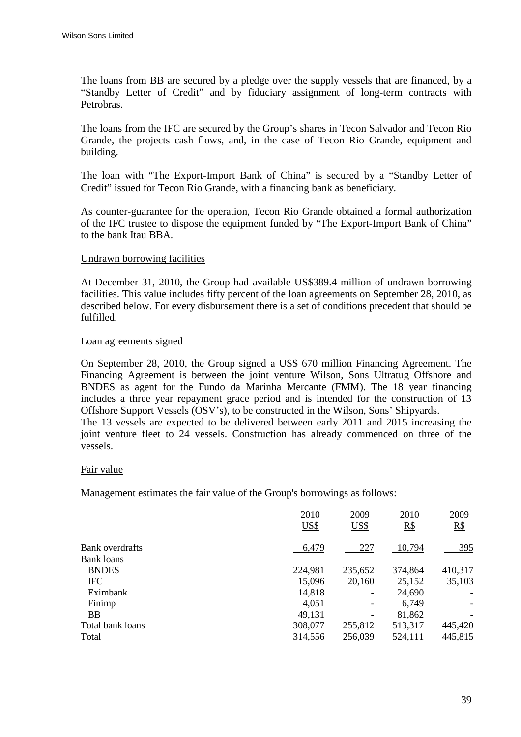The loans from BB are secured by a pledge over the supply vessels that are financed, by a "Standby Letter of Credit" and by fiduciary assignment of long-term contracts with Petrobras.

The loans from the IFC are secured by the Group's shares in Tecon Salvador and Tecon Rio Grande, the projects cash flows, and, in the case of Tecon Rio Grande, equipment and building.

The loan with "The Export-Import Bank of China" is secured by a "Standby Letter of Credit" issued for Tecon Rio Grande, with a financing bank as beneficiary.

As counter-guarantee for the operation, Tecon Rio Grande obtained a formal authorization of the IFC trustee to dispose the equipment funded by "The Export-Import Bank of China" to the bank Itau BBA.

# Undrawn borrowing facilities

At December 31, 2010, the Group had available US\$389.4 million of undrawn borrowing facilities. This value includes fifty percent of the loan agreements on September 28, 2010, as described below. For every disbursement there is a set of conditions precedent that should be fulfilled.

#### Loan agreements signed

On September 28, 2010, the Group signed a US\$ 670 million Financing Agreement. The Financing Agreement is between the joint venture Wilson, Sons Ultratug Offshore and BNDES as agent for the Fundo da Marinha Mercante (FMM). The 18 year financing includes a three year repayment grace period and is intended for the construction of 13 Offshore Support Vessels (OSV's), to be constructed in the Wilson, Sons' Shipyards. The 13 vessels are expected to be delivered between early 2011 and 2015 increasing the joint venture fleet to 24 vessels. Construction has already commenced on three of the vessels.

# Fair value

Management estimates the fair value of the Group's borrowings as follows:

| 2010<br><u>US\$</u> | 2009<br><u>US\$</u> | 2010<br>$R\$ | 2009<br>R\$ |
|---------------------|---------------------|--------------|-------------|
| 6,479               | 227                 | 10,794       | 395         |
|                     |                     |              |             |
| 224,981             | 235,652             | 374,864      | 410,317     |
| 15,096              | 20,160              | 25,152       | 35,103      |
| 14,818              |                     | 24,690       |             |
| 4,051               |                     | 6,749        |             |
| 49,131              |                     | 81,862       |             |
| 308,077             | 255,812             | 513,317      | 445,420     |
| 314,556             | 256,039             | 524,111      | 445,815     |
|                     |                     |              |             |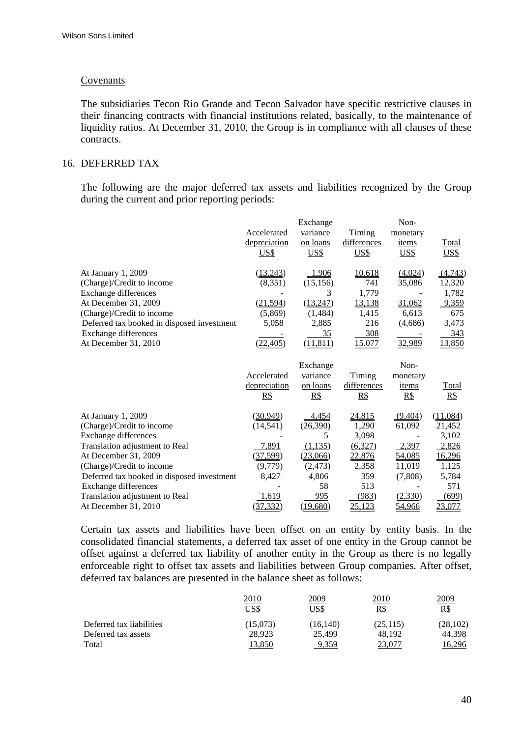#### Covenants

The subsidiaries Tecon Rio Grande and Tecon Salvador have specific restrictive clauses in their financing contracts with financial institutions related, basically, to the maintenance of liquidity ratios. At December 31, 2010, the Group is in compliance with all clauses of these contracts.

#### 16. DEFERRED TAX

The following are the major deferred tax assets and liabilities recognized by the Group during the current and prior reporting periods:

|                                            |                 | Exchange          |                   | Non-              |                   |
|--------------------------------------------|-----------------|-------------------|-------------------|-------------------|-------------------|
|                                            | Accelerated     | variance          | Timing            | monetary          |                   |
|                                            | depreciation    | on loans          | differences       | items             | <u>Total</u>      |
|                                            | <b>US\$</b>     | <u>US\$</u>       | <u>US\$</u>       | US\$              | <b>US\$</b>       |
| At January 1, 2009                         | (13,243)        | 1,906             | 10,618            | (4,024)           | (4,743)           |
| (Charge)/Credit to income                  | (8,351)         | (15, 156)         | 741               | 35,086            | 12,320            |
| <b>Exchange differences</b>                |                 | 3                 | 1,779             |                   | 1,782             |
| At December 31, 2009                       | (21, 594)       | (13,247)          | 13,138            | 31,062            | 9,359             |
| (Charge)/Credit to income                  | (5,869)         | (1,484)           | 1,415             | 6,613             | 675               |
| Deferred tax booked in disposed investment | 5,058           | 2,885             | 216               | (4,686)           | 3,473             |
| Exchange differences                       |                 | $\overline{35}$   | <u>308</u>        |                   | 343               |
| At December 31, 2010                       | (22, 405)       | (11, 811)         | 15.077            | 32,989            | 13,850            |
|                                            |                 |                   |                   |                   |                   |
|                                            |                 | Exchange          |                   | Non-              |                   |
|                                            | Accelerated     | variance          | Timing            | monetary          |                   |
|                                            | depreciation    | on loans          | differences       | items             | <b>Total</b>      |
|                                            | R\$             | $\underline{R\$}$ | $\underline{R\$}$ | $\underline{R\$}$ | $\underline{R\$}$ |
| At January 1, 2009                         | (30,949)        | <u>4,454</u>      | 24,815            | (9,404)           | (11,084)          |
| (Charge)/Credit to income                  | (14, 541)       | (26,390)          | 1,290             | 61,092            | 21,452            |
| <b>Exchange differences</b>                |                 | 5                 | 3,098             |                   | 3,102             |
| Translation adjustment to Real             | 7,891           | (1,135)           | (6,327)           | 2,397             | 2,826             |
| At December 31, 2009                       | <u>(37,599)</u> | (23,066)          | 22,876            | 54,085            | 16,296            |
| (Charge)/Credit to income                  | (9,779)         | (2, 473)          | 2,358             | 11,019            | 1,125             |
| Deferred tax booked in disposed investment | 8,427           | 4,806             | 359               | (7,808)           | 5,784             |
| Exchange differences                       |                 | 58                | 513               |                   | 571               |
| Translation adjustment to Real             | 1,619           | 995               | (983)             | (2,330)           | (699)             |
| At December 31, 2010                       | (37, 332)       | (19,680)          | 25,123            | 54,966            | 23,077            |

Certain tax assets and liabilities have been offset on an entity by entity basis. In the consolidated financial statements, a deferred tax asset of one entity in the Group cannot be offset against a deferred tax liability of another entity in the Group as there is no legally enforceable right to offset tax assets and liabilities between Group companies. After offset, deferred tax balances are presented in the balance sheet as follows:

|                          | <u> 2010</u> | 2009      | 2010       | <u> 2009</u> |
|--------------------------|--------------|-----------|------------|--------------|
|                          | US\$         | US\$      | <u>R\$</u> | $R\$         |
| Deferred tax liabilities | (15,073)     | (16, 140) | (25, 115)  | (28,102)     |
| Deferred tax assets      | 28.923       | 25,499    | 48,192     | 44,398       |
| Total                    | 13,850       | 9.359     |            | 6.296        |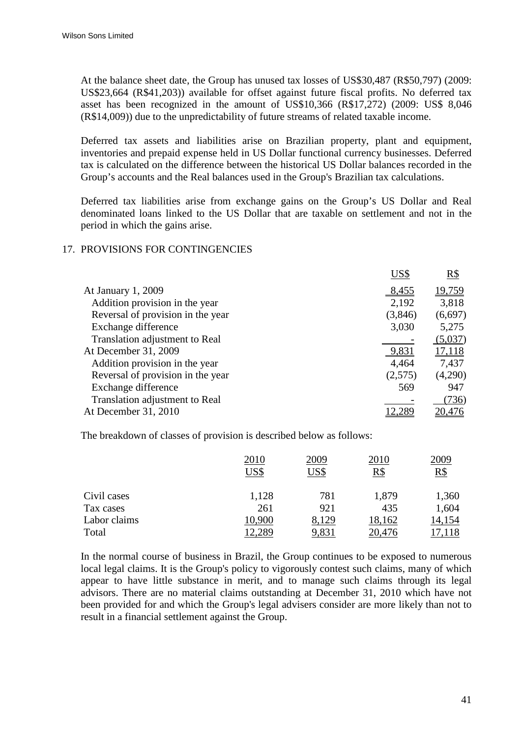At the balance sheet date, the Group has unused tax losses of US\$30,487 (R\$50,797) (2009: US\$23,664 (R\$41,203)) available for offset against future fiscal profits. No deferred tax asset has been recognized in the amount of US\$10,366 (R\$17,272) (2009: US\$ 8,046 (R\$14,009)) due to the unpredictability of future streams of related taxable income.

Deferred tax assets and liabilities arise on Brazilian property, plant and equipment, inventories and prepaid expense held in US Dollar functional currency businesses. Deferred tax is calculated on the difference between the historical US Dollar balances recorded in the Group's accounts and the Real balances used in the Group's Brazilian tax calculations.

Deferred tax liabilities arise from exchange gains on the Group's US Dollar and Real denominated loans linked to the US Dollar that are taxable on settlement and not in the period in which the gains arise.

# 17. PROVISIONS FOR CONTINGENCIES

|                                   | US\$    | R\$            |
|-----------------------------------|---------|----------------|
| At January 1, 2009                | 8,455   | 19,759         |
| Addition provision in the year    | 2,192   | 3,818          |
| Reversal of provision in the year | (3,846) | (6,697)        |
| Exchange difference               | 3,030   | 5,275          |
| Translation adjustment to Real    |         | (5,037)        |
| At December 31, 2009              | 9,831   | <u>17,118</u>  |
| Addition provision in the year    | 4,464   | 7,437          |
| Reversal of provision in the year | (2,575) | (4,290)        |
| Exchange difference               | 569     | 947            |
| Translation adjustment to Real    |         | (736)          |
| At December 31, 2010              | 12,289  | <u> 20,476</u> |

The breakdown of classes of provision is described below as follows:

|              | 2010   | 2009  | 2010   | 2009   |
|--------------|--------|-------|--------|--------|
|              | US\$   | US\$  | $R\$   | R\$    |
| Civil cases  | 1,128  | 781   | 1,879  | 1,360  |
| Tax cases    | 261    | 921   | 435    | 1,604  |
| Labor claims | 10,900 | 8,129 | 18,162 | 14,154 |
| Total        | 12,289 | 9,831 | 20,476 | 118    |

In the normal course of business in Brazil, the Group continues to be exposed to numerous local legal claims. It is the Group's policy to vigorously contest such claims, many of which appear to have little substance in merit, and to manage such claims through its legal advisors. There are no material claims outstanding at December 31, 2010 which have not been provided for and which the Group's legal advisers consider are more likely than not to result in a financial settlement against the Group.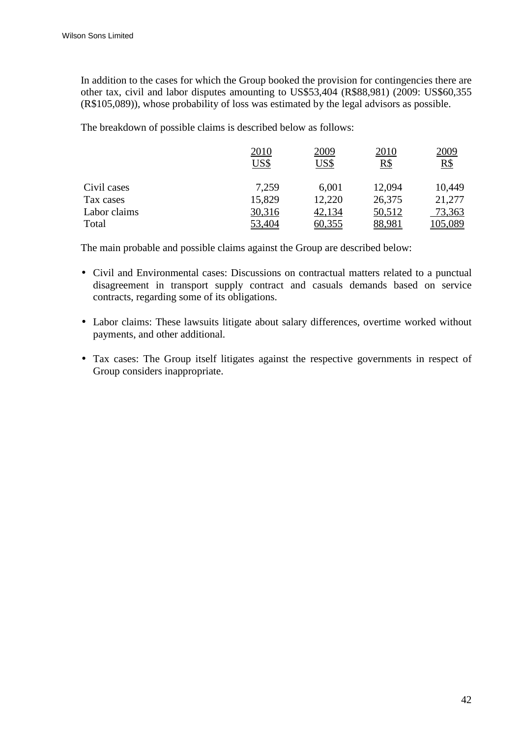In addition to the cases for which the Group booked the provision for contingencies there are other tax, civil and labor disputes amounting to US\$53,404 (R\$88,981) (2009: US\$60,355 (R\$105,089)), whose probability of loss was estimated by the legal advisors as possible.

The breakdown of possible claims is described below as follows:

|              | 2010        | 2009        | 2010   | 2009    |
|--------------|-------------|-------------|--------|---------|
|              | <u>US\$</u> | <b>US\$</b> | $R\$   | R\$     |
| Civil cases  | 7,259       | 6,001       | 12,094 | 10,449  |
| Tax cases    | 15,829      | 12,220      | 26,375 | 21,277  |
| Labor claims | 30,316      | 42,134      | 50,512 | 73,363  |
| Total        | 53,404      | 60,355      | 88,981 | 105,089 |

The main probable and possible claims against the Group are described below:

- Civil and Environmental cases: Discussions on contractual matters related to a punctual disagreement in transport supply contract and casuals demands based on service contracts, regarding some of its obligations.
- Labor claims: These lawsuits litigate about salary differences, overtime worked without payments, and other additional.
- Tax cases: The Group itself litigates against the respective governments in respect of Group considers inappropriate.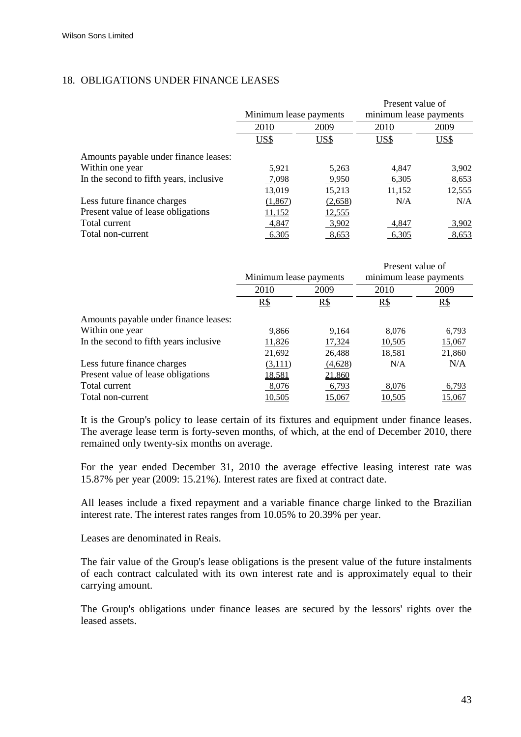# 18. OBLIGATIONS UNDER FINANCE LEASES

|                                         |                        |               | Present value of       |             |
|-----------------------------------------|------------------------|---------------|------------------------|-------------|
|                                         | Minimum lease payments |               | minimum lease payments |             |
|                                         | 2010                   | 2009          | 2010                   | 2009        |
|                                         | US\$                   | US\$          | US\$                   | <u>US\$</u> |
| Amounts payable under finance leases:   |                        |               |                        |             |
| Within one year                         | 5,921                  | 5,263         | 4,847                  | 3,902       |
| In the second to fifth years, inclusive | 7,098                  | 9,950         | 6,305                  | 8,653       |
|                                         | 13,019                 | 15,213        | 11,152                 | 12,555      |
| Less future finance charges             | (1, 867)               | (2,658)       | N/A                    | N/A         |
| Present value of lease obligations      | <u>11,152</u>          | <u>12,555</u> |                        |             |
| Total current                           | 4,847                  | 3,902         | -4,847                 | 3,902       |
| Total non-current                       | 6,305                  | 8,653         | 6,305                  | 8,653       |

|                                        | Minimum lease payments |            | Present value of<br>minimum lease payments |        |
|----------------------------------------|------------------------|------------|--------------------------------------------|--------|
|                                        | 2010                   | 2009       | 2010                                       | 2009   |
|                                        | R\$                    | <u>R\$</u> | $R\$                                       | $R\$   |
| Amounts payable under finance leases:  |                        |            |                                            |        |
| Within one year                        | 9,866                  | 9.164      | 8,076                                      | 6,793  |
| In the second to fifth years inclusive | 11,826                 | 17,324     | 10,505                                     | 15,067 |
|                                        | 21,692                 | 26,488     | 18,581                                     | 21,860 |
| Less future finance charges            | (3,111)                | (4,628)    | N/A                                        | N/A    |
| Present value of lease obligations     | 18,581                 | 21,860     |                                            |        |
| Total current                          | 8,076                  | 6,793      | 8,076                                      | 6,793  |
| Total non-current                      | 10,505                 | 15,067     | 10,505                                     | 15,067 |

It is the Group's policy to lease certain of its fixtures and equipment under finance leases. The average lease term is forty-seven months, of which, at the end of December 2010, there remained only twenty-six months on average.

For the year ended December 31, 2010 the average effective leasing interest rate was 15.87% per year (2009: 15.21%). Interest rates are fixed at contract date.

All leases include a fixed repayment and a variable finance charge linked to the Brazilian interest rate. The interest rates ranges from 10.05% to 20.39% per year.

Leases are denominated in Reais.

The fair value of the Group's lease obligations is the present value of the future instalments of each contract calculated with its own interest rate and is approximately equal to their carrying amount.

The Group's obligations under finance leases are secured by the lessors' rights over the leased assets.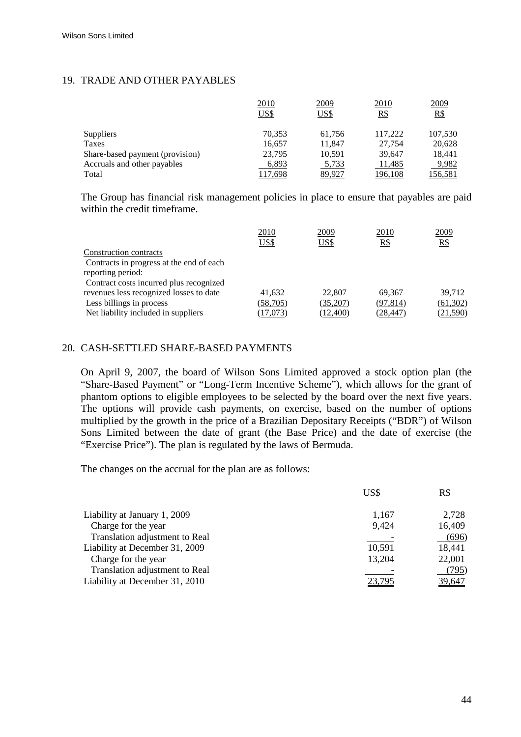# 19. TRADE AND OTHER PAYABLES

|                                 | 2010<br>US\$ | 2009<br><u>US\$</u> | <u>2010</u><br><u>R\$</u> | 2009<br>$R\$ |
|---------------------------------|--------------|---------------------|---------------------------|--------------|
| <b>Suppliers</b>                | 70,353       | 61,756              | 117,222                   | 107,530      |
| Taxes                           | 16,657       | 11.847              | 27.754                    | 20,628       |
| Share-based payment (provision) | 23,795       | 10.591              | 39.647                    | 18.441       |
| Accruals and other payables     | 6,893        | 5,733               | 11,485                    | 9,982        |
| Total                           | 117,698      | 89.927              | 196,108                   | 156,581      |

The Group has financial risk management policies in place to ensure that payables are paid within the credit timeframe.

|                                          | 2010      | 2009     | 2010      | 2009     |
|------------------------------------------|-----------|----------|-----------|----------|
|                                          | US\$      | US\$     | R\$       | R\$      |
| Construction contracts                   |           |          |           |          |
| Contracts in progress at the end of each |           |          |           |          |
| reporting period:                        |           |          |           |          |
| Contract costs incurred plus recognized  |           |          |           |          |
| revenues less recognized losses to date  | 41,632    | 22,807   | 69.367    | 39.712   |
| Less billings in process                 | (58, 705) | (35,207) | (97, 814) | (61,302) |
| Net liability included in suppliers      | (17,073)  | (12,400) | (28, 447) | (21,590) |

#### 20. CASH-SETTLED SHARE-BASED PAYMENTS

On April 9, 2007, the board of Wilson Sons Limited approved a stock option plan (the "Share-Based Payment" or "Long-Term Incentive Scheme"), which allows for the grant of phantom options to eligible employees to be selected by the board over the next five years. The options will provide cash payments, on exercise, based on the number of options multiplied by the growth in the price of a Brazilian Depositary Receipts ("BDR") of Wilson Sons Limited between the date of grant (the Base Price) and the date of exercise (the "Exercise Price"). The plan is regulated by the laws of Bermuda.

The changes on the accrual for the plan are as follows:

|                                | US\$   | R\$    |
|--------------------------------|--------|--------|
| Liability at January 1, 2009   | 1.167  | 2,728  |
| Charge for the year            | 9,424  | 16,409 |
| Translation adjustment to Real |        | (696)  |
| Liability at December 31, 2009 | 10,591 | 18,441 |
| Charge for the year            | 13,204 | 22,001 |
| Translation adjustment to Real |        | (795)  |
| Liability at December 31, 2010 |        | 39,647 |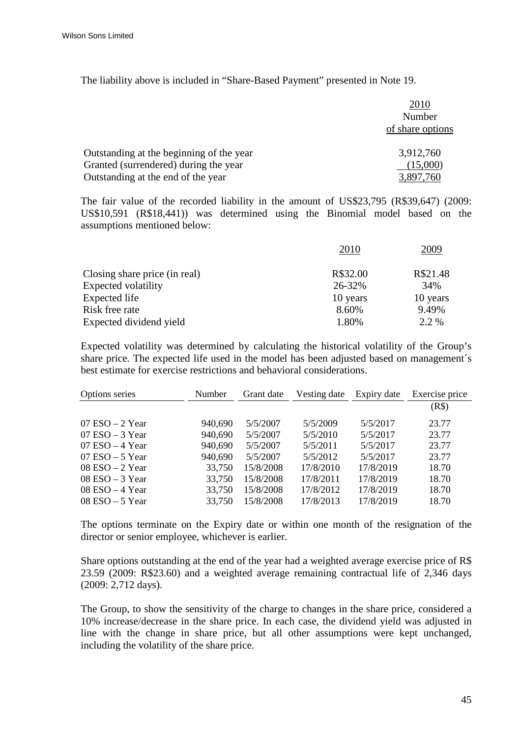The liability above is included in "Share-Based Payment" presented in Note 19.

|                                          | 2010             |
|------------------------------------------|------------------|
|                                          | Number           |
|                                          | of share options |
| Outstanding at the beginning of the year | 3,912,760        |
| Granted (surrendered) during the year    | (15,000)         |
| Outstanding at the end of the year       | 3,897,760        |

The fair value of the recorded liability in the amount of US\$23,795 (R\$39,647) (2009: US\$10,591 (R\$18,441)) was determined using the Binomial model based on the assumptions mentioned below:

|                               | 2010     | 2009     |
|-------------------------------|----------|----------|
| Closing share price (in real) | R\$32.00 | R\$21.48 |
| <b>Expected volatility</b>    | 26-32%   | 34%      |
| Expected life                 | 10 years | 10 years |
| Risk free rate                | 8.60%    | 9.49%    |
| Expected dividend yield       | 1.80%    | 2.2 %    |

Expected volatility was determined by calculating the historical volatility of the Group's share price. The expected life used in the model has been adjusted based on management´s best estimate for exercise restrictions and behavioral considerations.

| Options series      | Number  | Grant date | Vesting date | Expiry date | Exercise price |
|---------------------|---------|------------|--------------|-------------|----------------|
|                     |         |            |              |             | (R\$)          |
| $07$ ESO $-2$ Year  | 940,690 | 5/5/2007   | 5/5/2009     | 5/5/2017    | 23.77          |
| $07$ ESO $-$ 3 Year | 940,690 | 5/5/2007   | 5/5/2010     | 5/5/2017    | 23.77          |
| $07$ ESO $-4$ Year  | 940,690 | 5/5/2007   | 5/5/2011     | 5/5/2017    | 23.77          |
| $07$ ESO $-5$ Year  | 940,690 | 5/5/2007   | 5/5/2012     | 5/5/2017    | 23.77          |
| $08$ ESO $-2$ Year  | 33,750  | 15/8/2008  | 17/8/2010    | 17/8/2019   | 18.70          |
| $08$ ESO $-3$ Year  | 33,750  | 15/8/2008  | 17/8/2011    | 17/8/2019   | 18.70          |
| $08$ ESO $-4$ Year  | 33,750  | 15/8/2008  | 17/8/2012    | 17/8/2019   | 18.70          |
| $08$ ESO $-5$ Year  | 33,750  | 15/8/2008  | 17/8/2013    | 17/8/2019   | 18.70          |

The options terminate on the Expiry date or within one month of the resignation of the director or senior employee, whichever is earlier.

Share options outstanding at the end of the year had a weighted average exercise price of R\$ 23.59 (2009: R\$23.60) and a weighted average remaining contractual life of 2,346 days (2009: 2,712 days).

The Group, to show the sensitivity of the charge to changes in the share price, considered a 10% increase/decrease in the share price. In each case, the dividend yield was adjusted in line with the change in share price, but all other assumptions were kept unchanged, including the volatility of the share price.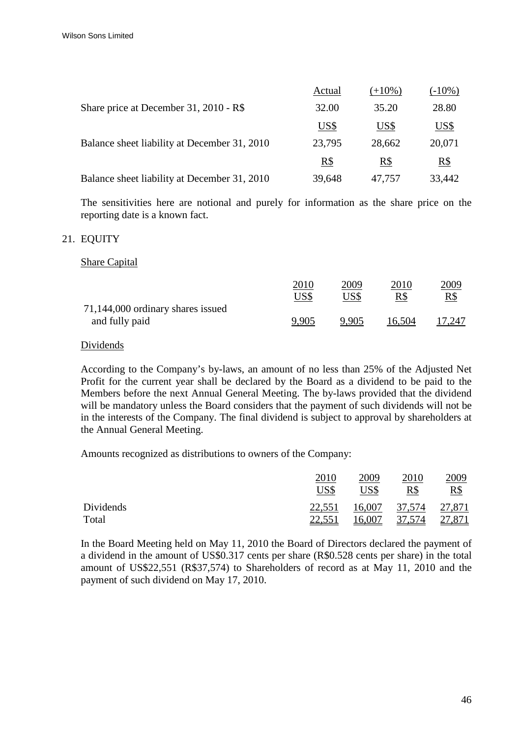|                                              | Actual | $(+10\%)$ | $(-10\%)$ |
|----------------------------------------------|--------|-----------|-----------|
| Share price at December 31, 2010 - R\$       | 32.00  | 35.20     | 28.80     |
|                                              | US\$   | US\$      | US\$      |
| Balance sheet liability at December 31, 2010 | 23,795 | 28,662    | 20,071    |
|                                              | $R\$   | R\$       | $R\$      |
| Balance sheet liability at December 31, 2010 | 39,648 | 47,757    | 33,442    |

The sensitivities here are notional and purely for information as the share price on the reporting date is a known fact.

#### 21. EQUITY

Share Capital

|                                   | 2010<br>US\$ | 2009<br>US\$ | 2010<br>R\$ | 2009<br>R\$ |
|-----------------------------------|--------------|--------------|-------------|-------------|
| 71,144,000 ordinary shares issued |              |              |             |             |
| and fully paid                    | 9.905        | 9.905        | 16.504      | 17,247      |

# Dividends

According to the Company's by-laws, an amount of no less than 25% of the Adjusted Net Profit for the current year shall be declared by the Board as a dividend to be paid to the Members before the next Annual General Meeting. The by-laws provided that the dividend will be mandatory unless the Board considers that the payment of such dividends will not be in the interests of the Company. The final dividend is subject to approval by shareholders at the Annual General Meeting.

Amounts recognized as distributions to owners of the Company:

|           | 2010<br>US\$  | 2009<br>US\$  | 2010<br>R\$ | 2009<br>R\$ |
|-----------|---------------|---------------|-------------|-------------|
| Dividends | 22,551        | 16,007        | 37,574      | 27,871      |
| Total     | <u>22,551</u> | <u>16,007</u> | 37,574      | 27,871      |

In the Board Meeting held on May 11, 2010 the Board of Directors declared the payment of a dividend in the amount of US\$0.317 cents per share (R\$0.528 cents per share) in the total amount of US\$22,551 (R\$37,574) to Shareholders of record as at May 11, 2010 and the payment of such dividend on May 17, 2010.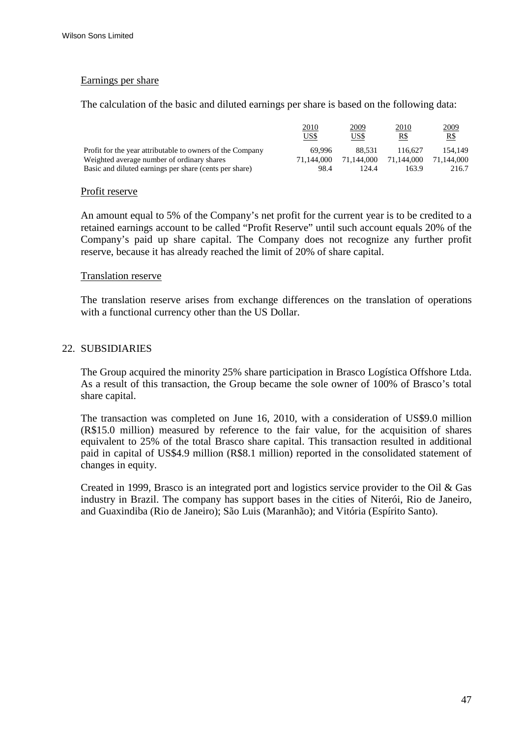#### Earnings per share

The calculation of the basic and diluted earnings per share is based on the following data:

|                                                           | <u> 2010</u><br>US\$ | 2009<br>US\$ | 2010<br>R\$ | 2009<br>R\$ |
|-----------------------------------------------------------|----------------------|--------------|-------------|-------------|
| Profit for the year attributable to owners of the Company | 69.996               | 88.531       | 116.627     | 154.149     |
| Weighted average number of ordinary shares                | 71.144.000           | 71.144.000   | 71.144.000  | 71.144.000  |
| Basic and diluted earnings per share (cents per share)    | 98.4                 | 124.4        | 163.9       | 216.7       |

#### Profit reserve

An amount equal to 5% of the Company's net profit for the current year is to be credited to a retained earnings account to be called "Profit Reserve" until such account equals 20% of the Company's paid up share capital. The Company does not recognize any further profit reserve, because it has already reached the limit of 20% of share capital.

#### Translation reserve

The translation reserve arises from exchange differences on the translation of operations with a functional currency other than the US Dollar.

#### 22. SUBSIDIARIES

The Group acquired the minority 25% share participation in Brasco Logística Offshore Ltda. As a result of this transaction, the Group became the sole owner of 100% of Brasco's total share capital.

The transaction was completed on June 16, 2010, with a consideration of US\$9.0 million (R\$15.0 million) measured by reference to the fair value, for the acquisition of shares equivalent to 25% of the total Brasco share capital. This transaction resulted in additional paid in capital of US\$4.9 million (R\$8.1 million) reported in the consolidated statement of changes in equity.

Created in 1999, Brasco is an integrated port and logistics service provider to the Oil & Gas industry in Brazil. The company has support bases in the cities of Niterói, Rio de Janeiro, and Guaxindiba (Rio de Janeiro); São Luis (Maranhão); and Vitória (Espírito Santo).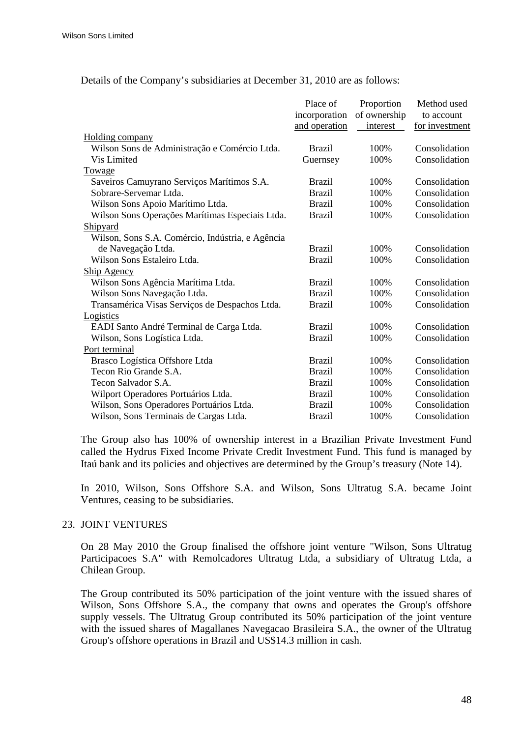Details of the Company's subsidiaries at December 31, 2010 are as follows:

|                                                  | Place of      | Proportion   | Method used    |
|--------------------------------------------------|---------------|--------------|----------------|
|                                                  | incorporation | of ownership | to account     |
|                                                  | and operation | interest     | for investment |
| <b>Holding company</b>                           |               |              |                |
| Wilson Sons de Administração e Comércio Ltda.    | <b>Brazil</b> | 100%         | Consolidation  |
| Vis Limited                                      | Guernsey      | 100%         | Consolidation  |
| Towage                                           |               |              |                |
| Saveiros Camuyrano Serviços Marítimos S.A.       | <b>Brazil</b> | 100%         | Consolidation  |
| Sobrare-Servemar Ltda.                           | <b>Brazil</b> | 100%         | Consolidation  |
| Wilson Sons Apoio Marítimo Ltda.                 | <b>Brazil</b> | 100%         | Consolidation  |
| Wilson Sons Operações Marítimas Especiais Ltda.  | <b>Brazil</b> | 100%         | Consolidation  |
| Shipyard                                         |               |              |                |
| Wilson, Sons S.A. Comércio, Indústria, e Agência |               |              |                |
| de Navegação Ltda.                               | <b>Brazil</b> | 100%         | Consolidation  |
| Wilson Sons Estaleiro Ltda.                      | <b>Brazil</b> | 100%         | Consolidation  |
| <b>Ship Agency</b>                               |               |              |                |
| Wilson Sons Agência Marítima Ltda.               | <b>Brazil</b> | 100%         | Consolidation  |
| Wilson Sons Navegação Ltda.                      | <b>Brazil</b> | 100%         | Consolidation  |
| Transamérica Visas Serviços de Despachos Ltda.   | <b>Brazil</b> | 100%         | Consolidation  |
| Logistics                                        |               |              |                |
| EADI Santo André Terminal de Carga Ltda.         | <b>Brazil</b> | 100%         | Consolidation  |
| Wilson, Sons Logística Ltda.                     | <b>Brazil</b> | 100%         | Consolidation  |
| Port terminal                                    |               |              |                |
| Brasco Logística Offshore Ltda                   | <b>Brazil</b> | 100%         | Consolidation  |
| Tecon Rio Grande S.A.                            | <b>Brazil</b> | 100%         | Consolidation  |
| Tecon Salvador S.A.                              | <b>Brazil</b> | 100%         | Consolidation  |
| Wilport Operadores Portuários Ltda.              | <b>Brazil</b> | 100%         | Consolidation  |
| Wilson, Sons Operadores Portuários Ltda.         | <b>Brazil</b> | 100%         | Consolidation  |
| Wilson, Sons Terminais de Cargas Ltda.           | <b>Brazil</b> | 100%         | Consolidation  |

The Group also has 100% of ownership interest in a Brazilian Private Investment Fund called the Hydrus Fixed Income Private Credit Investment Fund. This fund is managed by Itaú bank and its policies and objectives are determined by the Group's treasury (Note 14).

In 2010, Wilson, Sons Offshore S.A. and Wilson, Sons Ultratug S.A. became Joint Ventures, ceasing to be subsidiaries.

# 23. JOINT VENTURES

On 28 May 2010 the Group finalised the offshore joint venture "Wilson, Sons Ultratug Participacoes S.A" with Remolcadores Ultratug Ltda, a subsidiary of Ultratug Ltda, a Chilean Group.

The Group contributed its 50% participation of the joint venture with the issued shares of Wilson, Sons Offshore S.A., the company that owns and operates the Group's offshore supply vessels. The Ultratug Group contributed its 50% participation of the joint venture with the issued shares of Magallanes Navegacao Brasileira S.A., the owner of the Ultratug Group's offshore operations in Brazil and US\$14.3 million in cash.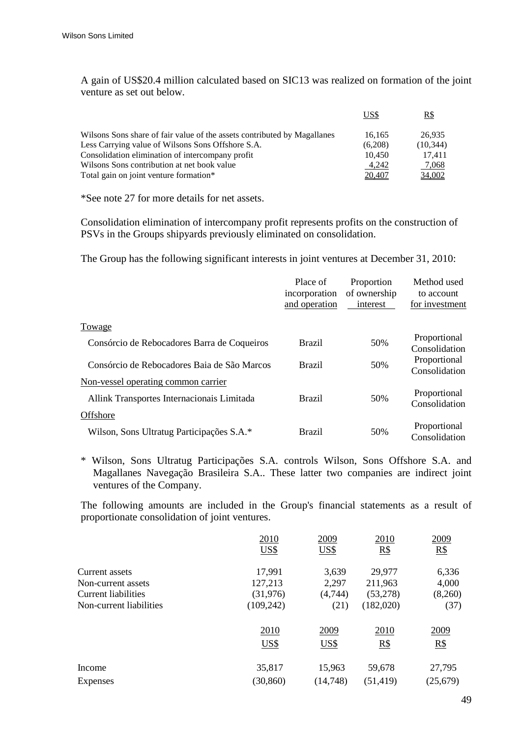A gain of US\$20.4 million calculated based on SIC13 was realized on formation of the joint venture as set out below.

|                                                                          |         | R\$       |
|--------------------------------------------------------------------------|---------|-----------|
| Wilsons Sons share of fair value of the assets contributed by Magallanes | 16.165  | 26.935    |
| Less Carrying value of Wilsons Sons Offshore S.A.                        | (6,208) | (10, 344) |
| Consolidation elimination of intercompany profit                         | 10.450  | 17.411    |
| Wilsons Sons contribution at net book value                              | 4,242   | 7,068     |
| Total gain on joint venture formation*                                   | 20,407  | 34,002    |

\*See note 27 for more details for net assets.

Consolidation elimination of intercompany profit represents profits on the construction of PSVs in the Groups shipyards previously eliminated on consolidation.

The Group has the following significant interests in joint ventures at December 31, 2010:

|                                             | Place of<br>incorporation<br>and operation | Proportion<br>of ownership<br>interest | Method used<br>to account<br>for investment |
|---------------------------------------------|--------------------------------------------|----------------------------------------|---------------------------------------------|
| Towage                                      |                                            |                                        |                                             |
| Consórcio de Rebocadores Barra de Coqueiros | <b>Brazil</b>                              | 50%                                    | Proportional<br>Consolidation               |
| Consórcio de Rebocadores Baia de São Marcos | <b>Brazil</b>                              | 50%                                    | Proportional<br>Consolidation               |
| Non-vessel operating common carrier         |                                            |                                        |                                             |
| Allink Transportes Internacionais Limitada  | <b>Brazil</b>                              | 50%                                    | Proportional<br>Consolidation               |
| Offshore                                    |                                            |                                        |                                             |
| Wilson, Sons Ultratug Participações S.A.*   | <b>Brazil</b>                              | 50%                                    | Proportional<br>Consolidation               |

\* Wilson, Sons Ultratug Participações S.A. controls Wilson, Sons Offshore S.A. and Magallanes Navegação Brasileira S.A.. These latter two companies are indirect joint ventures of the Company.

The following amounts are included in the Group's financial statements as a result of proportionate consolidation of joint ventures.

|                         | 2010        | 2009        | 2010      | 2009      |
|-------------------------|-------------|-------------|-----------|-----------|
|                         | <b>US\$</b> | <u>US\$</u> | $R\$      | R\$       |
| Current assets          | 17,991      | 3,639       | 29,977    | 6,336     |
| Non-current assets      | 127,213     | 2,297       | 211,963   | 4,000     |
| Current liabilities     | (31, 976)   | (4,744)     | (53,278)  | (8,260)   |
| Non-current liabilities | (109, 242)  | (21)        | (182,020) | (37)      |
|                         | 2010        | 2009        | 2010      | 2009      |
|                         | US\$        | US\$        | R\$       | R\$       |
| Income                  | 35,817      | 15,963      | 59,678    | 27,795    |
| <b>Expenses</b>         | (30, 860)   | (14, 748)   | (51, 419) | (25, 679) |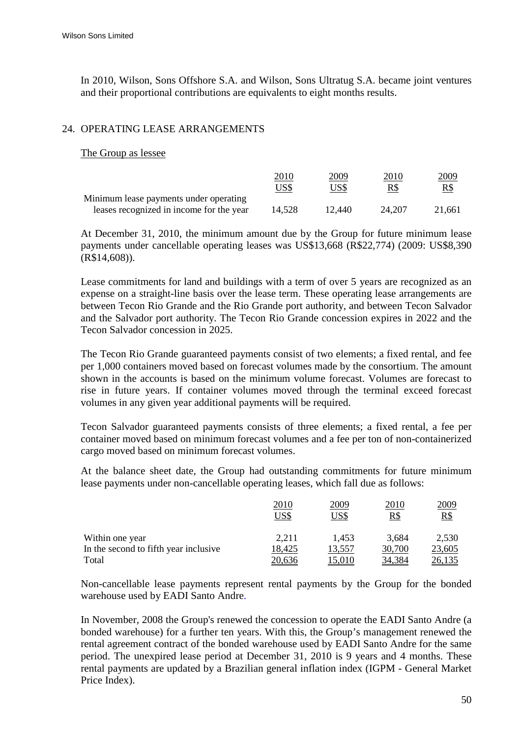In 2010, Wilson, Sons Offshore S.A. and Wilson, Sons Ultratug S.A. became joint ventures and their proportional contributions are equivalents to eight months results.

# 24. OPERATING LEASE ARRANGEMENTS

# The Group as lessee

|                                          | 2010<br>US\$ | 2009<br>US\$ | 2010<br>R\$ | <u>2009</u><br>R\$ |
|------------------------------------------|--------------|--------------|-------------|--------------------|
| Minimum lease payments under operating   |              |              |             |                    |
| leases recognized in income for the year | 14.528       | 12.440       | 24.207      | 21.661             |

At December 31, 2010, the minimum amount due by the Group for future minimum lease payments under cancellable operating leases was US\$13,668 (R\$22,774) (2009: US\$8,390 (R\$14,608)).

Lease commitments for land and buildings with a term of over 5 years are recognized as an expense on a straight-line basis over the lease term. These operating lease arrangements are between Tecon Rio Grande and the Rio Grande port authority, and between Tecon Salvador and the Salvador port authority. The Tecon Rio Grande concession expires in 2022 and the Tecon Salvador concession in 2025.

The Tecon Rio Grande guaranteed payments consist of two elements; a fixed rental, and fee per 1,000 containers moved based on forecast volumes made by the consortium. The amount shown in the accounts is based on the minimum volume forecast. Volumes are forecast to rise in future years. If container volumes moved through the terminal exceed forecast volumes in any given year additional payments will be required.

Tecon Salvador guaranteed payments consists of three elements; a fixed rental, a fee per container moved based on minimum forecast volumes and a fee per ton of non-containerized cargo moved based on minimum forecast volumes.

At the balance sheet date, the Group had outstanding commitments for future minimum lease payments under non-cancellable operating leases, which fall due as follows:

|                                       | 2010<br>US\$ | 2009<br>US\$ | 2010<br>$R\$ | 2009<br>R\$ |
|---------------------------------------|--------------|--------------|--------------|-------------|
| Within one year                       | 2.211        | 1.453        | 3,684        | 2,530       |
| In the second to fifth year inclusive | 18,425       | 13,557       | 30,700       | 23,605      |
| Total                                 | 20,636       |              | 34,384       |             |

Non-cancellable lease payments represent rental payments by the Group for the bonded warehouse used by EADI Santo Andre.

In November, 2008 the Group's renewed the concession to operate the EADI Santo Andre (a bonded warehouse) for a further ten years. With this, the Group's management renewed the rental agreement contract of the bonded warehouse used by EADI Santo Andre for the same period. The unexpired lease period at December 31, 2010 is 9 years and 4 months. These rental payments are updated by a Brazilian general inflation index (IGPM - General Market Price Index).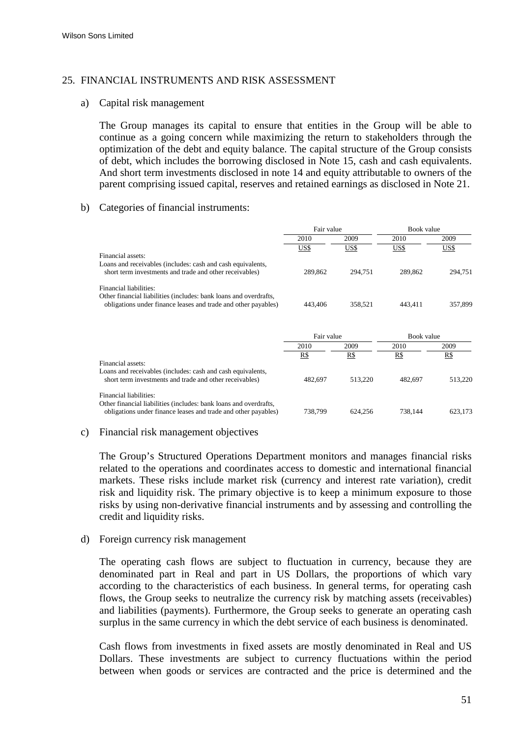#### 25. FINANCIAL INSTRUMENTS AND RISK ASSESSMENT

#### a) Capital risk management

The Group manages its capital to ensure that entities in the Group will be able to continue as a going concern while maximizing the return to stakeholders through the optimization of the debt and equity balance. The capital structure of the Group consists of debt, which includes the borrowing disclosed in Note 15, cash and cash equivalents. And short term investments disclosed in note 14 and equity attributable to owners of the parent comprising issued capital, reserves and retained earnings as disclosed in Note 21.

#### b) Categories of financial instruments:

|                                                                                                                                                               | Fair value |         | Book value |         |
|---------------------------------------------------------------------------------------------------------------------------------------------------------------|------------|---------|------------|---------|
|                                                                                                                                                               | 2010       | 2009    | 2010       | 2009    |
|                                                                                                                                                               | US\$       | US\$    | US\$       | US\$    |
| Financial assets:<br>Loans and receivables (includes: cash and cash equivalents,<br>short term investments and trade and other receivables)                   | 289,862    | 294.751 | 289,862    | 294.751 |
| Financial liabilities:<br>Other financial liabilities (includes: bank loans and overdrafts,<br>obligations under finance leases and trade and other payables) | 443,406    | 358.521 | 443.411    | 357.899 |

|                                                                                                                                                               | Fair value |         | Book value |         |
|---------------------------------------------------------------------------------------------------------------------------------------------------------------|------------|---------|------------|---------|
|                                                                                                                                                               | 2010       | 2009    | 2010       | 2009    |
|                                                                                                                                                               | R\$        | R\$     | R\$        | R\$     |
| Financial assets:                                                                                                                                             |            |         |            |         |
| Loans and receivables (includes: cash and cash equivalents,<br>short term investments and trade and other receivables)                                        | 482.697    | 513.220 | 482.697    | 513.220 |
| Financial liabilities:<br>Other financial liabilities (includes: bank loans and overdrafts,<br>obligations under finance leases and trade and other payables) | 738.799    | 624.256 | 738.144    | 623.173 |

#### c) Financial risk management objectives

The Group's Structured Operations Department monitors and manages financial risks related to the operations and coordinates access to domestic and international financial markets. These risks include market risk (currency and interest rate variation), credit risk and liquidity risk. The primary objective is to keep a minimum exposure to those risks by using non-derivative financial instruments and by assessing and controlling the credit and liquidity risks.

#### d) Foreign currency risk management

The operating cash flows are subject to fluctuation in currency, because they are denominated part in Real and part in US Dollars, the proportions of which vary according to the characteristics of each business. In general terms, for operating cash flows, the Group seeks to neutralize the currency risk by matching assets (receivables) and liabilities (payments). Furthermore, the Group seeks to generate an operating cash surplus in the same currency in which the debt service of each business is denominated.

Cash flows from investments in fixed assets are mostly denominated in Real and US Dollars. These investments are subject to currency fluctuations within the period between when goods or services are contracted and the price is determined and the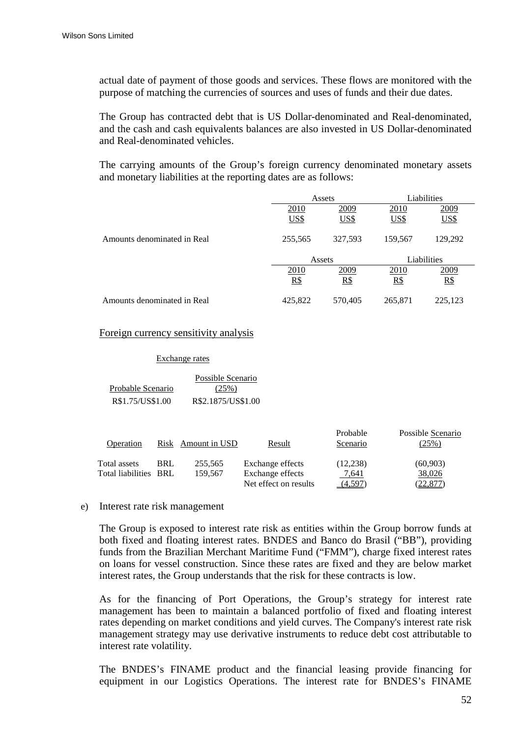actual date of payment of those goods and services. These flows are monitored with the purpose of matching the currencies of sources and uses of funds and their due dates.

The Group has contracted debt that is US Dollar-denominated and Real-denominated, and the cash and cash equivalents balances are also invested in US Dollar-denominated and Real-denominated vehicles.

The carrying amounts of the Group's foreign currency denominated monetary assets and monetary liabilities at the reporting dates are as follows:

|                             | Assets      |             |             | Liabilities |
|-----------------------------|-------------|-------------|-------------|-------------|
|                             | 2010        | 2009        | 2010        | 2009        |
|                             | <b>US\$</b> | <b>US\$</b> | <b>US\$</b> | <u>US\$</u> |
| Amounts denominated in Real | 255,565     | 327,593     | 159,567     | 129,292     |
|                             |             | Assets      |             | Liabilities |
|                             | <u>2010</u> | 2009        | 2010        | 2009        |
|                             | <u>R\$</u>  | <u>R\$</u>  | <u>R\$</u>  | $R\$        |
| Amounts denominated in Real | 425,822     | 570,405     | 265,871     | 225,123     |

#### Foreign currency sensitivity analysis

#### Exchange rates

|                   | Possible Scenario  |
|-------------------|--------------------|
| Probable Scenario | (25%)              |
| R\$1.75/US\$1.00  | R\$2.1875/US\$1.00 |

| Operation             |     | Risk Amount in USD | Result                | Probable<br>Scenario | Possible Scenario<br>(25%) |
|-----------------------|-----|--------------------|-----------------------|----------------------|----------------------------|
| Total assets          | BRL | 255.565            | Exchange effects      | (12, 238)            | (60, 903)                  |
| Total liabilities BRL |     | 159.567            | Exchange effects      | 7,641                | 38,026                     |
|                       |     |                    | Net effect on results | (4,597)              | 22,877                     |

#### e) Interest rate risk management

The Group is exposed to interest rate risk as entities within the Group borrow funds at both fixed and floating interest rates. BNDES and Banco do Brasil ("BB"), providing funds from the Brazilian Merchant Maritime Fund ("FMM"), charge fixed interest rates on loans for vessel construction. Since these rates are fixed and they are below market interest rates, the Group understands that the risk for these contracts is low.

As for the financing of Port Operations, the Group's strategy for interest rate management has been to maintain a balanced portfolio of fixed and floating interest rates depending on market conditions and yield curves. The Company's interest rate risk management strategy may use derivative instruments to reduce debt cost attributable to interest rate volatility.

The BNDES's FINAME product and the financial leasing provide financing for equipment in our Logistics Operations. The interest rate for BNDES's FINAME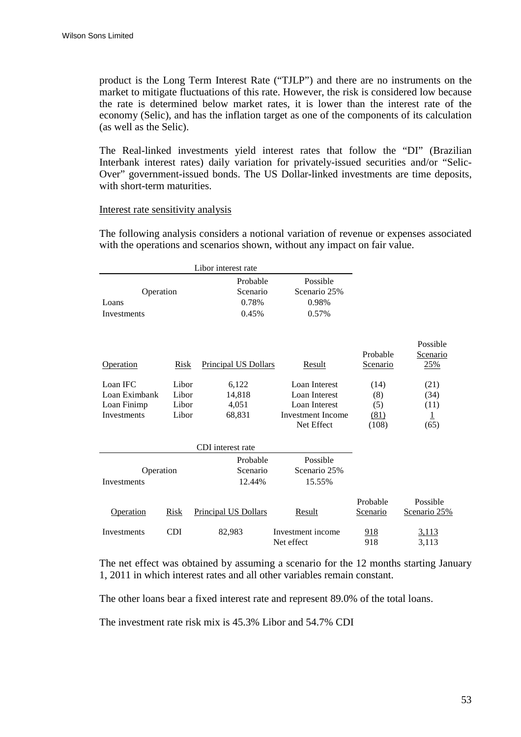product is the Long Term Interest Rate ("TJLP") and there are no instruments on the market to mitigate fluctuations of this rate. However, the risk is considered low because the rate is determined below market rates, it is lower than the interest rate of the economy (Selic), and has the inflation target as one of the components of its calculation (as well as the Selic).

The Real-linked investments yield interest rates that follow the "DI" (Brazilian Interbank interest rates) daily variation for privately-issued securities and/or "Selic-Over" government-issued bonds. The US Dollar-linked investments are time deposits, with short-term maturities.

#### Interest rate sensitivity analysis

The following analysis considers a notional variation of revenue or expenses associated with the operations and scenarios shown, without any impact on fair value.

|             | Libor interest rate  |                          |
|-------------|----------------------|--------------------------|
| Operation   | Probable<br>Scenario | Possible<br>Scenario 25% |
| Loans       | 0.78%                | 0.98%                    |
| Investments | 0.45%                | 0.57%                    |

| Operation        | Risk  | <b>Principal US Dollars</b> | Result                          | Probable<br>Scenario | Possible<br>Scenario<br>25% |
|------------------|-------|-----------------------------|---------------------------------|----------------------|-----------------------------|
| Loan IFC         | Libor | 6,122                       | Loan Interest                   | (14)                 | (21)                        |
| Loan Eximbank    | Libor | 14,818                      | Loan Interest                   | (8)                  | (34)                        |
| Loan Finimp      | Libor | 4,051                       | Loan Interest                   | (5)                  | (11)                        |
| Investments      | Libor | 68,831                      | Investment Income               | (81)                 | $\overline{1}$              |
|                  |       |                             | Net Effect                      | (108)                | (65)                        |
|                  |       | CDI interest rate           |                                 |                      |                             |
|                  |       | Probable                    | Possible                        |                      |                             |
| Operation        |       | Scenario                    | Scenario 25%                    |                      |                             |
| Investments      |       | 12.44%                      | 15.55%                          |                      |                             |
| <b>Operation</b> | Risk  | Principal US Dollars        | Result                          | Probable<br>Scenario | Possible<br>Scenario 25%    |
| Investments      | CDI   | 82,983                      | Investment income<br>Net effect | 918<br>918           | 3,113<br>3,113              |

The net effect was obtained by assuming a scenario for the 12 months starting January 1, 2011 in which interest rates and all other variables remain constant.

The other loans bear a fixed interest rate and represent 89.0% of the total loans.

The investment rate risk mix is 45.3% Libor and 54.7% CDI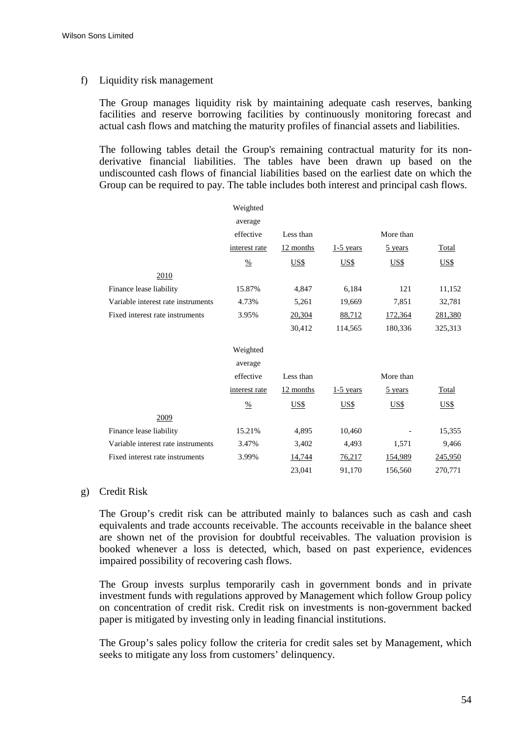#### f) Liquidity risk management

The Group manages liquidity risk by maintaining adequate cash reserves, banking facilities and reserve borrowing facilities by continuously monitoring forecast and actual cash flows and matching the maturity profiles of financial assets and liabilities.

The following tables detail the Group's remaining contractual maturity for its nonderivative financial liabilities. The tables have been drawn up based on the undiscounted cash flows of financial liabilities based on the earliest date on which the Group can be required to pay. The table includes both interest and principal cash flows.

|                                    | Weighted      |             |             |             |              |
|------------------------------------|---------------|-------------|-------------|-------------|--------------|
|                                    | average       |             |             |             |              |
|                                    | effective     | Less than   |             | More than   |              |
|                                    | interest rate | $12$ months | $1-5$ years | 5 years     | <b>Total</b> |
|                                    | $\frac{9}{6}$ | <u>US\$</u> | US\$        | <u>US\$</u> | US\$         |
| 2010                               |               |             |             |             |              |
| Finance lease liability            | 15.87%        | 4,847       | 6,184       | 121         | 11,152       |
| Variable interest rate instruments | 4.73%         | 5,261       | 19,669      | 7,851       | 32,781       |
| Fixed interest rate instruments    | 3.95%         | 20,304      | 88,712      | 172,364     | 281,380      |
|                                    |               | 30,412      | 114,565     | 180,336     | 325,313      |
|                                    | Weighted      |             |             |             |              |
|                                    | average       |             |             |             |              |
|                                    | effective     | Less than   |             | More than   |              |
|                                    | interest rate | 12 months   | $1-5$ years | 5 years     | Total        |
|                                    | $\frac{0}{0}$ | <u>US\$</u> | $US$        | <u>US\$</u> | $US$         |
| 2009                               |               |             |             |             |              |
| Finance lease liability            | 15.21%        | 4,895       | 10,460      |             | 15,355       |
| Variable interest rate instruments | 3.47%         | 3,402       | 4,493       | 1,571       | 9,466        |
| Fixed interest rate instruments    | 3.99%         | 14,744      | 76,217      | 154,989     | 245,950      |
|                                    |               | 23,041      | 91,170      | 156,560     | 270,771      |

#### g) Credit Risk

The Group's credit risk can be attributed mainly to balances such as cash and cash equivalents and trade accounts receivable. The accounts receivable in the balance sheet are shown net of the provision for doubtful receivables. The valuation provision is booked whenever a loss is detected, which, based on past experience, evidences impaired possibility of recovering cash flows.

The Group invests surplus temporarily cash in government bonds and in private investment funds with regulations approved by Management which follow Group policy on concentration of credit risk. Credit risk on investments is non-government backed paper is mitigated by investing only in leading financial institutions.

The Group's sales policy follow the criteria for credit sales set by Management, which seeks to mitigate any loss from customers' delinquency.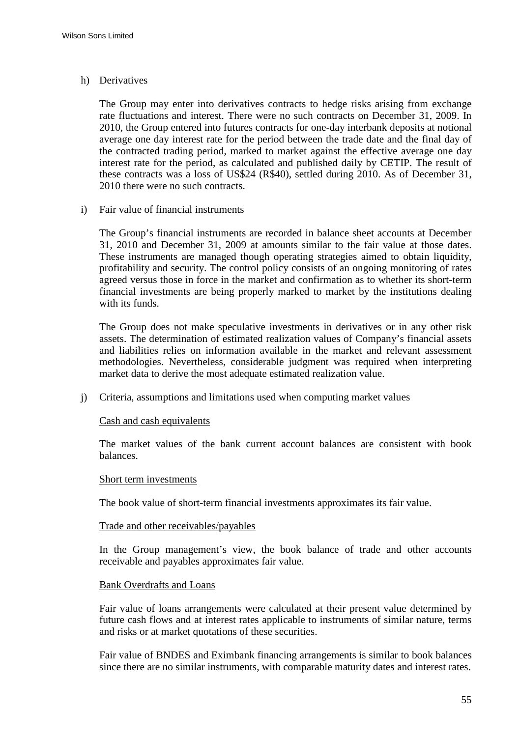#### h) Derivatives

The Group may enter into derivatives contracts to hedge risks arising from exchange rate fluctuations and interest. There were no such contracts on December 31, 2009. In 2010, the Group entered into futures contracts for one-day interbank deposits at notional average one day interest rate for the period between the trade date and the final day of the contracted trading period, marked to market against the effective average one day interest rate for the period, as calculated and published daily by CETIP. The result of these contracts was a loss of US\$24 (R\$40), settled during 2010. As of December 31, 2010 there were no such contracts.

i) Fair value of financial instruments

The Group's financial instruments are recorded in balance sheet accounts at December 31, 2010 and December 31, 2009 at amounts similar to the fair value at those dates. These instruments are managed though operating strategies aimed to obtain liquidity, profitability and security. The control policy consists of an ongoing monitoring of rates agreed versus those in force in the market and confirmation as to whether its short-term financial investments are being properly marked to market by the institutions dealing with its funds.

The Group does not make speculative investments in derivatives or in any other risk assets. The determination of estimated realization values of Company's financial assets and liabilities relies on information available in the market and relevant assessment methodologies. Nevertheless, considerable judgment was required when interpreting market data to derive the most adequate estimated realization value.

j) Criteria, assumptions and limitations used when computing market values

# Cash and cash equivalents

The market values of the bank current account balances are consistent with book balances.

#### Short term investments

The book value of short-term financial investments approximates its fair value.

#### Trade and other receivables/payables

In the Group management's view, the book balance of trade and other accounts receivable and payables approximates fair value.

#### Bank Overdrafts and Loans

Fair value of loans arrangements were calculated at their present value determined by future cash flows and at interest rates applicable to instruments of similar nature, terms and risks or at market quotations of these securities.

Fair value of BNDES and Eximbank financing arrangements is similar to book balances since there are no similar instruments, with comparable maturity dates and interest rates.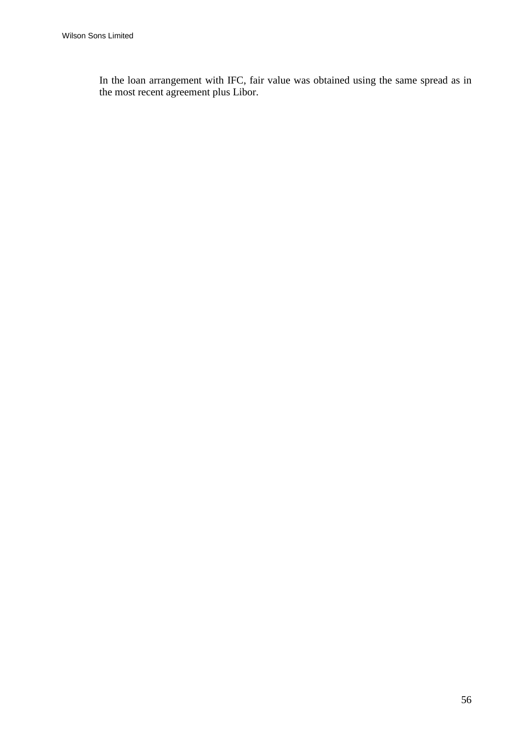In the loan arrangement with IFC, fair value was obtained using the same spread as in the most recent agreement plus Libor.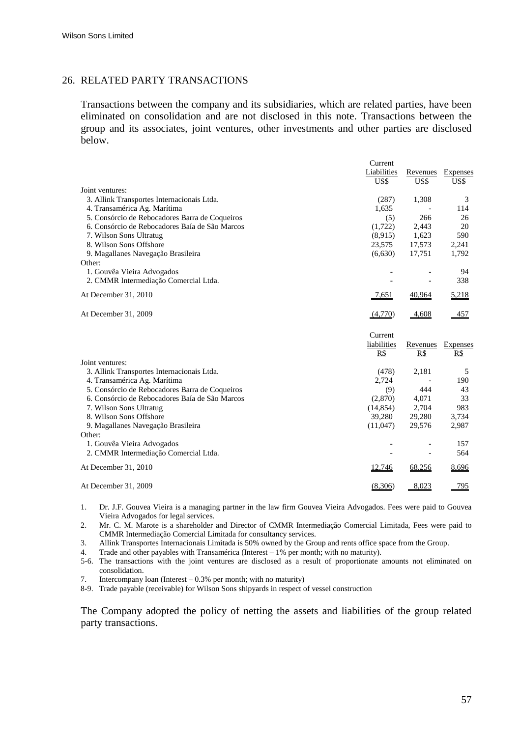#### 26. RELATED PARTY TRANSACTIONS

Transactions between the company and its subsidiaries, which are related parties, have been eliminated on consolidation and are not disclosed in this note. Transactions between the group and its associates, joint ventures, other investments and other parties are disclosed below.

|                                                | Current                    |                  |                         |
|------------------------------------------------|----------------------------|------------------|-------------------------|
|                                                | Liabilities<br><u>US\$</u> | Revenues<br>US\$ | <b>Expenses</b><br>US\$ |
| Joint ventures:                                |                            |                  |                         |
| 3. Allink Transportes Internacionais Ltda.     | (287)                      | 1,308            | 3                       |
| 4. Transamérica Ag. Marítima                   | 1,635                      |                  | 114                     |
| 5. Consórcio de Rebocadores Barra de Coqueiros | (5)                        | 266              | 26                      |
| 6. Consórcio de Rebocadores Baía de São Marcos | (1,722)                    | 2,443            | 20                      |
| 7. Wilson Sons Ultratug                        | (8,915)                    | 1,623            | 590                     |
| 8. Wilson Sons Offshore                        | 23,575                     | 17,573           | 2,241                   |
| 9. Magallanes Navegação Brasileira             | (6,630)                    | 17,751           | 1,792                   |
| Other:                                         |                            |                  |                         |
| 1. Gouvêa Vieira Advogados                     |                            |                  | 94                      |
| 2. CMMR Intermediação Comercial Ltda.          |                            |                  | 338                     |
| At December 31, 2010                           | 7,651                      | 40,964           | 5,218                   |
| At December 31, 2009                           | (4,770)                    | 4,608            | <u>457</u>              |
|                                                |                            |                  |                         |
|                                                | Current                    |                  |                         |
|                                                | liabilities                | Revenues         | <b>Expenses</b>         |
|                                                | R\$                        | R\$              | <u>R\$</u>              |
| Joint ventures:                                |                            |                  |                         |
| 3. Allink Transportes Internacionais Ltda.     | (478)                      | 2,181            | 5                       |
| 4. Transamérica Ag. Marítima                   | 2,724                      |                  | 190                     |
| 5. Consórcio de Rebocadores Barra de Coqueiros | (9)                        | 444              | 43                      |
| 6. Consórcio de Rebocadores Baía de São Marcos | (2,870)                    | 4,071            | 33                      |
| 7. Wilson Sons Ultratug                        | (14, 854)                  | 2,704            | 983                     |
| 8. Wilson Sons Offshore                        | 39,280                     | 29,280           | 3,734                   |
| 9. Magallanes Navegação Brasileira             | (11,047)                   | 29,576           | 2,987                   |
| Other:                                         |                            |                  |                         |
| 1. Gouvêa Vieira Advogados                     |                            |                  | 157                     |
| 2. CMMR Intermediação Comercial Ltda.          |                            |                  | 564                     |
| At December 31, 2010                           | 12,746                     | 68,256           | 8,696                   |

1. Dr. J.F. Gouvea Vieira is a managing partner in the law firm Gouvea Vieira Advogados. Fees were paid to Gouvea Vieira Advogados for legal services.

2. Mr. C. M. Marote is a shareholder and Director of CMMR Intermediação Comercial Limitada, Fees were paid to CMMR Intermediação Comercial Limitada for consultancy services.

3. Allink Transportes Internacionais Limitada is 50% owned by the Group and rents office space from the Group.

4. Trade and other payables with Transamérica (Interest – 1% per month; with no maturity).

5-6. The transactions with the joint ventures are disclosed as a result of proportionate amounts not eliminated on consolidation.

7. Intercompany loan (Interest – 0.3% per month; with no maturity)

8-9. Trade payable (receivable) for Wilson Sons shipyards in respect of vessel construction

The Company adopted the policy of netting the assets and liabilities of the group related party transactions.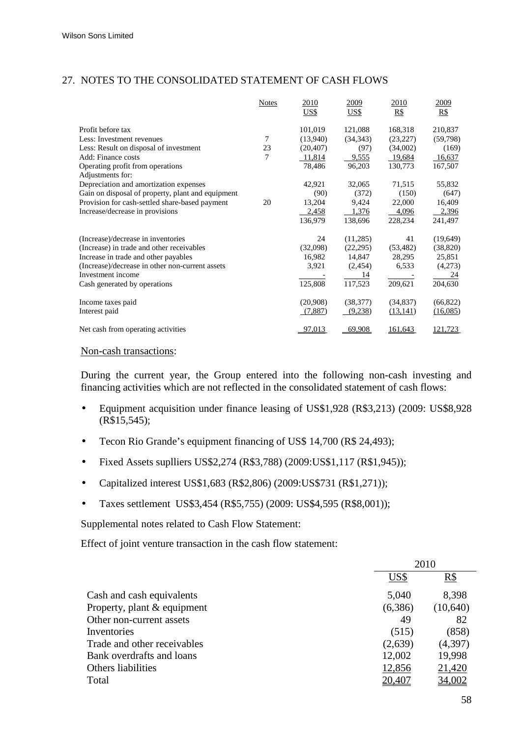|                                                                                                                                                                                                                                 | <b>Notes</b> | 2010<br>US\$                                 | 2009<br>US\$                                                       | 2010<br>R\$                                   | <u>2009</u><br>R\$                                          |
|---------------------------------------------------------------------------------------------------------------------------------------------------------------------------------------------------------------------------------|--------------|----------------------------------------------|--------------------------------------------------------------------|-----------------------------------------------|-------------------------------------------------------------|
| Profit before tax<br>Less: Investment revenues<br>Less: Result on disposal of investment                                                                                                                                        | $\tau$<br>23 | 101,019<br>(13,940)<br>(20, 407)             | 121,088<br>(34, 343)<br>(97)                                       | 168,318<br>(23, 227)<br>(34,002)              | 210,837<br>(59,798)<br>(169)                                |
| Add: Finance costs<br>Operating profit from operations<br>Adjustments for:                                                                                                                                                      | 7            | 11,814<br>78,486                             | 9,555<br>96,203                                                    | 19,684<br>130,773                             | 16,637<br>167,507                                           |
| Depreciation and amortization expenses<br>Gain on disposal of property, plant and equipment<br>Provision for cash-settled share-based payment<br>Increase/decrease in provisions                                                | 20           | 42,921<br>(90)<br>13,204<br>2,458<br>136,979 | 32,065<br>(372)<br>9,424<br>1,376<br>138,696                       | 71,515<br>(150)<br>22,000<br>4,096<br>228,234 | 55,832<br>(647)<br>16,409<br>2,396<br>241,497               |
| (Increase)/decrease in inventories<br>(Increase) in trade and other receivables<br>Increase in trade and other payables<br>(Increase)/decrease in other non-current assets<br>Investment income<br>Cash generated by operations |              | 24<br>(32,098)<br>16,982<br>3,921<br>125,808 | (11,285)<br>(22, 295)<br>14,847<br>(2,454)<br><u>14</u><br>117,523 | 41<br>(53, 482)<br>28,295<br>6,533<br>209,621 | (19,649)<br>(38, 820)<br>25,851<br>(4,273)<br>24<br>204,630 |
| Income taxes paid<br>Interest paid                                                                                                                                                                                              |              | (20,908)<br>(7,887)                          | (38,377)<br>(9,238)                                                | (34, 837)<br>(13, 141)                        | (66, 822)<br>(16,085)                                       |
| Net cash from operating activities                                                                                                                                                                                              |              | 97,013                                       | 69,908                                                             | 161,643                                       | 121,723                                                     |

#### Non-cash transactions:

During the current year, the Group entered into the following non-cash investing and financing activities which are not reflected in the consolidated statement of cash flows:

- Equipment acquisition under finance leasing of US\$1,928 (R\$3,213) (2009: US\$8,928 (R\$15,545);
- Tecon Rio Grande's equipment financing of US\$ 14,700 (R\$ 24,493);
- Fixed Assets supliers US\$2,274 (R\$3,788) (2009:US\$1,117 (R\$1,945));
- Capitalized interest US\$1,683 (R\$2,806) (2009:US\$731 (R\$1,271));
- Taxes settlement US\$3,454 (R\$5,755) (2009: US\$4,595 (R\$8,001));

Supplemental notes related to Cash Flow Statement:

Effect of joint venture transaction in the cash flow statement:

|                             | 2010           |          |  |
|-----------------------------|----------------|----------|--|
|                             | <u>US\$</u>    | $R\$     |  |
| Cash and cash equivalents   | 5,040          | 8,398    |  |
| Property, plant & equipment | (6,386)        | (10,640) |  |
| Other non-current assets    | 49             | 82       |  |
| Inventories                 | (515)          | (858)    |  |
| Trade and other receivables | (2,639)        | (4,397)  |  |
| Bank overdrafts and loans   | 12,002         | 19,998   |  |
| Others liabilities          | 12,856         | 21,420   |  |
| Total                       | <u> 20,40´</u> | 34,002   |  |